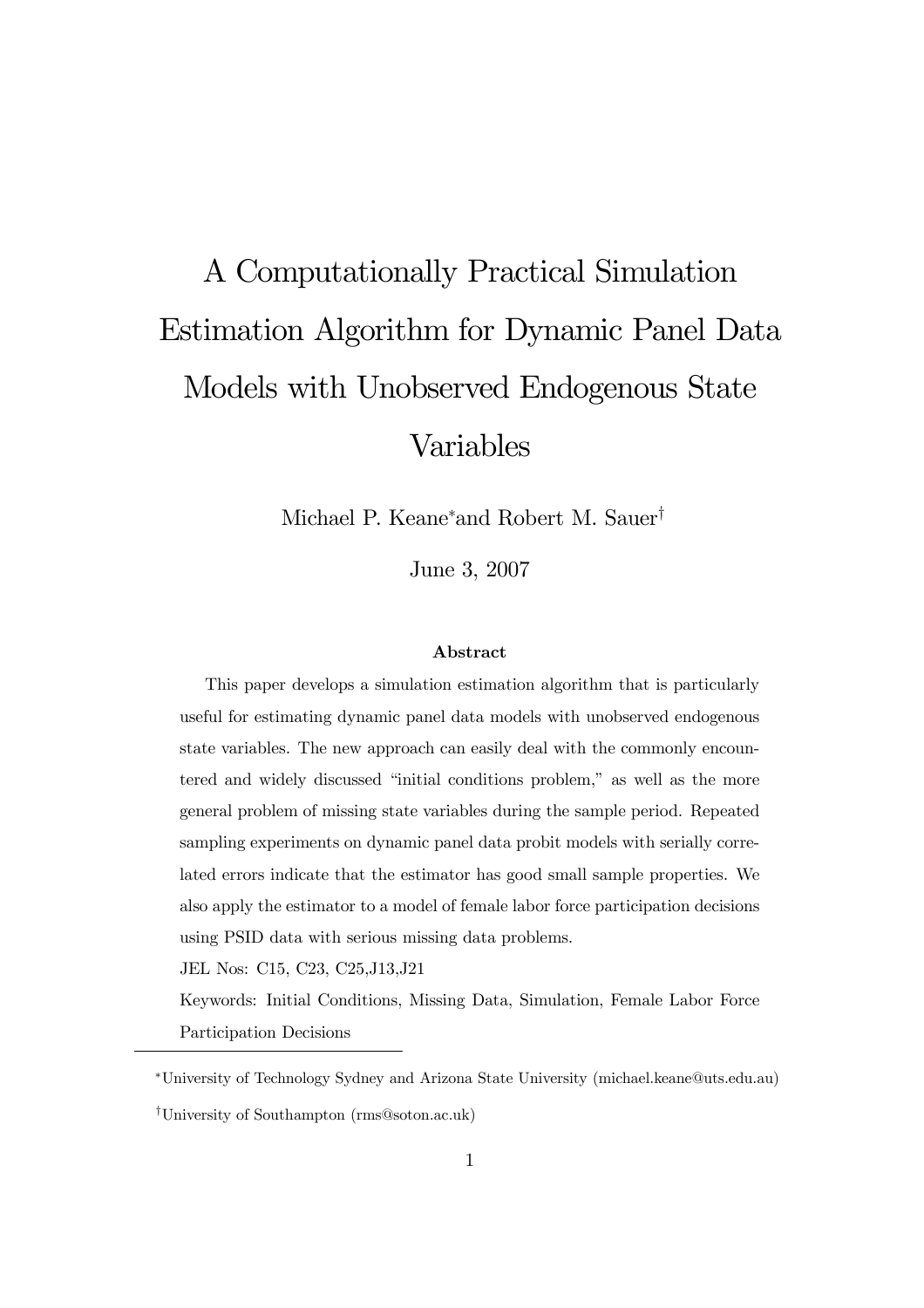# A Computationally Practical Simulation Estimation Algorithm for Dynamic Panel Data Models with Unobserved Endogenous State Variables

Michael P. Keane<sup>\*</sup>and Robert M. Sauer<sup>†</sup>

June 3, 2007

#### Abstract

This paper develops a simulation estimation algorithm that is particularly useful for estimating dynamic panel data models with unobserved endogenous state variables. The new approach can easily deal with the commonly encountered and widely discussed "initial conditions problem," as well as the more general problem of missing state variables during the sample period. Repeated sampling experiments on dynamic panel data probit models with serially correlated errors indicate that the estimator has good small sample properties. We also apply the estimator to a model of female labor force participation decisions using PSID data with serious missing data problems.

JEL Nos: C15, C23, C25,J13,J21

Keywords: Initial Conditions, Missing Data, Simulation, Female Labor Force Participation Decisions

<sup>∗</sup>University of Technology Sydney and Arizona State University (michael.keane@uts.edu.au)

ÜUniversity of Southampton (rms@soton.ac.uk)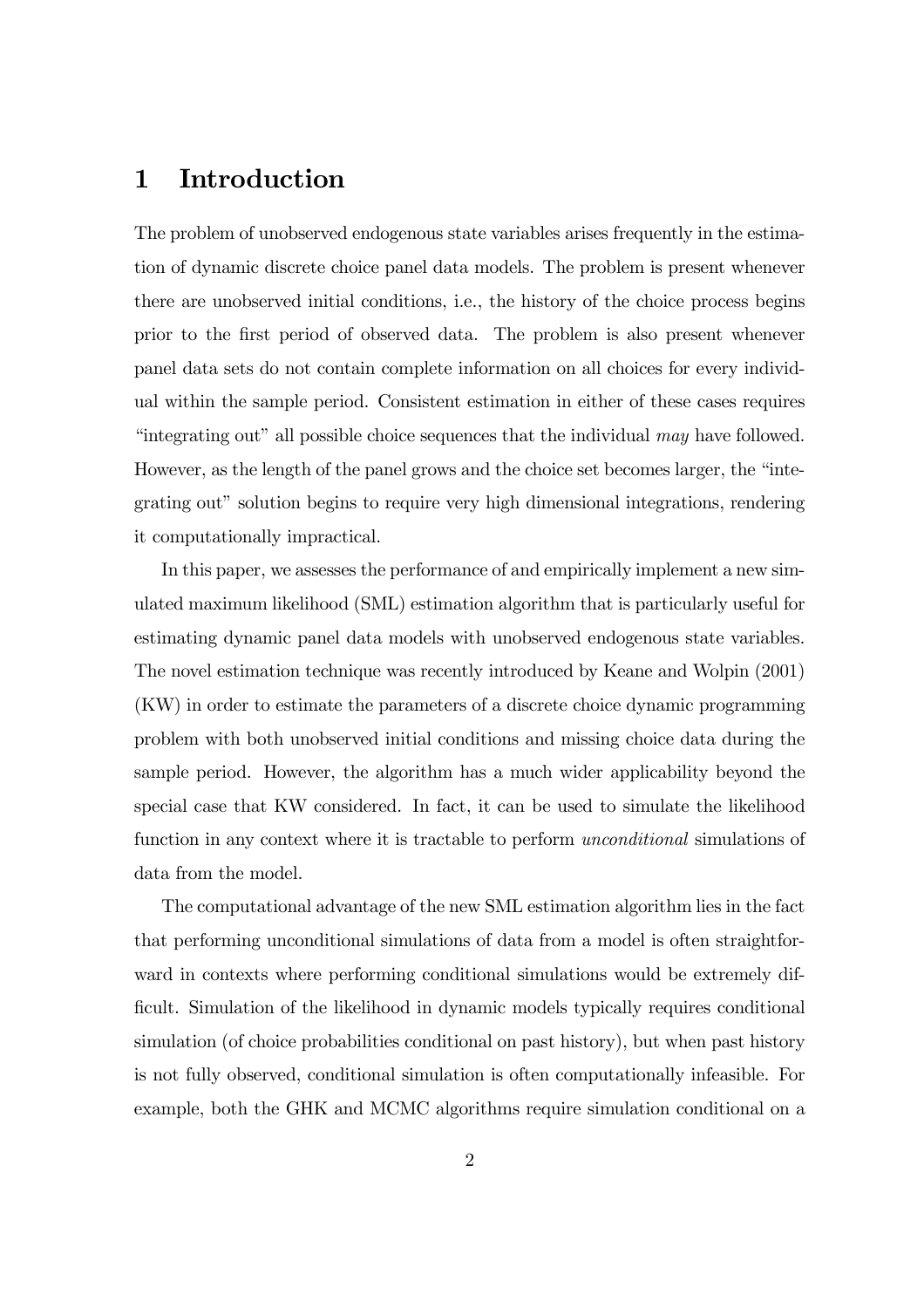## 1 Introduction

The problem of unobserved endogenous state variables arises frequently in the estimation of dynamic discrete choice panel data models. The problem is present whenever there are unobserved initial conditions, i.e., the history of the choice process begins prior to the first period of observed data. The problem is also present whenever panel data sets do not contain complete information on all choices for every individual within the sample period. Consistent estimation in either of these cases requires "integrating out" all possible choice sequences that the individual may have followed. However, as the length of the panel grows and the choice set becomes larger, the "integrating out" solution begins to require very high dimensional integrations, rendering it computationally impractical.

In this paper, we assesses the performance of and empirically implement a new simulated maximum likelihood (SML) estimation algorithm that is particularly useful for estimating dynamic panel data models with unobserved endogenous state variables. The novel estimation technique was recently introduced by Keane and Wolpin (2001) (KW) in order to estimate the parameters of a discrete choice dynamic programming problem with both unobserved initial conditions and missing choice data during the sample period. However, the algorithm has a much wider applicability beyond the special case that KW considered. In fact, it can be used to simulate the likelihood function in any context where it is tractable to perform unconditional simulations of data from the model.

The computational advantage of the new SML estimation algorithm lies in the fact that performing unconditional simulations of data from a model is often straightforward in contexts where performing conditional simulations would be extremely difficult. Simulation of the likelihood in dynamic models typically requires conditional simulation (of choice probabilities conditional on past history), but when past history is not fully observed, conditional simulation is often computationally infeasible. For example, both the GHK and MCMC algorithms require simulation conditional on a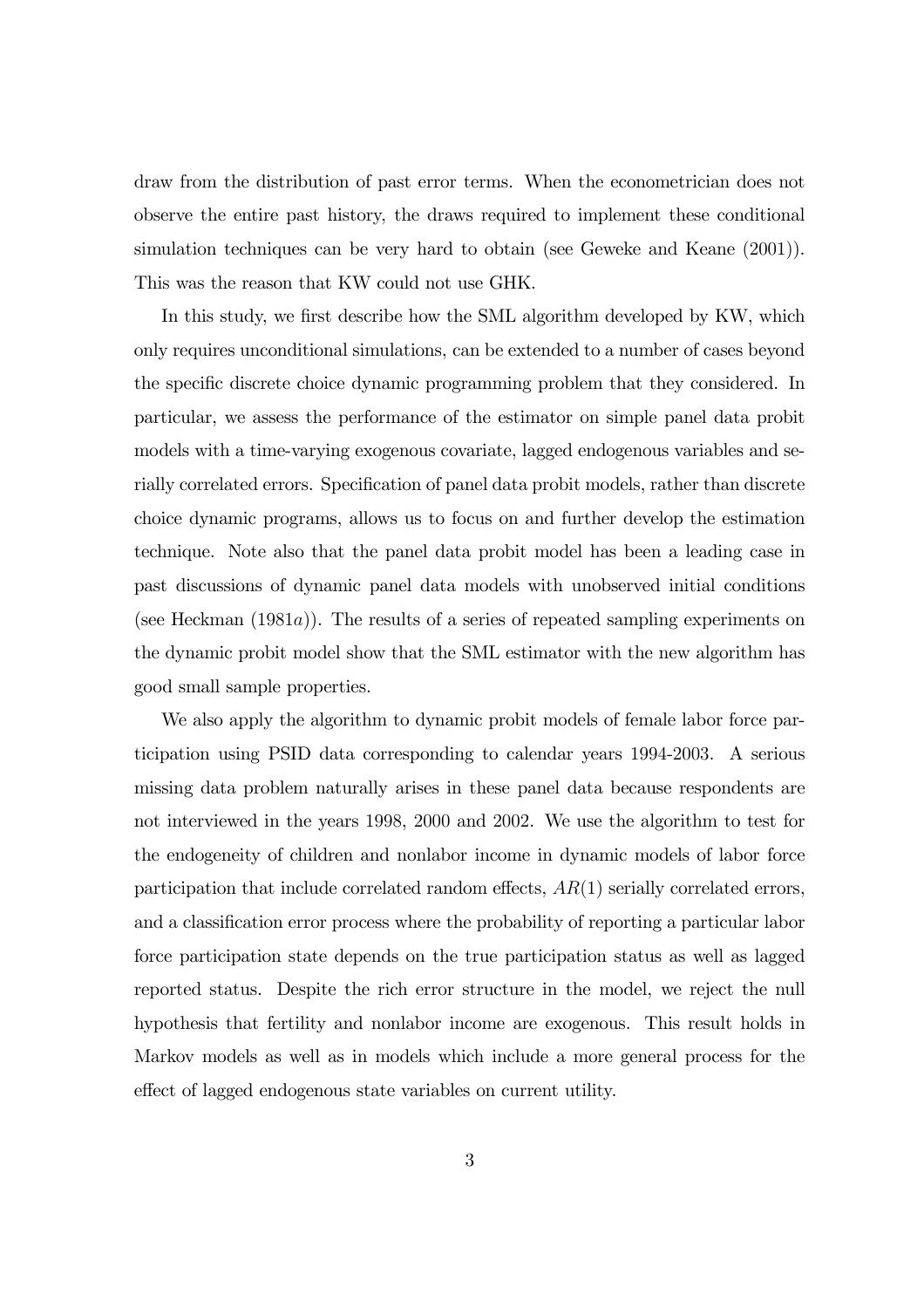draw from the distribution of past error terms. When the econometrician does not observe the entire past history, the draws required to implement these conditional simulation techniques can be very hard to obtain (see Geweke and Keane (2001)). This was the reason that KW could not use GHK.

In this study, we first describe how the SML algorithm developed by KW, which only requires unconditional simulations, can be extended to a number of cases beyond the specific discrete choice dynamic programming problem that they considered. In particular, we assess the performance of the estimator on simple panel data probit models with a time-varying exogenous covariate, lagged endogenous variables and serially correlated errors. Specification of panel data probit models, rather than discrete choice dynamic programs, allows us to focus on and further develop the estimation technique. Note also that the panel data probit model has been a leading case in past discussions of dynamic panel data models with unobserved initial conditions (see Heckman  $(1981a)$ ). The results of a series of repeated sampling experiments on the dynamic probit model show that the SML estimator with the new algorithm has good small sample properties.

We also apply the algorithm to dynamic probit models of female labor force participation using PSID data corresponding to calendar years 1994-2003. A serious missing data problem naturally arises in these panel data because respondents are not interviewed in the years 1998, 2000 and 2002. We use the algorithm to test for the endogeneity of children and nonlabor income in dynamic models of labor force participation that include correlated random effects,  $AR(1)$  serially correlated errors, and a classification error process where the probability of reporting a particular labor force participation state depends on the true participation status as well as lagged reported status. Despite the rich error structure in the model, we reject the null hypothesis that fertility and nonlabor income are exogenous. This result holds in Markov models as well as in models which include a more general process for the effect of lagged endogenous state variables on current utility.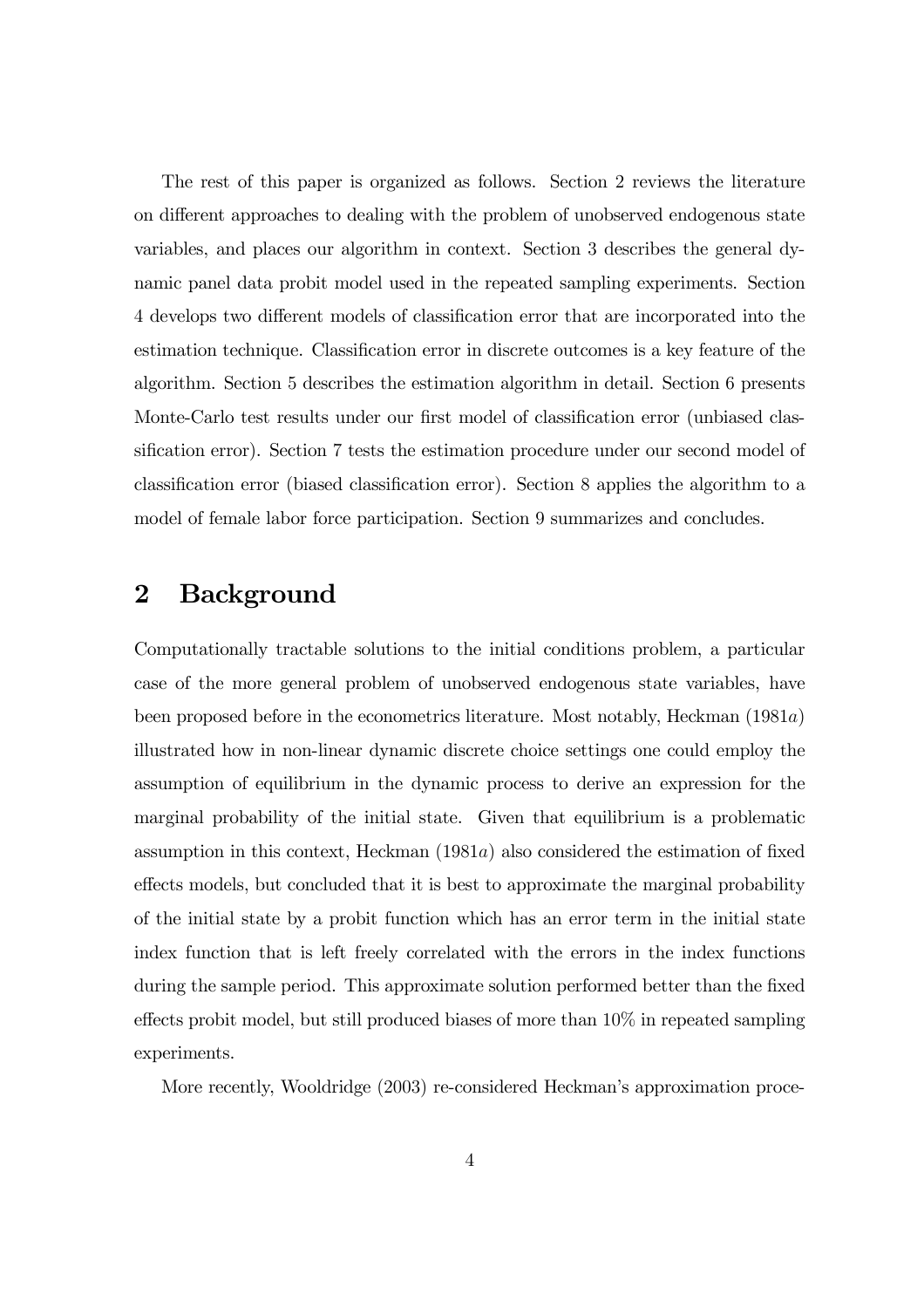The rest of this paper is organized as follows. Section 2 reviews the literature on different approaches to dealing with the problem of unobserved endogenous state variables, and places our algorithm in context. Section 3 describes the general dynamic panel data probit model used in the repeated sampling experiments. Section 4 develops two different models of classification error that are incorporated into the estimation technique. Classification error in discrete outcomes is a key feature of the algorithm. Section 5 describes the estimation algorithm in detail. Section 6 presents Monte-Carlo test results under our first model of classification error (unbiased classification error). Section 7 tests the estimation procedure under our second model of classification error (biased classification error). Section 8 applies the algorithm to a model of female labor force participation. Section 9 summarizes and concludes.

## 2 Background

Computationally tractable solutions to the initial conditions problem, a particular case of the more general problem of unobserved endogenous state variables, have been proposed before in the econometrics literature. Most notably, Heckman (1981a) illustrated how in non-linear dynamic discrete choice settings one could employ the assumption of equilibrium in the dynamic process to derive an expression for the marginal probability of the initial state. Given that equilibrium is a problematic assumption in this context, Heckman (1981a) also considered the estimation of fixed effects models, but concluded that it is best to approximate the marginal probability of the initial state by a probit function which has an error term in the initial state index function that is left freely correlated with the errors in the index functions during the sample period. This approximate solution performed better than the fixed effects probit model, but still produced biases of more than 10% in repeated sampling experiments.

More recently, Wooldridge (2003) re-considered Heckman's approximation proce-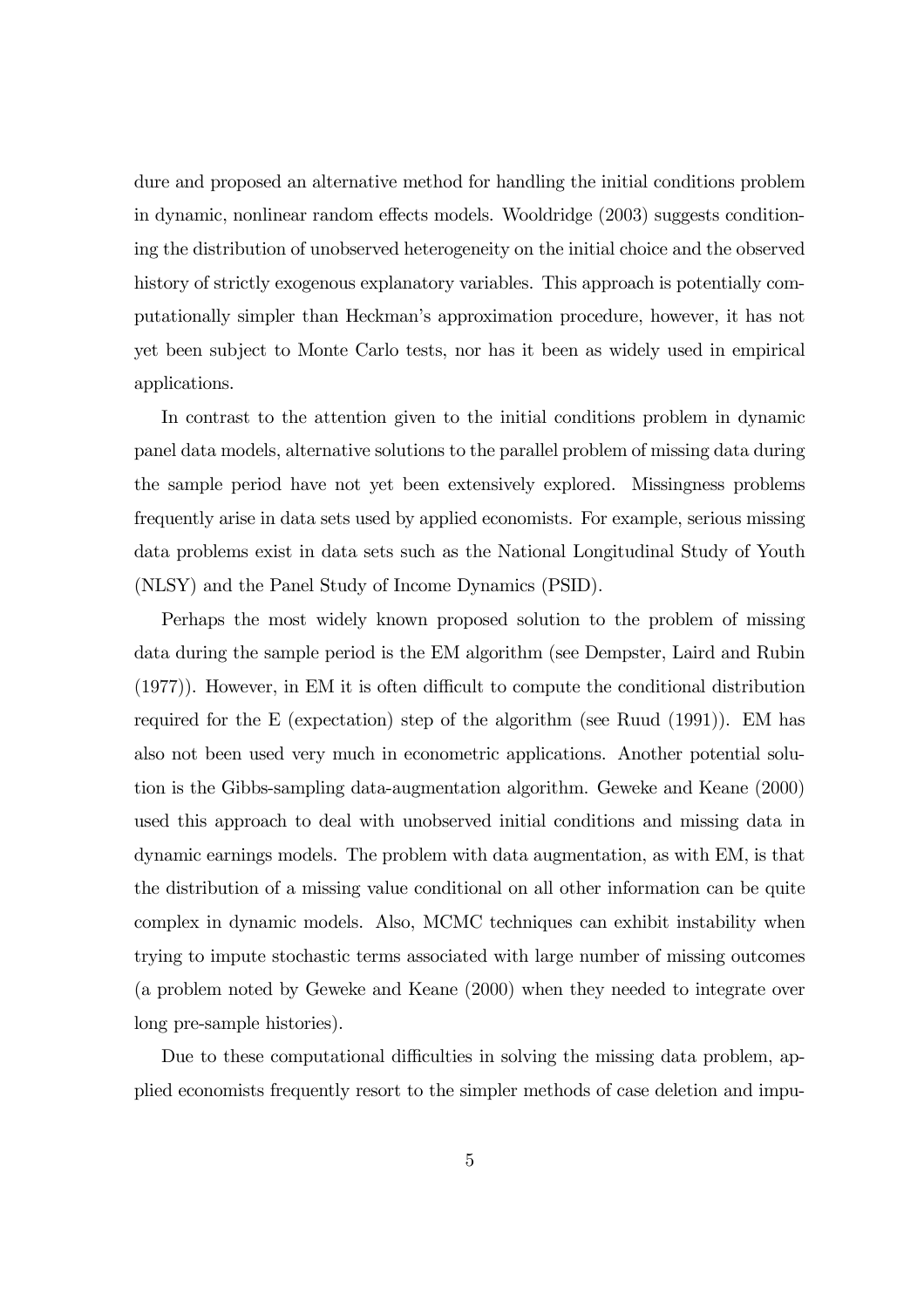dure and proposed an alternative method for handling the initial conditions problem in dynamic, nonlinear random effects models. Wooldridge (2003) suggests conditioning the distribution of unobserved heterogeneity on the initial choice and the observed history of strictly exogenous explanatory variables. This approach is potentially computationally simpler than Heckmanís approximation procedure, however, it has not yet been subject to Monte Carlo tests, nor has it been as widely used in empirical applications.

In contrast to the attention given to the initial conditions problem in dynamic panel data models, alternative solutions to the parallel problem of missing data during the sample period have not yet been extensively explored. Missingness problems frequently arise in data sets used by applied economists. For example, serious missing data problems exist in data sets such as the National Longitudinal Study of Youth (NLSY) and the Panel Study of Income Dynamics (PSID).

Perhaps the most widely known proposed solution to the problem of missing data during the sample period is the EM algorithm (see Dempster, Laird and Rubin (1977)). However, in EM it is often difficult to compute the conditional distribution required for the E (expectation) step of the algorithm (see Ruud (1991)). EM has also not been used very much in econometric applications. Another potential solution is the Gibbs-sampling data-augmentation algorithm. Geweke and Keane (2000) used this approach to deal with unobserved initial conditions and missing data in dynamic earnings models. The problem with data augmentation, as with EM, is that the distribution of a missing value conditional on all other information can be quite complex in dynamic models. Also, MCMC techniques can exhibit instability when trying to impute stochastic terms associated with large number of missing outcomes (a problem noted by Geweke and Keane (2000) when they needed to integrate over long pre-sample histories).

Due to these computational difficulties in solving the missing data problem, applied economists frequently resort to the simpler methods of case deletion and impu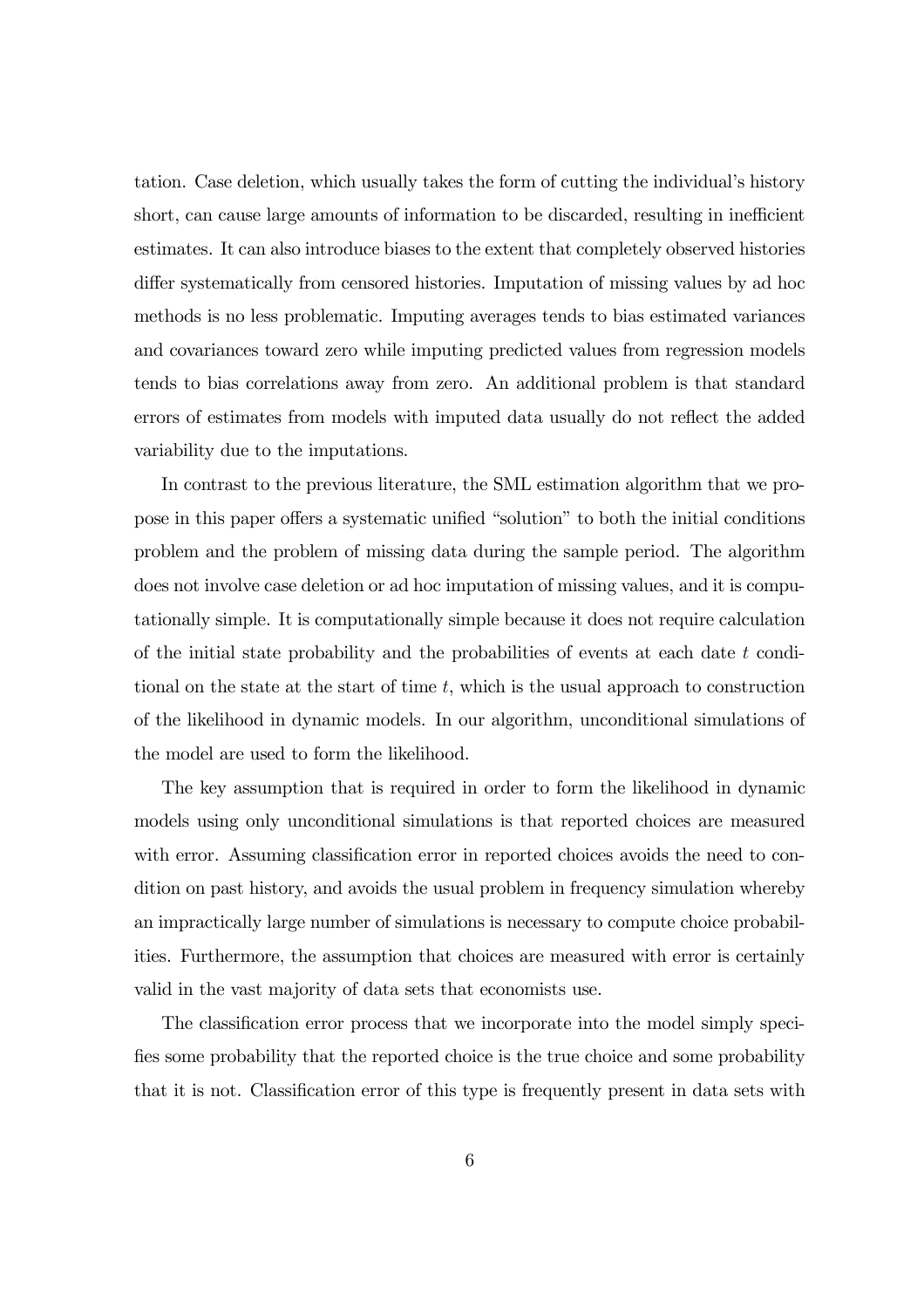tation. Case deletion, which usually takes the form of cutting the individual's history short, can cause large amounts of information to be discarded, resulting in inefficient estimates. It can also introduce biases to the extent that completely observed histories differ systematically from censored histories. Imputation of missing values by ad hoc methods is no less problematic. Imputing averages tends to bias estimated variances and covariances toward zero while imputing predicted values from regression models tends to bias correlations away from zero. An additional problem is that standard errors of estimates from models with imputed data usually do not reflect the added variability due to the imputations.

In contrast to the previous literature, the SML estimation algorithm that we propose in this paper offers a systematic unified "solution" to both the initial conditions problem and the problem of missing data during the sample period. The algorithm does not involve case deletion or ad hoc imputation of missing values, and it is computationally simple. It is computationally simple because it does not require calculation of the initial state probability and the probabilities of events at each date t conditional on the state at the start of time  $t$ , which is the usual approach to construction of the likelihood in dynamic models. In our algorithm, unconditional simulations of the model are used to form the likelihood.

The key assumption that is required in order to form the likelihood in dynamic models using only unconditional simulations is that reported choices are measured with error. Assuming classification error in reported choices avoids the need to condition on past history, and avoids the usual problem in frequency simulation whereby an impractically large number of simulations is necessary to compute choice probabilities. Furthermore, the assumption that choices are measured with error is certainly valid in the vast majority of data sets that economists use.

The classification error process that we incorporate into the model simply specifies some probability that the reported choice is the true choice and some probability that it is not. Classification error of this type is frequently present in data sets with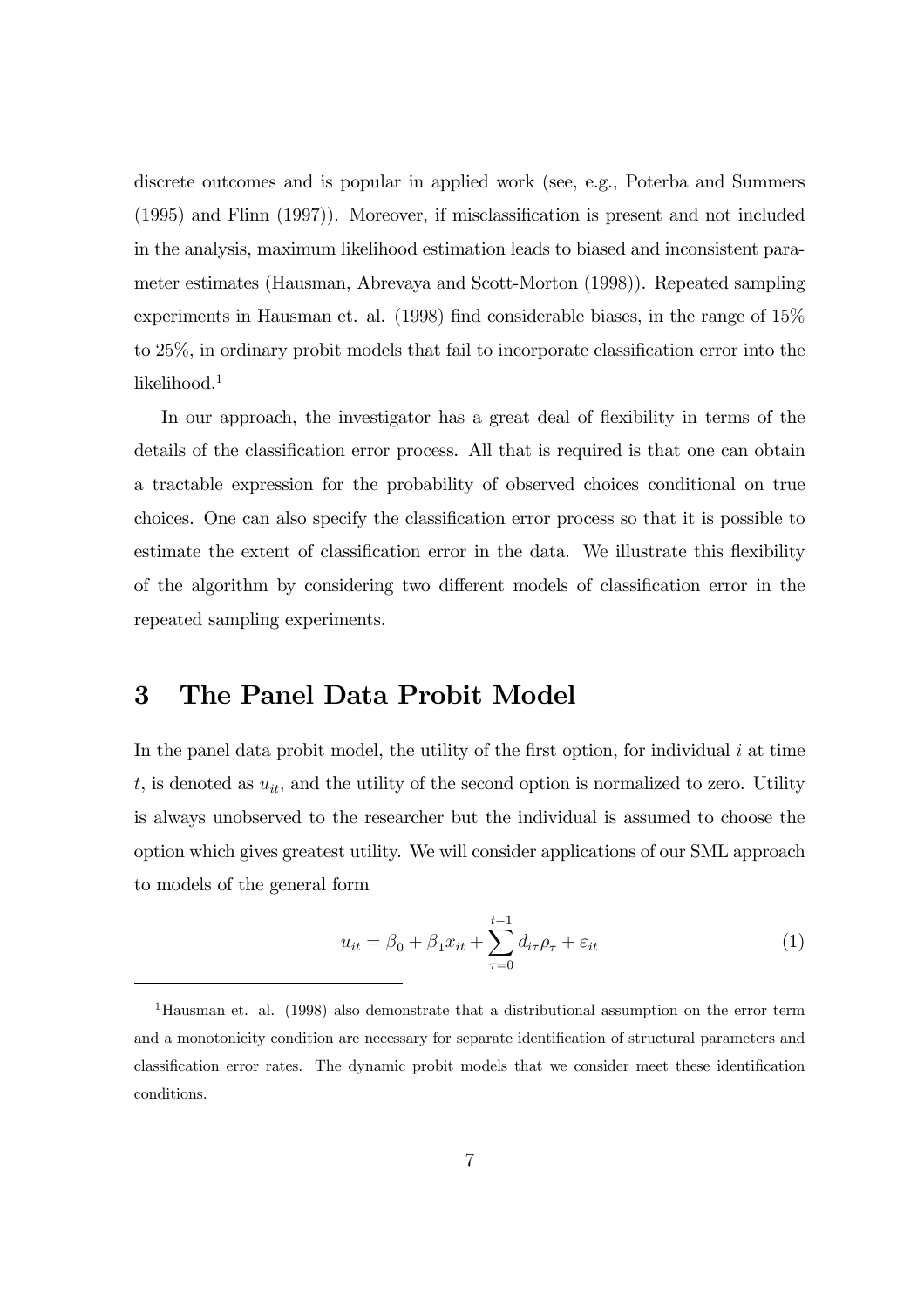discrete outcomes and is popular in applied work (see, e.g., Poterba and Summers (1995) and Flinn (1997)). Moreover, if misclassification is present and not included in the analysis, maximum likelihood estimation leads to biased and inconsistent parameter estimates (Hausman, Abrevaya and Scott-Morton (1998)). Repeated sampling experiments in Hausman et. al. (1998) find considerable biases, in the range of 15% to 25%, in ordinary probit models that fail to incorporate classification error into the likelihood.<sup>1</sup>

In our approach, the investigator has a great deal of flexibility in terms of the details of the classification error process. All that is required is that one can obtain a tractable expression for the probability of observed choices conditional on true choices. One can also specify the classification error process so that it is possible to estimate the extent of classification error in the data. We illustrate this flexibility of the algorithm by considering two different models of classification error in the repeated sampling experiments.

## 3 The Panel Data Probit Model

In the panel data probit model, the utility of the first option, for individual  $i$  at time  $t$ , is denoted as  $u_{it}$ , and the utility of the second option is normalized to zero. Utility is always unobserved to the researcher but the individual is assumed to choose the option which gives greatest utility. We will consider applications of our SML approach to models of the general form

$$
u_{it} = \beta_0 + \beta_1 x_{it} + \sum_{\tau=0}^{t-1} d_{i\tau} \rho_\tau + \varepsilon_{it}
$$
\n
$$
\tag{1}
$$

<sup>&</sup>lt;sup>1</sup>Hausman et. al. (1998) also demonstrate that a distributional assumption on the error term and a monotonicity condition are necessary for separate identification of structural parameters and classification error rates. The dynamic probit models that we consider meet these identification conditions.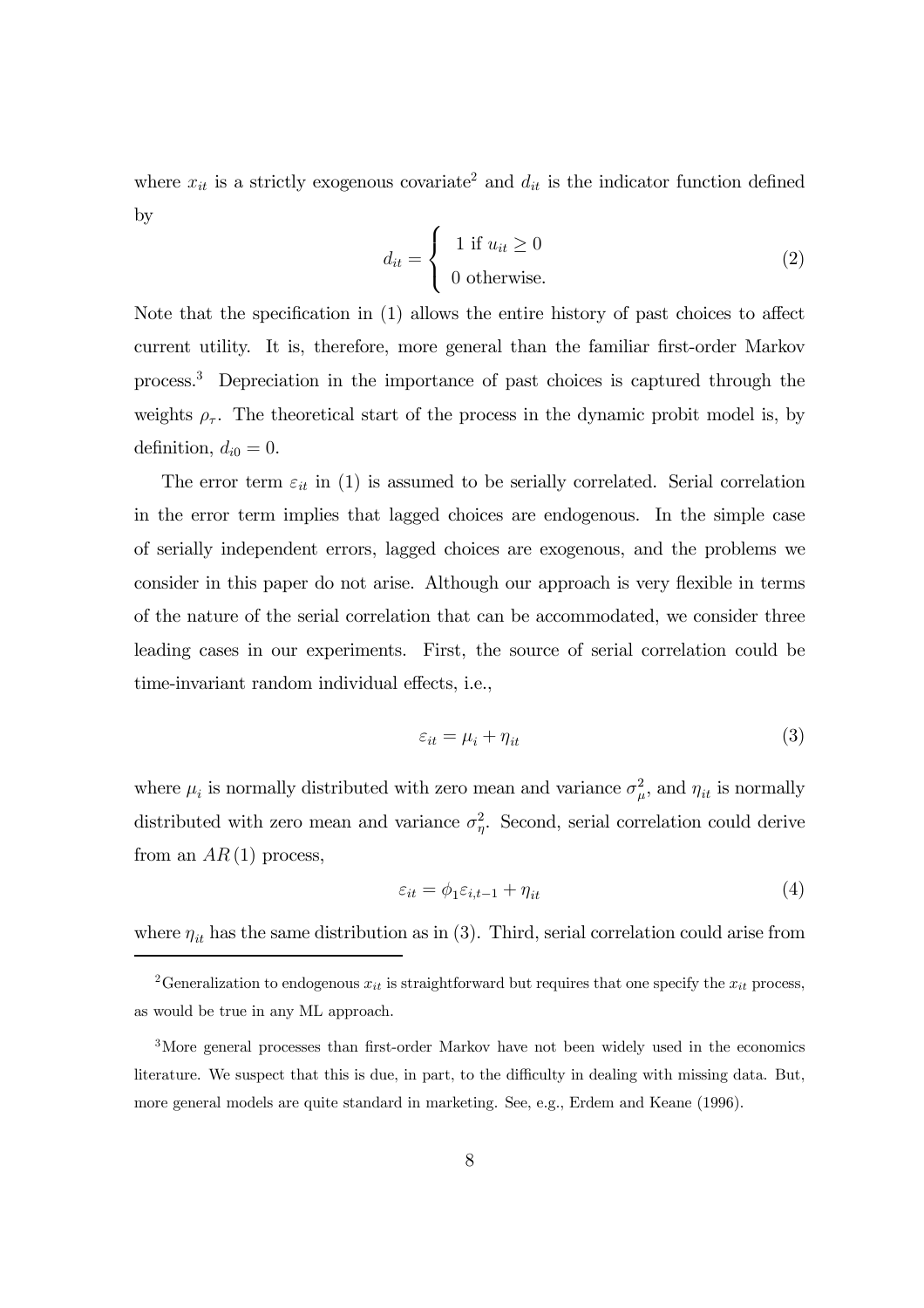where  $x_{it}$  is a strictly exogenous covariate<sup>2</sup> and  $d_{it}$  is the indicator function defined by

$$
d_{it} = \begin{cases} 1 & \text{if } u_{it} \ge 0 \\ 0 & \text{otherwise.} \end{cases}
$$
 (2)

Note that the specification in (1) allows the entire history of past choices to affect current utility. It is, therefore, more general than the familiar first-order Markov process.3 Depreciation in the importance of past choices is captured through the weights  $\rho_{\tau}$ . The theoretical start of the process in the dynamic probit model is, by definition,  $d_{i0} = 0$ .

The error term  $\varepsilon_{it}$  in (1) is assumed to be serially correlated. Serial correlation in the error term implies that lagged choices are endogenous. In the simple case of serially independent errors, lagged choices are exogenous, and the problems we consider in this paper do not arise. Although our approach is very flexible in terms of the nature of the serial correlation that can be accommodated, we consider three leading cases in our experiments. First, the source of serial correlation could be time-invariant random individual effects, i.e.,

$$
\varepsilon_{it} = \mu_i + \eta_{it} \tag{3}
$$

where  $\mu_i$  is normally distributed with zero mean and variance  $\sigma_{\mu}^2$ , and  $\eta_{it}$  is normally distributed with zero mean and variance  $\sigma_{\eta}^2$ . Second, serial correlation could derive from an  $AR(1)$  process,

$$
\varepsilon_{it} = \phi_1 \varepsilon_{i,t-1} + \eta_{it} \tag{4}
$$

where  $\eta_{it}$  has the same distribution as in (3). Third, serial correlation could arise from

<sup>&</sup>lt;sup>2</sup>Generalization to endogenous  $x_{it}$  is straightforward but requires that one specify the  $x_{it}$  process, as would be true in any ML approach.

<sup>3</sup>More general processes than first-order Markov have not been widely used in the economics literature. We suspect that this is due, in part, to the difficulty in dealing with missing data. But, more general models are quite standard in marketing. See, e.g., Erdem and Keane (1996).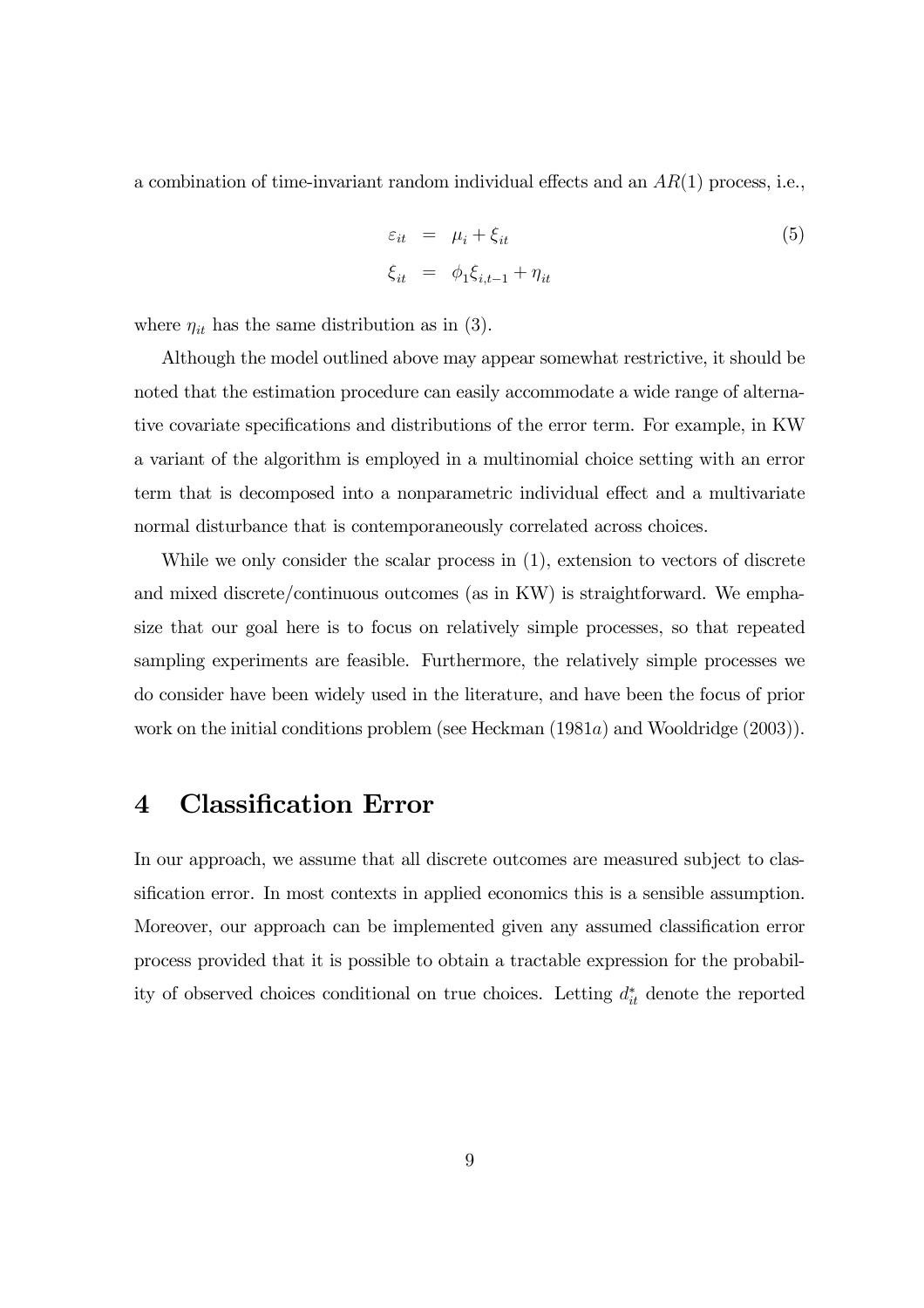a combination of time-invariant random individual effects and an  $AR(1)$  process, i.e.,

$$
\varepsilon_{it} = \mu_i + \xi_{it}
$$
  
\n
$$
\xi_{it} = \phi_1 \xi_{i,t-1} + \eta_{it}
$$
\n(5)

where  $\eta_{it}$  has the same distribution as in (3).

Although the model outlined above may appear somewhat restrictive, it should be noted that the estimation procedure can easily accommodate a wide range of alternative covariate specifications and distributions of the error term. For example, in KW a variant of the algorithm is employed in a multinomial choice setting with an error term that is decomposed into a nonparametric individual effect and a multivariate normal disturbance that is contemporaneously correlated across choices.

While we only consider the scalar process in  $(1)$ , extension to vectors of discrete and mixed discrete/continuous outcomes (as in KW) is straightforward. We emphasize that our goal here is to focus on relatively simple processes, so that repeated sampling experiments are feasible. Furthermore, the relatively simple processes we do consider have been widely used in the literature, and have been the focus of prior work on the initial conditions problem (see Heckman (1981a) and Wooldridge (2003)).

## 4 Classification Error

In our approach, we assume that all discrete outcomes are measured subject to classification error. In most contexts in applied economics this is a sensible assumption. Moreover, our approach can be implemented given any assumed classification error process provided that it is possible to obtain a tractable expression for the probability of observed choices conditional on true choices. Letting  $d_{it}^*$  denote the reported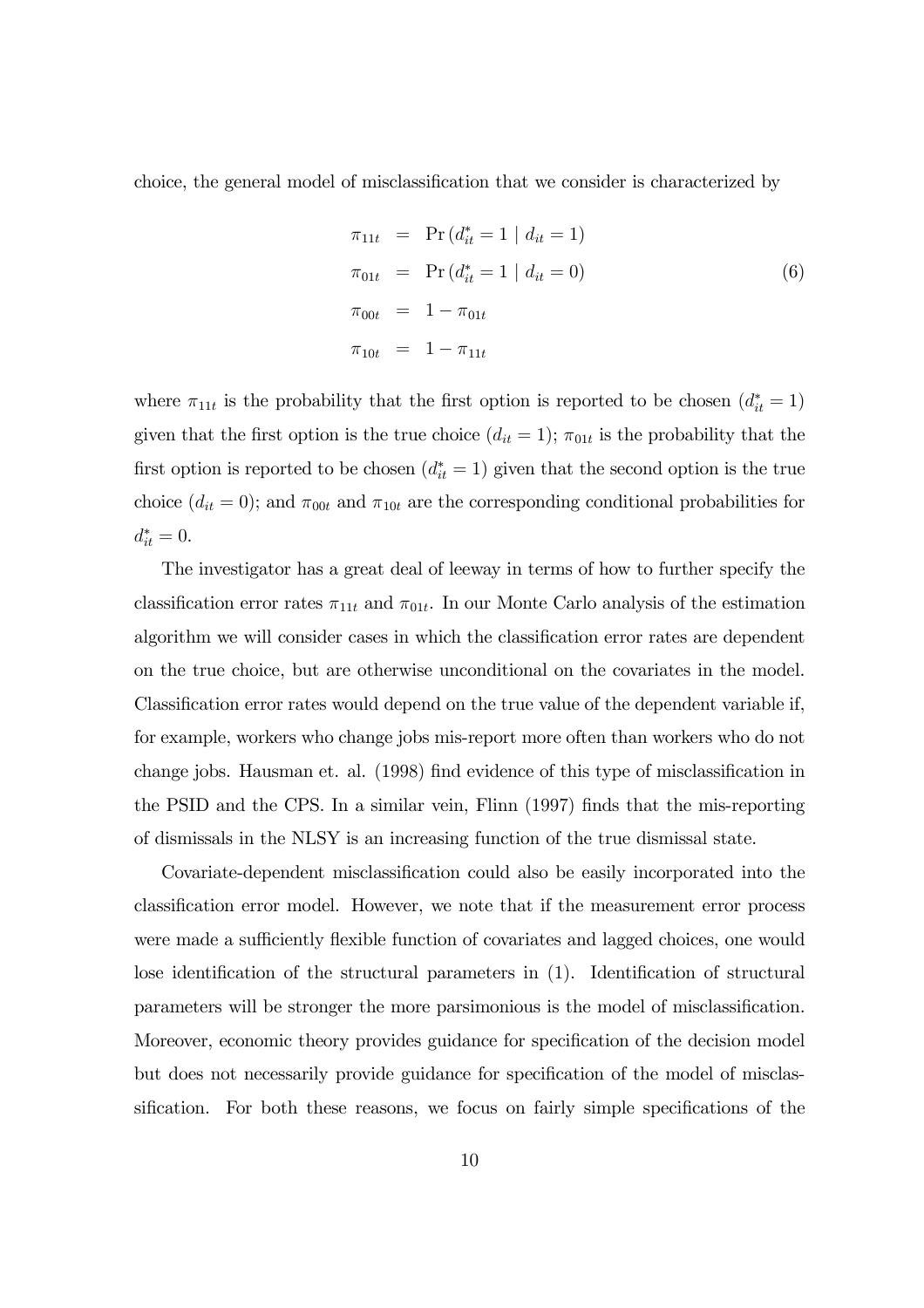choice, the general model of misclassification that we consider is characterized by

$$
\pi_{11t} = \Pr(d_{it}^* = 1 | d_{it} = 1)
$$
  
\n
$$
\pi_{01t} = \Pr(d_{it}^* = 1 | d_{it} = 0)
$$
  
\n
$$
\pi_{00t} = 1 - \pi_{01t}
$$
  
\n
$$
\pi_{10t} = 1 - \pi_{11t}
$$
  
\n(6)

where  $\pi_{11t}$  is the probability that the first option is reported to be chosen  $(d_{it}^* = 1)$ given that the first option is the true choice  $(d_{it} = 1)$ ;  $\pi_{01t}$  is the probability that the first option is reported to be chosen  $(d_{it}^* = 1)$  given that the second option is the true choice  $(d_{it} = 0)$ ; and  $\pi_{00t}$  and  $\pi_{10t}$  are the corresponding conditional probabilities for  $d_{it}^* = 0.$ 

The investigator has a great deal of leeway in terms of how to further specify the classification error rates  $\pi_{11t}$  and  $\pi_{01t}$ . In our Monte Carlo analysis of the estimation algorithm we will consider cases in which the classification error rates are dependent on the true choice, but are otherwise unconditional on the covariates in the model. Classification error rates would depend on the true value of the dependent variable if, for example, workers who change jobs mis-report more often than workers who do not change jobs. Hausman et. al. (1998) find evidence of this type of misclassification in the PSID and the CPS. In a similar vein, Flinn (1997) finds that the mis-reporting of dismissals in the NLSY is an increasing function of the true dismissal state.

Covariate-dependent misclassification could also be easily incorporated into the classification error model. However, we note that if the measurement error process were made a sufficiently flexible function of covariates and lagged choices, one would lose identification of the structural parameters in (1). Identification of structural parameters will be stronger the more parsimonious is the model of misclassification. Moreover, economic theory provides guidance for specification of the decision model but does not necessarily provide guidance for specification of the model of misclassification. For both these reasons, we focus on fairly simple specifications of the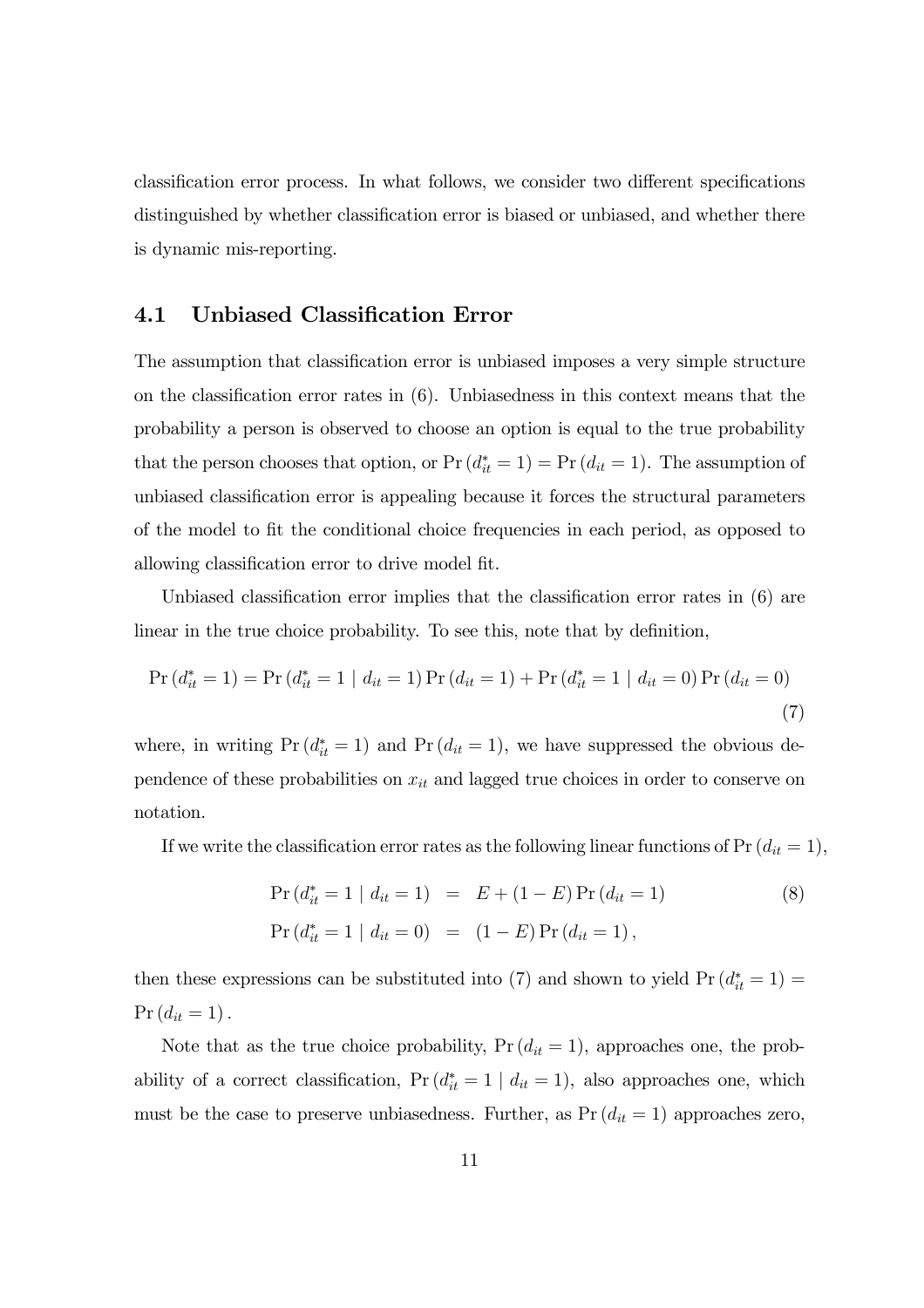classification error process. In what follows, we consider two different specifications distinguished by whether classification error is biased or unbiased, and whether there is dynamic mis-reporting.

### 4.1 Unbiased Classification Error

The assumption that classification error is unbiased imposes a very simple structure on the classification error rates in (6). Unbiasedness in this context means that the probability a person is observed to choose an option is equal to the true probability that the person chooses that option, or  $Pr(d_{it}^* = 1) = Pr(d_{it} = 1)$ . The assumption of unbiased classification error is appealing because it forces the structural parameters of the model to fit the conditional choice frequencies in each period, as opposed to allowing classification error to drive model fit.

Unbiased classification error implies that the classification error rates in (6) are linear in the true choice probability. To see this, note that by definition,

$$
\Pr\left(d_{it}^{*} = 1\right) = \Pr\left(d_{it}^{*} = 1 \mid d_{it} = 1\right) \Pr\left(d_{it} = 1\right) + \Pr\left(d_{it}^{*} = 1 \mid d_{it} = 0\right) \Pr\left(d_{it} = 0\right)
$$
\n(7)

where, in writing  $Pr(d_{it}^* = 1)$  and  $Pr(d_{it} = 1)$ , we have suppressed the obvious dependence of these probabilities on  $x_{it}$  and lagged true choices in order to conserve on notation.

If we write the classification error rates as the following linear functions of  $Pr(d_{it} = 1)$ ,

$$
\Pr(d_{it}^* = 1 | d_{it} = 1) = E + (1 - E) \Pr(d_{it} = 1)
$$
\n
$$
\Pr(d_{it}^* = 1 | d_{it} = 0) = (1 - E) \Pr(d_{it} = 1),
$$
\n(8)

then these expressions can be substituted into (7) and shown to yield  $Pr(d_{it}^* = 1)$  $Pr (d_{it} = 1).$ 

Note that as the true choice probability,  $Pr(d_{it} = 1)$ , approaches one, the probability of a correct classification,  $Pr(d_{it}^* = 1 | d_{it} = 1)$ , also approaches one, which must be the case to preserve unbiasedness. Further, as  $Pr(d_{it} = 1)$  approaches zero,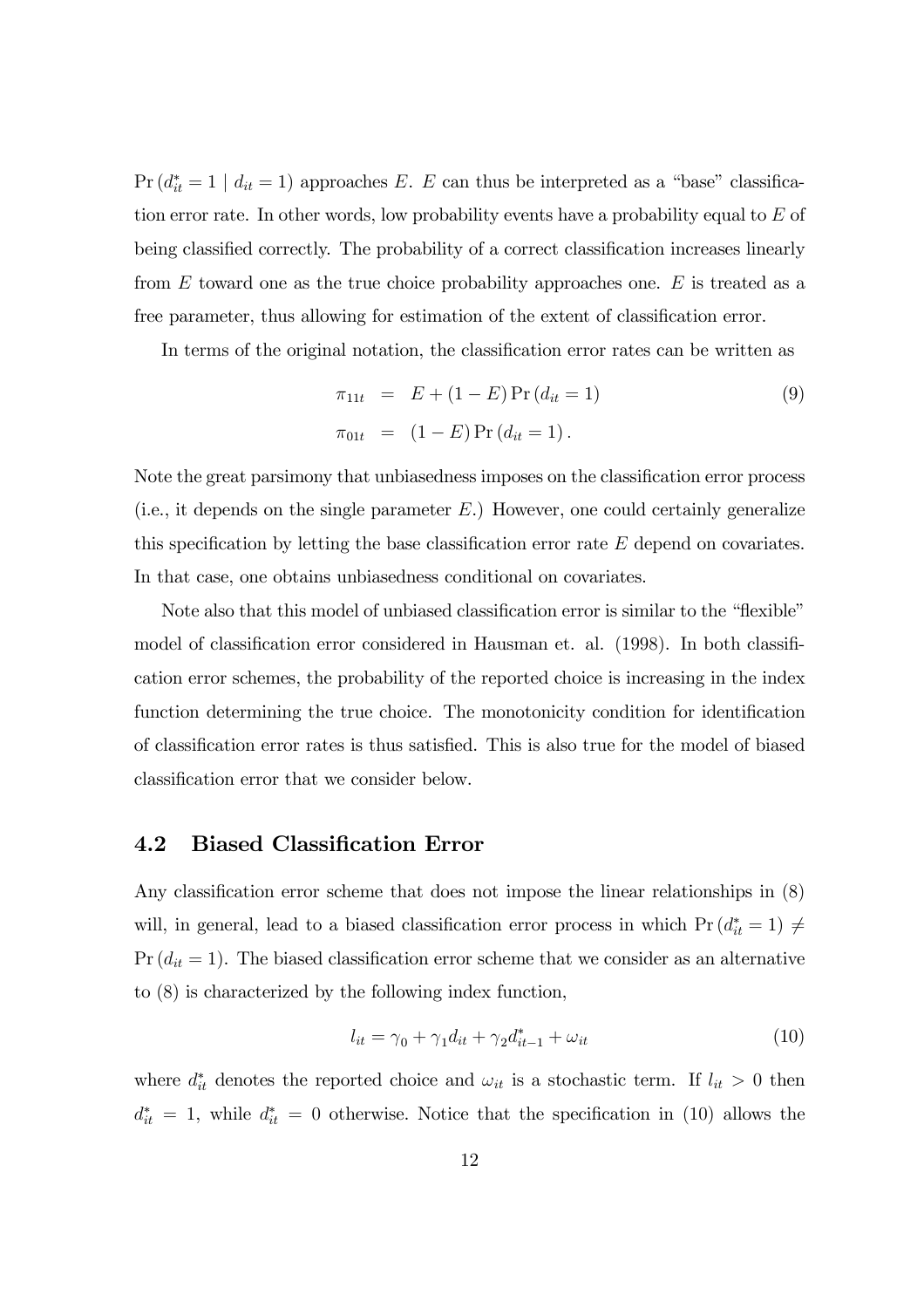Pr ( $d_{it}^* = 1 \mid d_{it} = 1$ ) approaches E. E can thus be interpreted as a "base" classification error rate. In other words, low probability events have a probability equal to E of being classified correctly. The probability of a correct classification increases linearly from  $E$  toward one as the true choice probability approaches one.  $E$  is treated as a free parameter, thus allowing for estimation of the extent of classification error.

In terms of the original notation, the classification error rates can be written as

$$
\pi_{11t} = E + (1 - E) \Pr(d_{it} = 1)
$$
\n
$$
\pi_{01t} = (1 - E) \Pr(d_{it} = 1).
$$
\n(9)

Note the great parsimony that unbiasedness imposes on the classification error process (i.e., it depends on the single parameter  $E$ .) However, one could certainly generalize this specification by letting the base classification error rate  $E$  depend on covariates. In that case, one obtains unbiasedness conditional on covariates.

Note also that this model of unbiased classification error is similar to the "flexible" model of classification error considered in Hausman et. al. (1998). In both classification error schemes, the probability of the reported choice is increasing in the index function determining the true choice. The monotonicity condition for identification of classification error rates is thus satisfied. This is also true for the model of biased classification error that we consider below.

#### 4.2 Biased Classification Error

Any classification error scheme that does not impose the linear relationships in (8) will, in general, lead to a biased classification error process in which  $Pr(d_{it}^* = 1) \neq$  $Pr(d_{it} = 1)$ . The biased classification error scheme that we consider as an alternative to (8) is characterized by the following index function,

$$
l_{it} = \gamma_0 + \gamma_1 d_{it} + \gamma_2 d_{it-1}^* + \omega_{it}
$$
\n
$$
\tag{10}
$$

where  $d_{it}^*$  denotes the reported choice and  $\omega_{it}$  is a stochastic term. If  $l_{it} > 0$  then  $d_{it}^* = 1$ , while  $d_{it}^* = 0$  otherwise. Notice that the specification in (10) allows the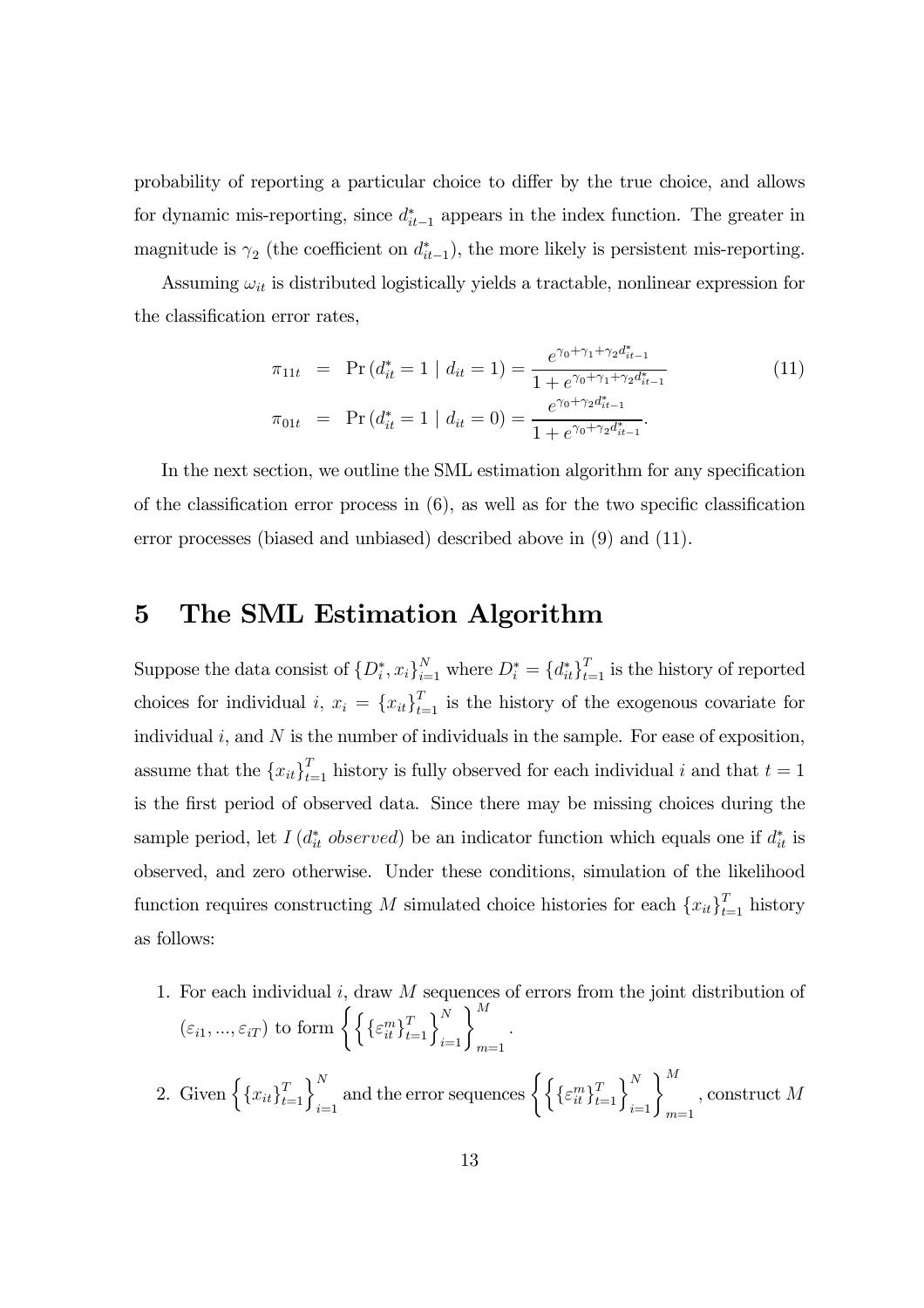probability of reporting a particular choice to differ by the true choice, and allows for dynamic mis-reporting, since  $d_{it-1}^*$  appears in the index function. The greater in magnitude is  $\gamma_2$  (the coefficient on  $d_{it-1}^*$ ), the more likely is persistent mis-reporting.

Assuming  $\omega_{it}$  is distributed logistically yields a tractable, nonlinear expression for the classification error rates,

$$
\pi_{11t} = \Pr(d_{it}^* = 1 \mid d_{it} = 1) = \frac{e^{\gamma_0 + \gamma_1 + \gamma_2 d_{it-1}^*}}{1 + e^{\gamma_0 + \gamma_1 + \gamma_2 d_{it-1}^*}}
$$
\n
$$
\pi_{01t} = \Pr(d_{it}^* = 1 \mid d_{it} = 0) = \frac{e^{\gamma_0 + \gamma_2 d_{it-1}^*}}{1 + e^{\gamma_0 + \gamma_2 d_{it-1}^*}}.
$$
\n(11)

In the next section, we outline the SML estimation algorithm for any specification of the classification error process in (6), as well as for the two specific classification error processes (biased and unbiased) described above in (9) and (11).

## 5 The SML Estimation Algorithm

Suppose the data consist of  $\{D_i^*, x_i\}_{i=1}^N$  where  $D_i^* = \{d_{it}^*\}_{t=1}^T$  is the history of reported choices for individual i,  $x_i = \{x_{it}\}_{t=1}^T$  is the history of the exogenous covariate for individual  $i$ , and  $N$  is the number of individuals in the sample. For ease of exposition, assume that the  ${x_{it}}_{t=1}^T$  history is fully observed for each individual i and that  $t = 1$ is the first period of observed data. Since there may be missing choices during the sample period, let  $I(d_{it}^*$  observed) be an indicator function which equals one if  $d_{it}^*$  is observed, and zero otherwise. Under these conditions, simulation of the likelihood function requires constructing M simulated choice histories for each  ${x_{it}}_{t=1}^T$  history as follows:

1. For each individual  $i$ , draw  $M$  sequences of errors from the joint distribution of  $(\varepsilon_{i1},...,\varepsilon_{iT})$  to form  $\left\{\left\{\{\varepsilon_{it}^m\}_{t=1}^T\right\}_{i=1}^N\right\}_{m=1}^M$ . 2. Given  $\left\{\left\{x_{it}\right\}_{t=1}^T\right\}_{i=1}^N$  and the error sequences  $\left\{\left\{\left\{\varepsilon_{it}^m\right\}_{t=1}^T\right\}_{i=1}^N\right\}_{m=1}^M$ , construct M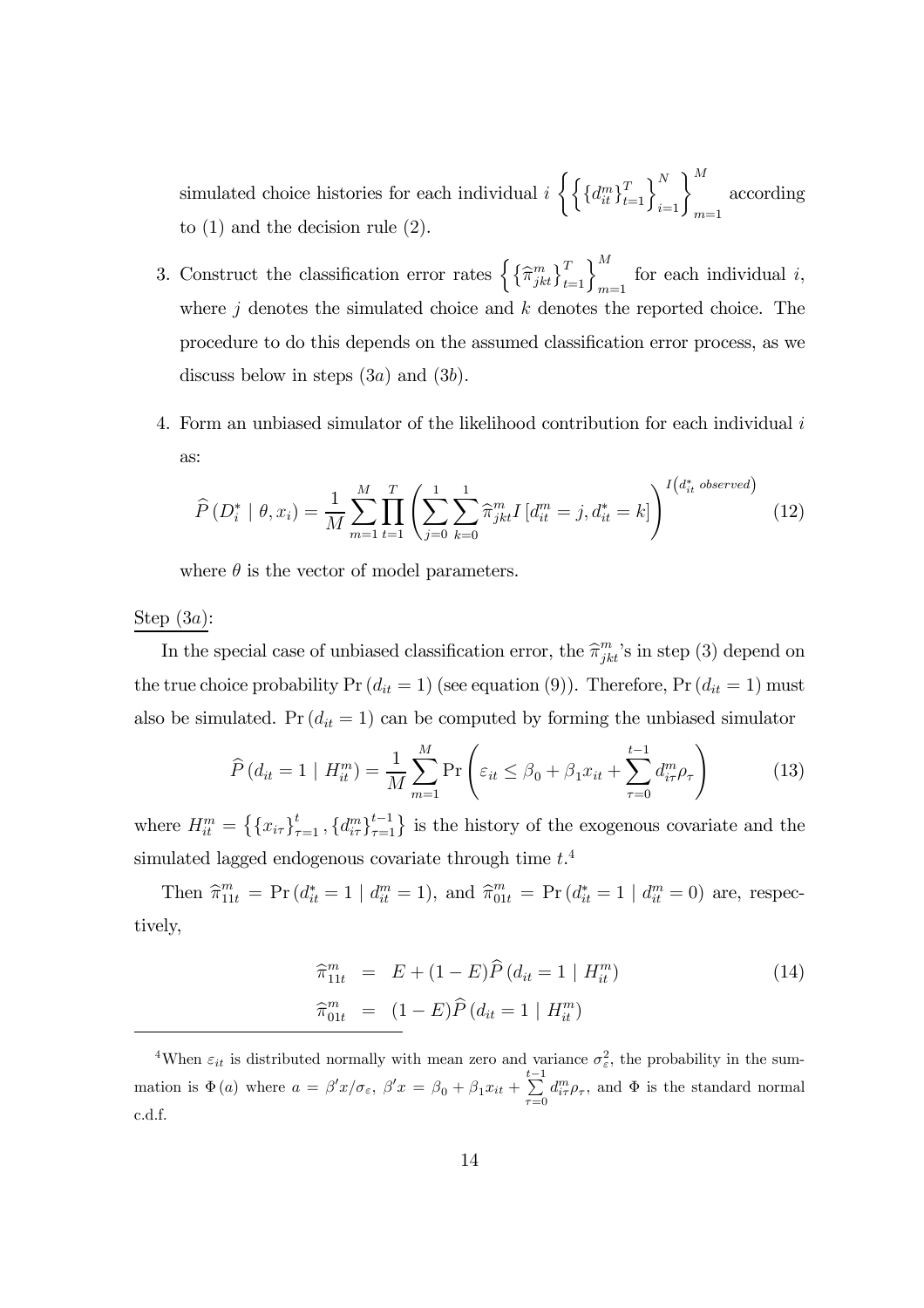simulated choice histories for each individual  $i \n\left\{ \right\}$  $\left\{d_{it}^m \right\}_{t=1}^T \right\}_{i=1}^N \Bigg\}_{m=1}^M$ according to (1) and the decision rule (2).

- 3. Construct the classification error rates  $\left\{\left\{\widehat{\pi}_{jkt}^m\right\}_{t=1}^T\right\}_{m=1}^M$  for each individual i, where  $j$  denotes the simulated choice and k denotes the reported choice. The procedure to do this depends on the assumed classification error process, as we discuss below in steps  $(3a)$  and  $(3b)$ .
- 4. Form an unbiased simulator of the likelihood contribution for each individual i as:

$$
\widehat{P}(D_i^* \mid \theta, x_i) = \frac{1}{M} \sum_{m=1}^M \prod_{t=1}^T \left( \sum_{j=0}^1 \sum_{k=0}^1 \widehat{\pi}_{jkt}^m I \left[ d_{it}^m = j, d_{it}^* = k \right] \right)^{I \left( d_{it}^* \text{ observed} \right)} \tag{12}
$$

where  $\theta$  is the vector of model parameters.

#### Step  $(3a)$ :

In the special case of unbiased classification error, the  $\hat{\pi}_{jkt}^m$ 's in step (3) depend on the true choice probability  $Pr(d_{it} = 1)$  (see equation (9)). Therefore,  $Pr(d_{it} = 1)$  must also be simulated. Pr  $(d_{it} = 1)$  can be computed by forming the unbiased simulator

$$
\widehat{P}\left(d_{it} = 1 \mid H_{it}^{m}\right) = \frac{1}{M} \sum_{m=1}^{M} \Pr\left(\varepsilon_{it} \leq \beta_{0} + \beta_{1} x_{it} + \sum_{\tau=0}^{t-1} d_{i\tau}^{m} \rho_{\tau}\right)
$$
(13)

where  $H_{it}^m = \left\{ \{x_{i\tau}\}_{\tau=1}^t, \{d_{i\tau}^m\}_{\tau=1}^{t-1} \right\}$  is the history of the exogenous covariate and the simulated lagged endogenous covariate through time  $t^4$ .

Then  $\hat{\pi}_{11t}^m = \Pr(d_{it}^* = 1 | d_{it}^m = 1),$  and  $\hat{\pi}_{01t}^m = \Pr(d_{it}^* = 1 | d_{it}^m = 0)$  are, respectively,

$$
\begin{aligned}\n\widehat{\pi}_{11t}^m &= E + (1 - E)\widehat{P}\left(d_{it} = 1 \mid H_{it}^m\right) \\
\widehat{\pi}_{01t}^m &= (1 - E)\widehat{P}\left(d_{it} = 1 \mid H_{it}^m\right)\n\end{aligned} \tag{14}
$$

<sup>4</sup>When  $\varepsilon_{it}$  is distributed normally with mean zero and variance  $\sigma_{\varepsilon}^2$ , the probability in the summation is  $\Phi(a)$  where  $a = \beta' x/\sigma_{\varepsilon}, \ \beta' x = \beta_0 + \beta_1 x_{it} + \sum_{i=1}^{t-1}$  $\sum_{\tau=0} d_{i\tau}^m \rho_{\tau}$ , and  $\Phi$  is the standard normal c.d.f.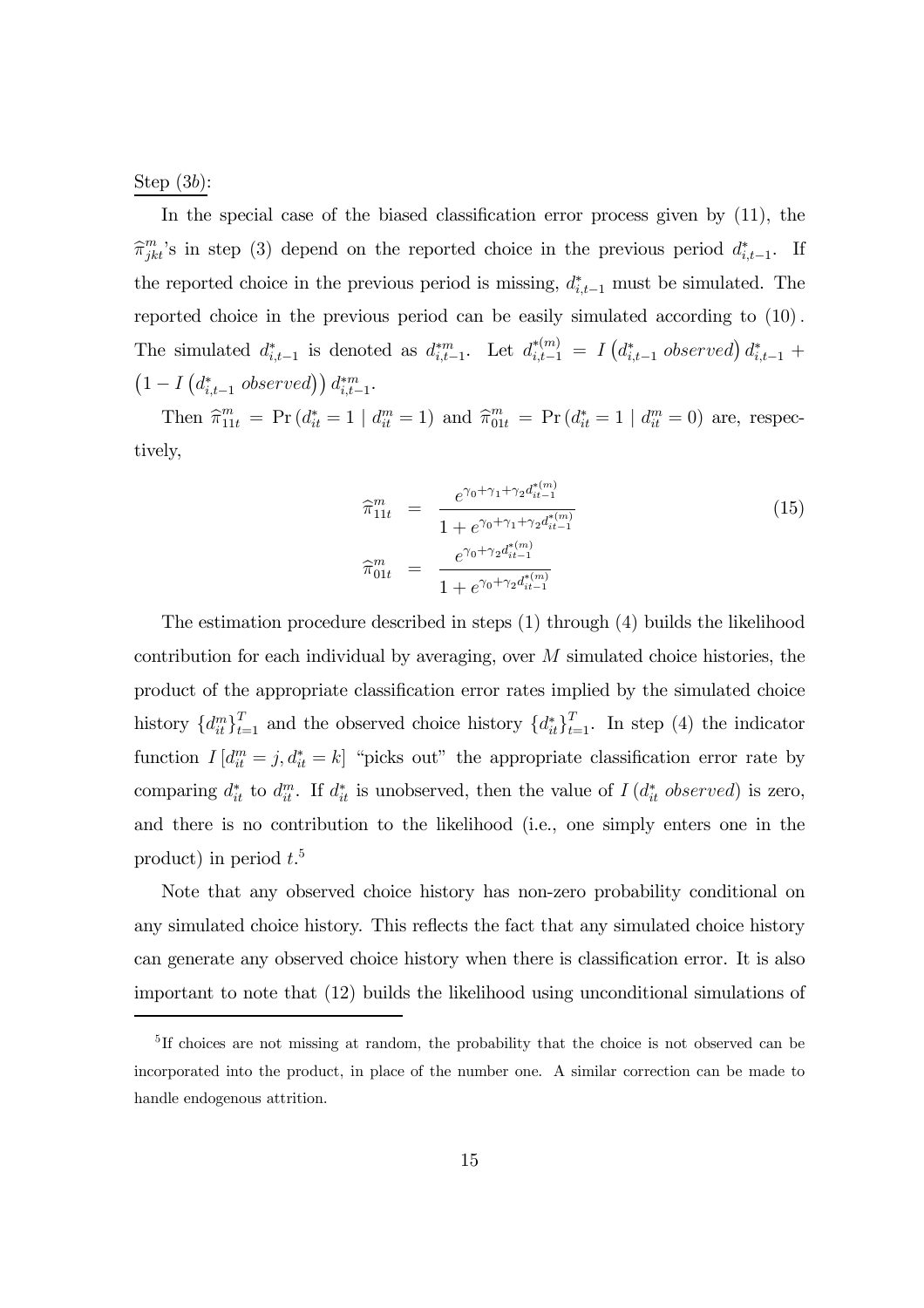Step  $(3b)$ :

In the special case of the biased classification error process given by (11), the  $\hat{\pi}_{jkt}^m$ 's in step (3) depend on the reported choice in the previous period  $d_{i,t-1}^*$ . If the reported choice in the previous period is missing,  $d_{i,t-1}^*$  must be simulated. The reported choice in the previous period can be easily simulated according to (10). The simulated  $d_{i,t-1}^*$  is denoted as  $d_{i,t-1}^{*m}$ . Let  $d_{i,t-1}^{*m} = I(d_{i,t-1}^*$  observed)  $d_{i,t-1}^*$  +  $\left(1-I\left(d^*_{i,t-1}\;observed\right)\right)d^{*m}_{i,t-1}.$ 

Then  $\hat{\pi}_{11t}^m = \Pr(d_{it}^* = 1 | d_{it}^m = 1)$  and  $\hat{\pi}_{01t}^m = \Pr(d_{it}^* = 1 | d_{it}^m = 0)$  are, respectively,

$$
\widehat{\pi}_{11t}^m = \frac{e^{\gamma_0 + \gamma_1 + \gamma_2 d_{it-1}^{*(m)}}}{1 + e^{\gamma_0 + \gamma_1 + \gamma_2 d_{it-1}^{*(m)}}}
$$
\n
$$
\widehat{\pi}_{01t}^m = \frac{e^{\gamma_0 + \gamma_2 d_{it-1}^{*(m)}}}{1 + e^{\gamma_0 + \gamma_2 d_{it-1}^{*(m)}}}
$$
\n(15)

The estimation procedure described in steps (1) through (4) builds the likelihood contribution for each individual by averaging, over M simulated choice histories, the product of the appropriate classification error rates implied by the simulated choice history  ${d_{it}^m}_{t=1}^T$  and the observed choice history  ${d_{it}^*}_{t=1}^T$ . In step (4) the indicator function  $I[d_{it}^m = j, d_{it}^* = k]$  "picks out" the appropriate classification error rate by comparing  $d_{it}^*$  to  $d_{it}^m$ . If  $d_{it}^*$  is unobserved, then the value of  $I(d_{it}^*$  observed) is zero, and there is no contribution to the likelihood (i.e., one simply enters one in the product) in period  $t<sup>5</sup>$ 

Note that any observed choice history has non-zero probability conditional on any simulated choice history. This reflects the fact that any simulated choice history can generate any observed choice history when there is classification error. It is also important to note that (12) builds the likelihood using unconditional simulations of

<sup>&</sup>lt;sup>5</sup>If choices are not missing at random, the probability that the choice is not observed can be incorporated into the product, in place of the number one. A similar correction can be made to handle endogenous attrition.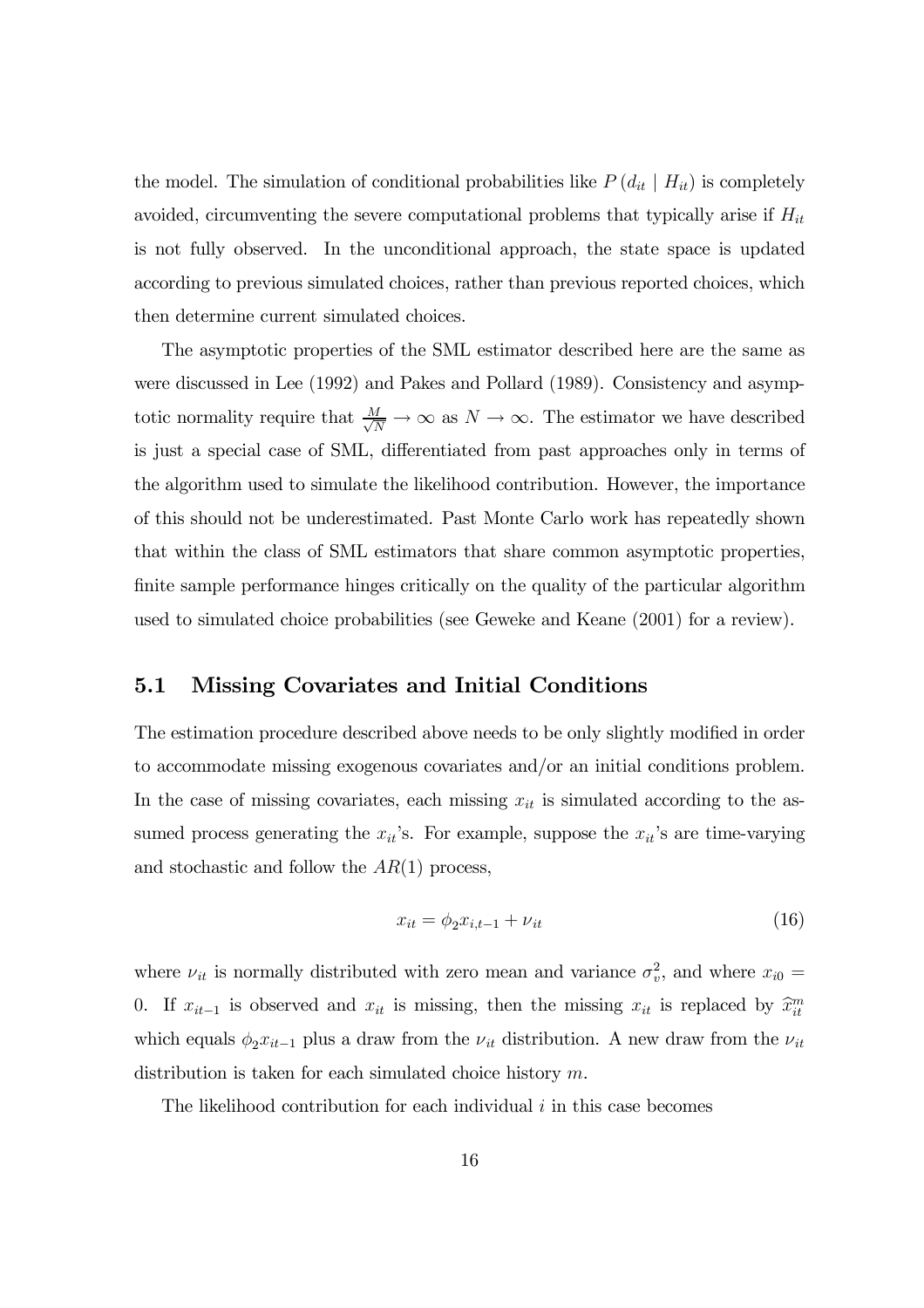the model. The simulation of conditional probabilities like  $P(d_{it} | H_{it})$  is completely avoided, circumventing the severe computational problems that typically arise if  $H_{it}$ is not fully observed. In the unconditional approach, the state space is updated according to previous simulated choices, rather than previous reported choices, which then determine current simulated choices.

The asymptotic properties of the SML estimator described here are the same as were discussed in Lee (1992) and Pakes and Pollard (1989). Consistency and asymptotic normality require that  $\frac{M}{\sqrt{N}} \to \infty$  as  $N \to \infty$ . The estimator we have described is just a special case of SML, differentiated from past approaches only in terms of the algorithm used to simulate the likelihood contribution. However, the importance of this should not be underestimated. Past Monte Carlo work has repeatedly shown that within the class of SML estimators that share common asymptotic properties, finite sample performance hinges critically on the quality of the particular algorithm used to simulated choice probabilities (see Geweke and Keane (2001) for a review).

#### 5.1 Missing Covariates and Initial Conditions

The estimation procedure described above needs to be only slightly modified in order to accommodate missing exogenous covariates and/or an initial conditions problem. In the case of missing covariates, each missing  $x_{it}$  is simulated according to the assumed process generating the  $x_{it}$ 's. For example, suppose the  $x_{it}$ 's are time-varying and stochastic and follow the  $AR(1)$  process,

$$
x_{it} = \phi_2 x_{i, t-1} + \nu_{it} \tag{16}
$$

where  $\nu_{it}$  is normally distributed with zero mean and variance  $\sigma_v^2$ , and where  $x_{i0} =$ 0. If  $x_{it-1}$  is observed and  $x_{it}$  is missing, then the missing  $x_{it}$  is replaced by  $\hat{x}_{it}^m$ which equals  $\phi_2 x_{it-1}$  plus a draw from the  $\nu_{it}$  distribution. A new draw from the  $\nu_{it}$ distribution is taken for each simulated choice history m.

The likelihood contribution for each individual  $i$  in this case becomes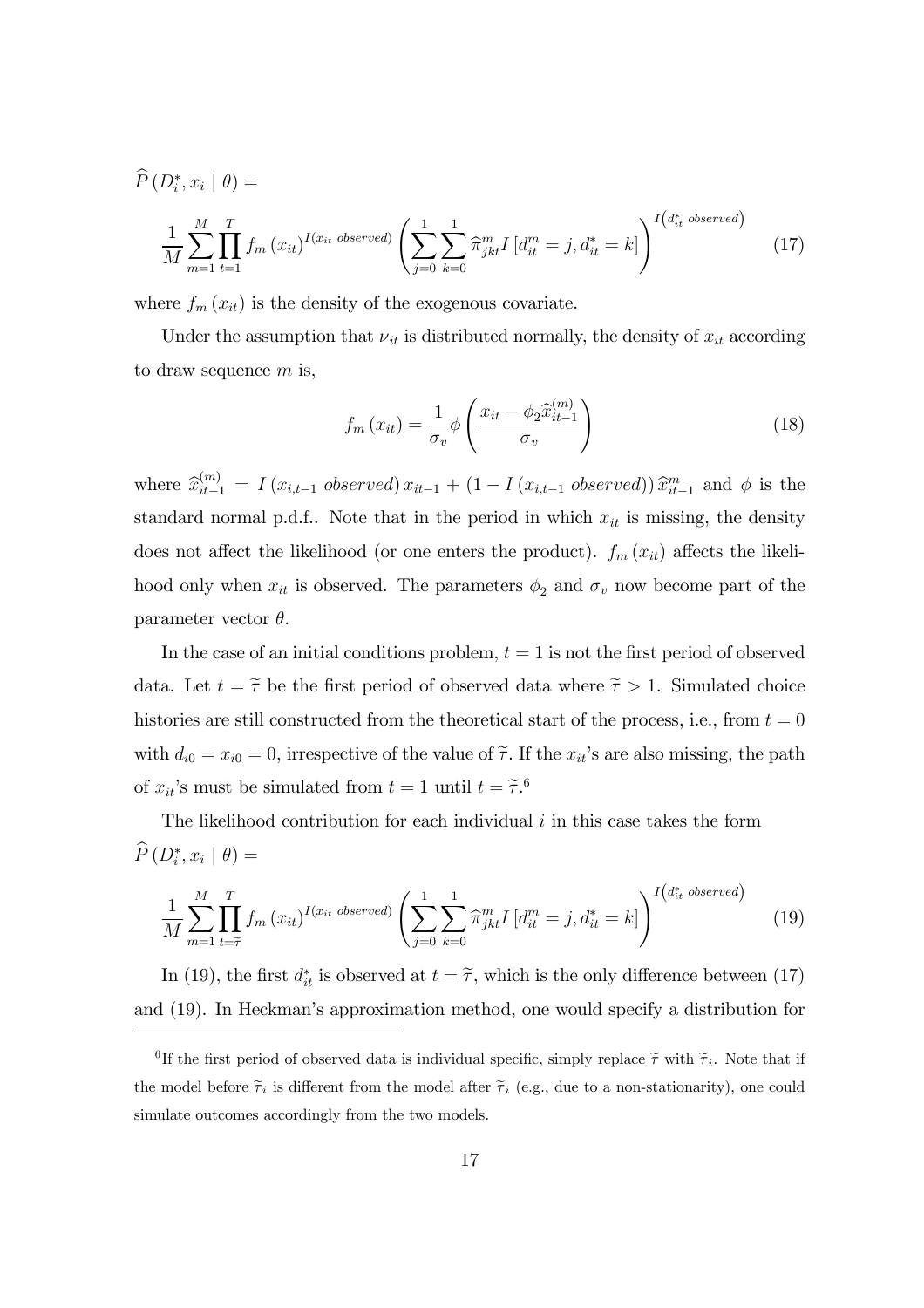$$
\widehat{P}(D_i^*, x_i | \theta) = \frac{1}{M} \sum_{m=1}^{M} \prod_{t=1}^{T} f_m(x_{it})^{I(x_{it} \text{ observed})} \left( \sum_{j=0}^{1} \sum_{k=0}^{1} \widehat{\pi}_{jkt}^m I[d_{it}^m = j, d_{it}^* = k] \right)^{I(d_{it}^* \text{ observed})}
$$
\n(17)

where  $f_m(x_{it})$  is the density of the exogenous covariate.

Under the assumption that  $\nu_{it}$  is distributed normally, the density of  $x_{it}$  according to draw sequence  $m$  is,

$$
f_m(x_{it}) = \frac{1}{\sigma_v} \phi \left( \frac{x_{it} - \phi_2 \hat{x}_{it-1}^{(m)}}{\sigma_v} \right)
$$
 (18)

where  $\hat{x}_{it-1}^{(m)} = I(x_{i,t-1} \text{ observed}) x_{it-1} + (1 - I(x_{i,t-1} \text{ observed})) \hat{x}_{it-1}^{m}$  and  $\phi$  is the standard normal p.d.f.. Note that in the period in which  $x_{it}$  is missing, the density does not affect the likelihood (or one enters the product).  $f_m(x_{it})$  affects the likelihood only when  $x_{it}$  is observed. The parameters  $\phi_2$  and  $\sigma_v$  now become part of the parameter vector  $\theta$ .

In the case of an initial conditions problem,  $t = 1$  is not the first period of observed data. Let  $t = \tilde{\tau}$  be the first period of observed data where  $\tilde{\tau} > 1$ . Simulated choice histories are still constructed from the theoretical start of the process, i.e., from  $t = 0$ with  $d_{i0} = x_{i0} = 0$ , irrespective of the value of  $\tilde{\tau}$ . If the  $x_{it}$ 's are also missing, the path of  $x_{it}$ 's must be simulated from  $t = 1$  until  $t = \tilde{\tau}$ .<sup>6</sup>

The likelihood contribution for each individual  $i$  in this case takes the form  $P(D_i^*, x_i | \theta) =$ 

$$
\frac{1}{M} \sum_{m=1}^{M} \prod_{t=\widetilde{\tau}}^{T} f_m(x_{it})^{I(x_{it} \text{ observed})} \left( \sum_{j=0}^{1} \sum_{k=0}^{1} \widehat{\pi}_{jkt}^m I\left[d_{it}^m = j, d_{it}^* = k\right] \right)^{I\left(d_{it}^* \text{ observed}\right)} \tag{19}
$$

In (19), the first  $d_{it}^*$  is observed at  $t = \tilde{\tau}$ , which is the only difference between (17) and (19). In Heckman's approximation method, one would specify a distribution for

<sup>&</sup>lt;sup>6</sup>If the first period of observed data is individual specific, simply replace  $\tilde{\tau}$  with  $\tilde{\tau}_i$ . Note that if the model before  $\tilde{\tau}_i$  is different from the model after  $\tilde{\tau}_i$  (e.g., due to a non-stationarity), one could simulate outcomes accordingly from the two models.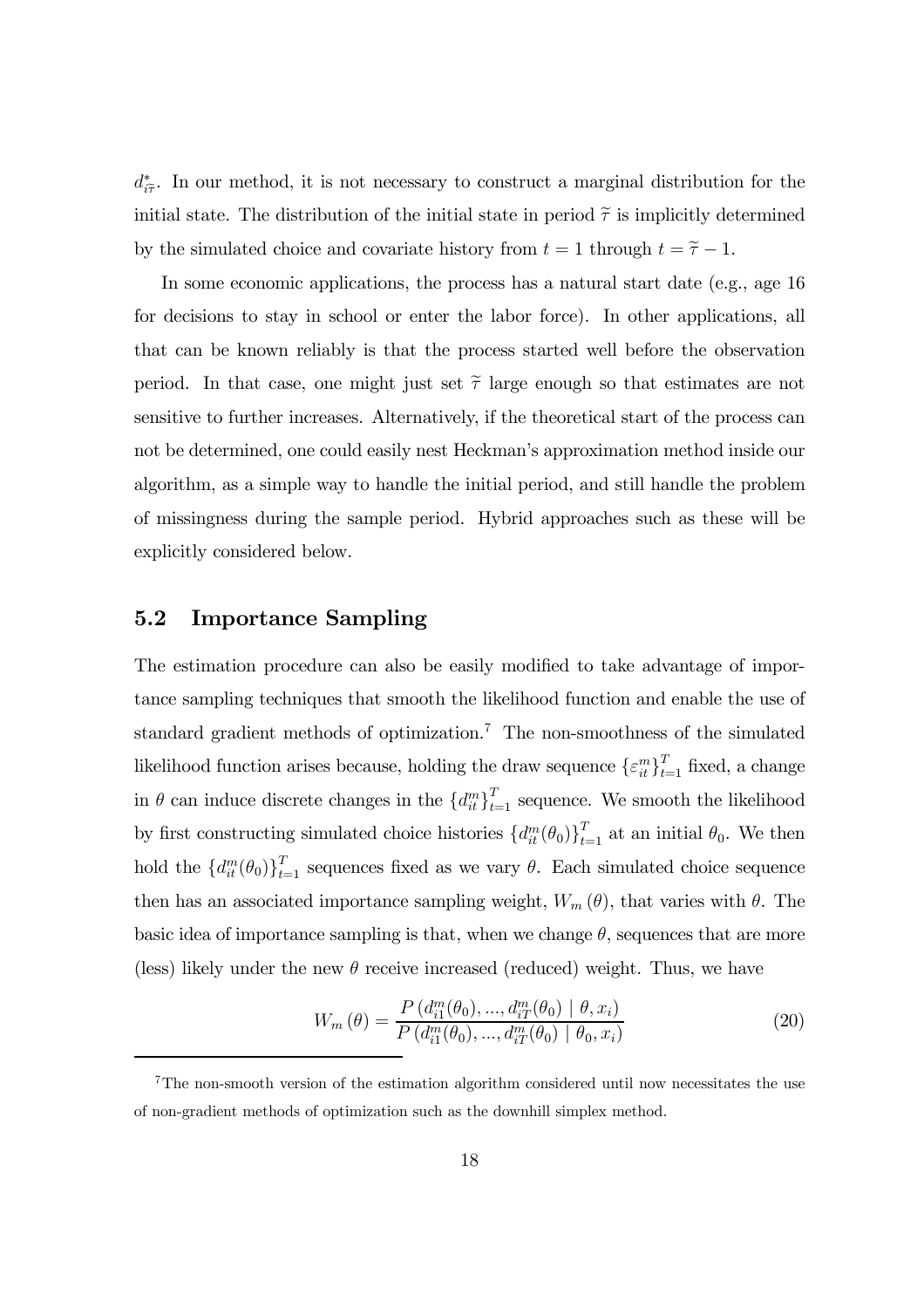$d^*_{i\tilde{\tau}}$ . In our method, it is not necessary to construct a marginal distribution for the initial state. The distribution of the initial state in period  $\tilde{\tau}$  is implicitly determined by the simulated choice and covariate history from  $t = 1$  through  $t = \tilde{\tau} - 1$ .

In some economic applications, the process has a natural start date (e.g., age 16 for decisions to stay in school or enter the labor force). In other applications, all that can be known reliably is that the process started well before the observation period. In that case, one might just set  $\tilde{\tau}$  large enough so that estimates are not sensitive to further increases. Alternatively, if the theoretical start of the process can not be determined, one could easily nest Heckman's approximation method inside our algorithm, as a simple way to handle the initial period, and still handle the problem of missingness during the sample period. Hybrid approaches such as these will be explicitly considered below.

#### 5.2 Importance Sampling

The estimation procedure can also be easily modified to take advantage of importance sampling techniques that smooth the likelihood function and enable the use of standard gradient methods of optimization.<sup>7</sup> The non-smoothness of the simulated likelihood function arises because, holding the draw sequence  $\{\varepsilon_{it}^m\}_{t=1}^T$  fixed, a change in  $\theta$  can induce discrete changes in the  $\{d_{it}^{m}\}_{t=1}^{T}$  sequence. We smooth the likelihood by first constructing simulated choice histories  $\{d_{it}^m(\theta_0)\}_{t=1}^T$  at an initial  $\theta_0$ . We then hold the  ${d_{it}^m(\theta_0)}_{t=1}^T$  sequences fixed as we vary  $\theta$ . Each simulated choice sequence then has an associated importance sampling weight,  $W_m(\theta)$ , that varies with  $\theta$ . The basic idea of importance sampling is that, when we change  $\theta$ , sequences that are more (less) likely under the new  $\theta$  receive increased (reduced) weight. Thus, we have

$$
W_m(\theta) = \frac{P(d_{i1}^m(\theta_0), ..., d_{iT}^m(\theta_0) | \theta, x_i)}{P(d_{i1}^m(\theta_0), ..., d_{iT}^m(\theta_0) | \theta_0, x_i)}
$$
(20)

<sup>&</sup>lt;sup>7</sup>The non-smooth version of the estimation algorithm considered until now necessitates the use of non-gradient methods of optimization such as the downhill simplex method.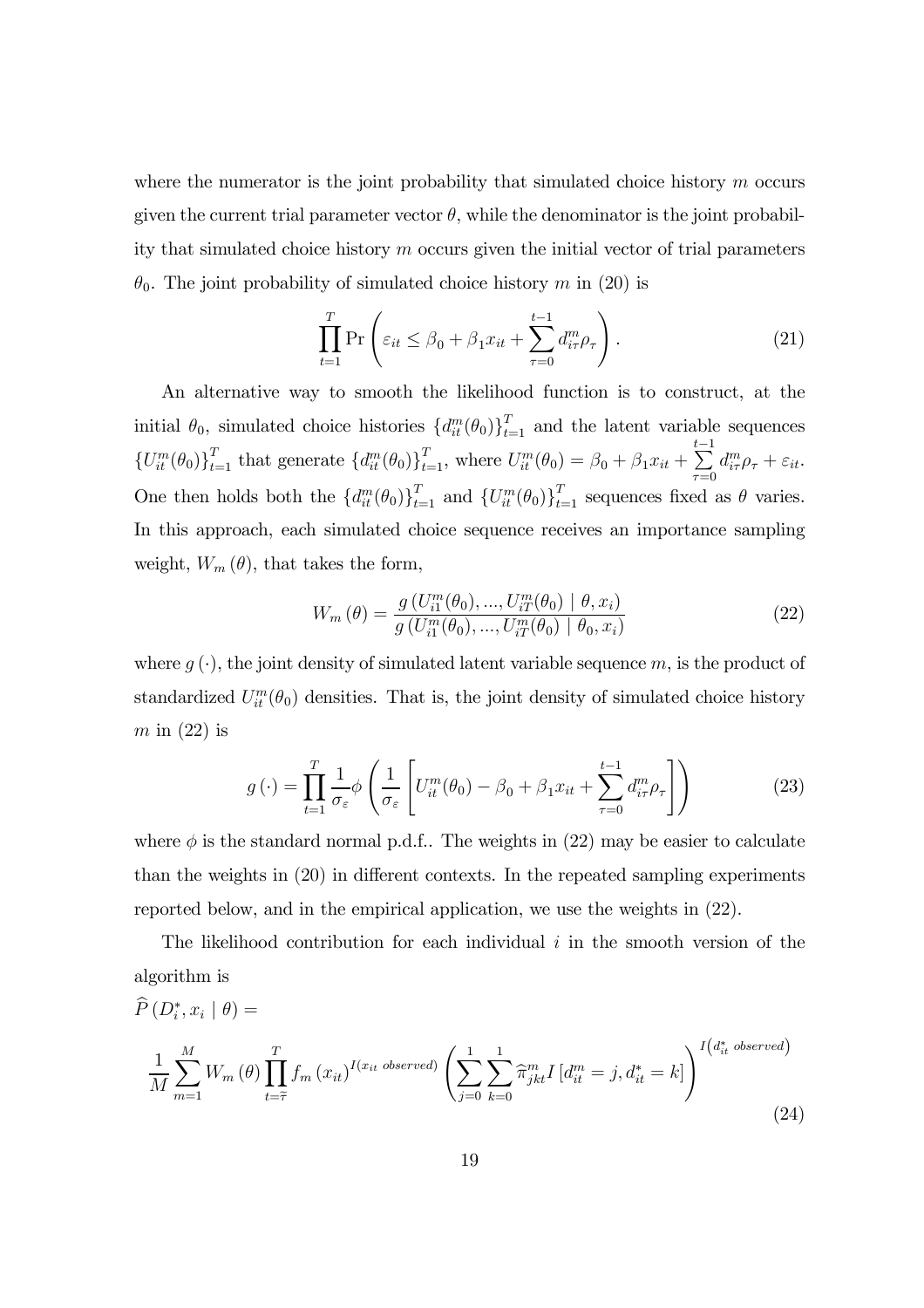where the numerator is the joint probability that simulated choice history  $m$  occurs given the current trial parameter vector  $\theta$ , while the denominator is the joint probability that simulated choice history m occurs given the initial vector of trial parameters  $\theta_0$ . The joint probability of simulated choice history m in (20) is

$$
\prod_{t=1}^{T} \Pr\left(\varepsilon_{it} \leq \beta_0 + \beta_1 x_{it} + \sum_{\tau=0}^{t-1} d_{i\tau}^m \rho_\tau\right).
$$
\n(21)

An alternative way to smooth the likelihood function is to construct, at the initial  $\theta_0$ , simulated choice histories  $\{d_{it}^m(\theta_0)\}_{t=1}^T$  and the latent variable sequences  $\{U_{it}^m(\theta_0)\}_{t=1}^T$  that generate  $\{d_{it}^m(\theta_0)\}_{t=1}^T$ , where  $U_{it}^m(\theta_0) = \beta_0 + \beta_1 x_{it} +$  $\sum_{i=1}^{t}$  $\tau = 0$  $d_{i\tau}^m \rho_{\tau} + \varepsilon_{it}.$ One then holds both the  $\{d_{it}^m(\theta_0)\}_{t=1}^T$  and  $\{U_{it}^m(\theta_0)\}_{t=1}^T$  sequences fixed as  $\theta$  varies. In this approach, each simulated choice sequence receives an importance sampling weight,  $W_m(\theta)$ , that takes the form,

$$
W_m(\theta) = \frac{g(U_{i1}^m(\theta_0), ..., U_{iT}^m(\theta_0) | \theta, x_i)}{g(U_{i1}^m(\theta_0), ..., U_{iT}^m(\theta_0) | \theta_0, x_i)}
$$
(22)

where  $g(\cdot)$ , the joint density of simulated latent variable sequence m, is the product of standardized  $U_{it}^m(\theta_0)$  densities. That is, the joint density of simulated choice history  $m$  in (22) is

$$
g\left(\cdot\right) = \prod_{t=1}^{T} \frac{1}{\sigma_{\varepsilon}} \phi\left(\frac{1}{\sigma_{\varepsilon}} \left[U_{it}^{m}(\theta_{0}) - \beta_{0} + \beta_{1}x_{it} + \sum_{\tau=0}^{t-1} d_{i\tau}^{m} \rho_{\tau}\right]\right)
$$
(23)

where  $\phi$  is the standard normal p.d.f.. The weights in (22) may be easier to calculate than the weights in (20) in different contexts. In the repeated sampling experiments reported below, and in the empirical application, we use the weights in (22).

The likelihood contribution for each individual  $i$  in the smooth version of the algorithm is

$$
\widehat{P}(D_i^*, x_i | \theta) =
$$
\n
$$
\frac{1}{M} \sum_{m=1}^{M} W_m(\theta) \prod_{t=\widetilde{\tau}}^{T} f_m(x_{it})^{I(x_{it} \text{ observed})} \left( \sum_{j=0}^{1} \sum_{k=0}^{1} \widehat{\pi}_{jkt}^m I[d_{it}^m = j, d_{it}^* = k] \right)^{I\left(d_{it}^* \text{ observed}\right)}
$$
\n(24)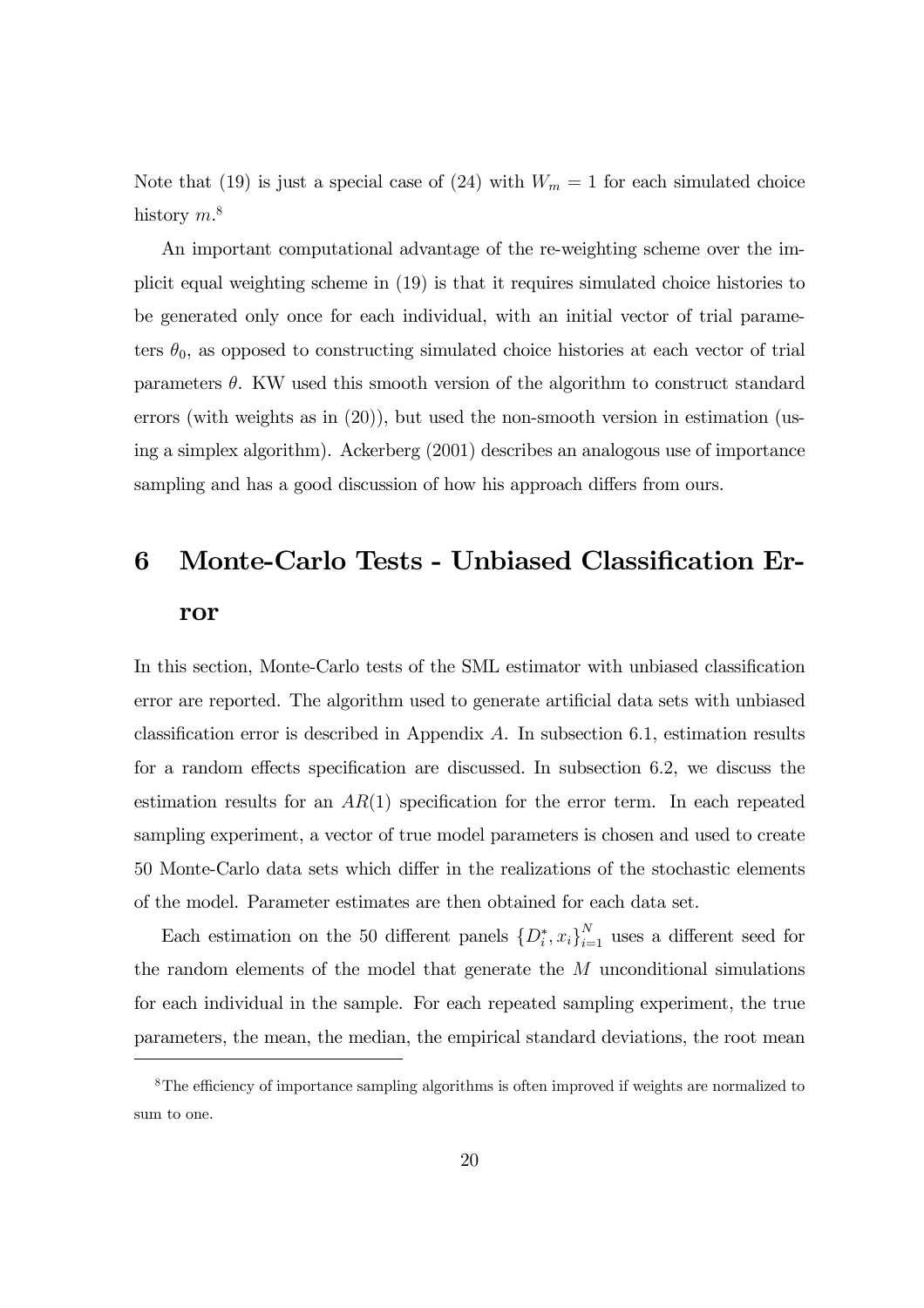Note that (19) is just a special case of (24) with  $W_m = 1$  for each simulated choice history  $m$ <sup>8</sup>

An important computational advantage of the re-weighting scheme over the implicit equal weighting scheme in (19) is that it requires simulated choice histories to be generated only once for each individual, with an initial vector of trial parameters  $\theta_0$ , as opposed to constructing simulated choice histories at each vector of trial parameters  $\theta$ . KW used this smooth version of the algorithm to construct standard errors (with weights as in (20)), but used the non-smooth version in estimation (using a simplex algorithm). Ackerberg (2001) describes an analogous use of importance sampling and has a good discussion of how his approach differs from ours.

## 6 Monte-Carlo Tests - Unbiased Classification Error

In this section, Monte-Carlo tests of the SML estimator with unbiased classification error are reported. The algorithm used to generate artificial data sets with unbiased classification error is described in Appendix  $A$ . In subsection 6.1, estimation results for a random effects specification are discussed. In subsection 6.2, we discuss the estimation results for an  $AR(1)$  specification for the error term. In each repeated sampling experiment, a vector of true model parameters is chosen and used to create 50 Monte-Carlo data sets which differ in the realizations of the stochastic elements of the model. Parameter estimates are then obtained for each data set.

Each estimation on the 50 different panels  $\{D_i^*, x_i\}_{i=1}^N$  uses a different seed for the random elements of the model that generate the M unconditional simulations for each individual in the sample. For each repeated sampling experiment, the true parameters, the mean, the median, the empirical standard deviations, the root mean

<sup>&</sup>lt;sup>8</sup>The efficiency of importance sampling algorithms is often improved if weights are normalized to sum to one.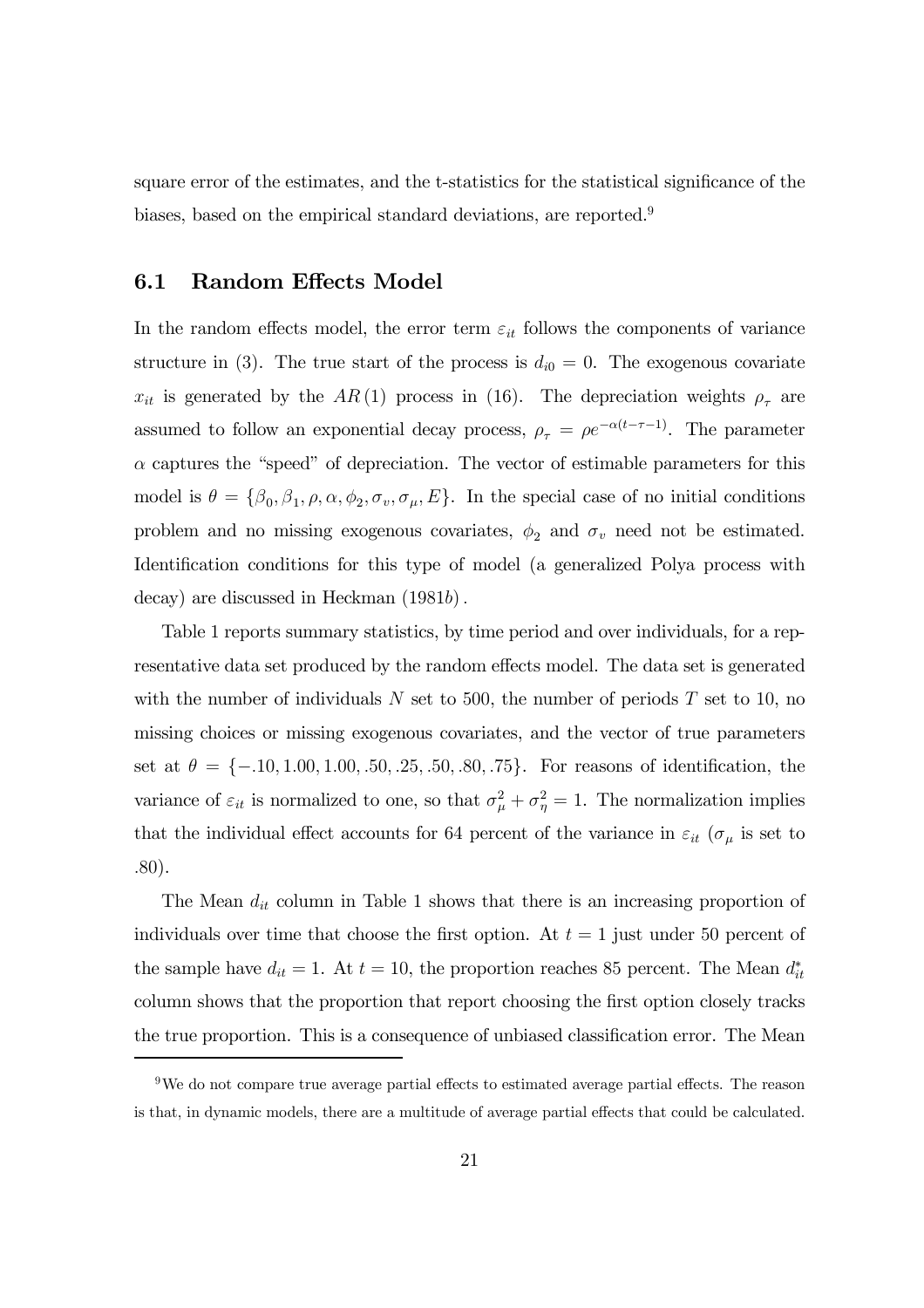square error of the estimates, and the t-statistics for the statistical significance of the biases, based on the empirical standard deviations, are reported.9

#### 6.1 Random Effects Model

In the random effects model, the error term  $\varepsilon_{it}$  follows the components of variance structure in (3). The true start of the process is  $d_{i0} = 0$ . The exogenous covariate  $x_{it}$  is generated by the AR(1) process in (16). The depreciation weights  $\rho_{\tau}$  are assumed to follow an exponential decay process,  $\rho_{\tau} = \rho e^{-\alpha(t-\tau-1)}$ . The parameter  $\alpha$  captures the "speed" of depreciation. The vector of estimable parameters for this model is  $\theta = {\beta_0, \beta_1, \rho, \alpha, \phi_2, \sigma_v, \sigma_\mu, E}$ . In the special case of no initial conditions problem and no missing exogenous covariates,  $\phi_2$  and  $\sigma_v$  need not be estimated. Identification conditions for this type of model (a generalized Polya process with decay) are discussed in Heckman (1981b).

Table 1 reports summary statistics, by time period and over individuals, for a representative data set produced by the random effects model. The data set is generated with the number of individuals  $N$  set to 500, the number of periods  $T$  set to 10, no missing choices or missing exogenous covariates, and the vector of true parameters set at  $\theta = \{-.10, 1.00, 1.00, .50, .25, .50, .80, .75\}$ . For reasons of identification, the variance of  $\varepsilon_{it}$  is normalized to one, so that  $\sigma_{\mu}^2 + \sigma_{\eta}^2 = 1$ . The normalization implies that the individual effect accounts for 64 percent of the variance in  $\varepsilon_{it}$  ( $\sigma_{\mu}$  is set to .80).

The Mean  $d_{it}$  column in Table 1 shows that there is an increasing proportion of individuals over time that choose the first option. At  $t = 1$  just under 50 percent of the sample have  $d_{it} = 1$ . At  $t = 10$ , the proportion reaches 85 percent. The Mean  $d_{it}^*$ column shows that the proportion that report choosing the first option closely tracks the true proportion. This is a consequence of unbiased classification error. The Mean

 $9$ We do not compare true average partial effects to estimated average partial effects. The reason is that, in dynamic models, there are a multitude of average partial effects that could be calculated.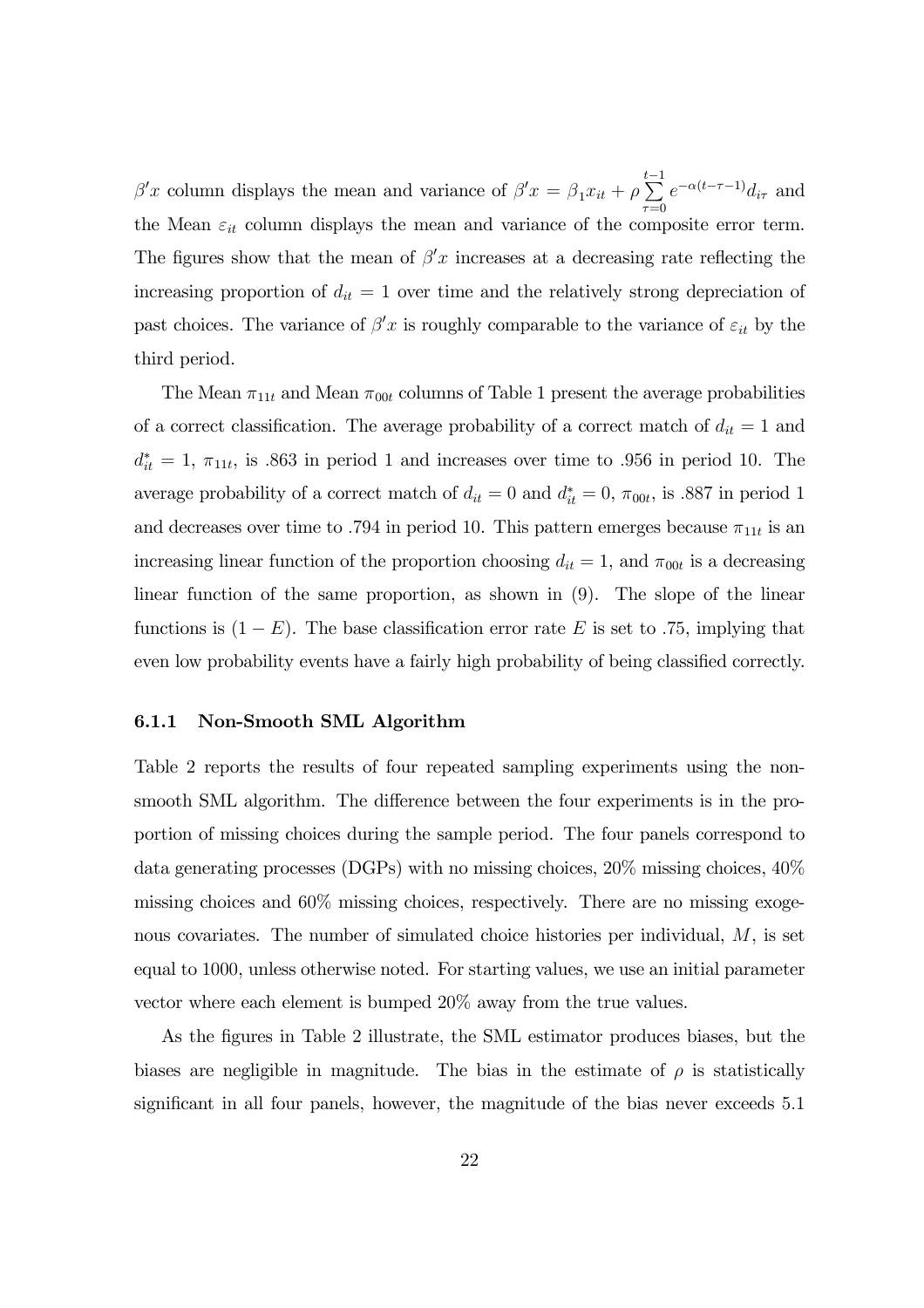$\beta'$ x column displays the mean and variance of  $\beta'$ x =  $\beta_1$ x<sub>it</sub> +  $\rho$  $\sum_{i=1}^{t-1}$  $\tau = 0$  $e^{-\alpha(t-\tau-1)}d_{i\tau}$  and the Mean  $\varepsilon_{it}$  column displays the mean and variance of the composite error term. The figures show that the mean of  $\beta' x$  increases at a decreasing rate reflecting the increasing proportion of  $d_{it} = 1$  over time and the relatively strong depreciation of past choices. The variance of  $\beta' x$  is roughly comparable to the variance of  $\varepsilon_{it}$  by the third period.

The Mean  $\pi_{11t}$  and Mean  $\pi_{00t}$  columns of Table 1 present the average probabilities of a correct classification. The average probability of a correct match of  $d_{it} = 1$  and  $d_{it}^* = 1$ ,  $\pi_{11t}$ , is .863 in period 1 and increases over time to .956 in period 10. The average probability of a correct match of  $d_{it} = 0$  and  $d_{it}^* = 0$ ,  $\pi_{00t}$ , is .887 in period 1 and decreases over time to .794 in period 10. This pattern emerges because  $\pi_{11t}$  is an increasing linear function of the proportion choosing  $d_{it} = 1$ , and  $\pi_{00t}$  is a decreasing linear function of the same proportion, as shown in (9). The slope of the linear functions is  $(1 - E)$ . The base classification error rate E is set to .75, implying that even low probability events have a fairly high probability of being classified correctly.

#### 6.1.1 Non-Smooth SML Algorithm

Table 2 reports the results of four repeated sampling experiments using the nonsmooth SML algorithm. The difference between the four experiments is in the proportion of missing choices during the sample period. The four panels correspond to data generating processes (DGPs) with no missing choices, 20% missing choices, 40% missing choices and 60% missing choices, respectively. There are no missing exogenous covariates. The number of simulated choice histories per individual, M, is set equal to 1000, unless otherwise noted. For starting values, we use an initial parameter vector where each element is bumped 20% away from the true values.

As the figures in Table 2 illustrate, the SML estimator produces biases, but the biases are negligible in magnitude. The bias in the estimate of  $\rho$  is statistically significant in all four panels, however, the magnitude of the bias never exceeds 5.1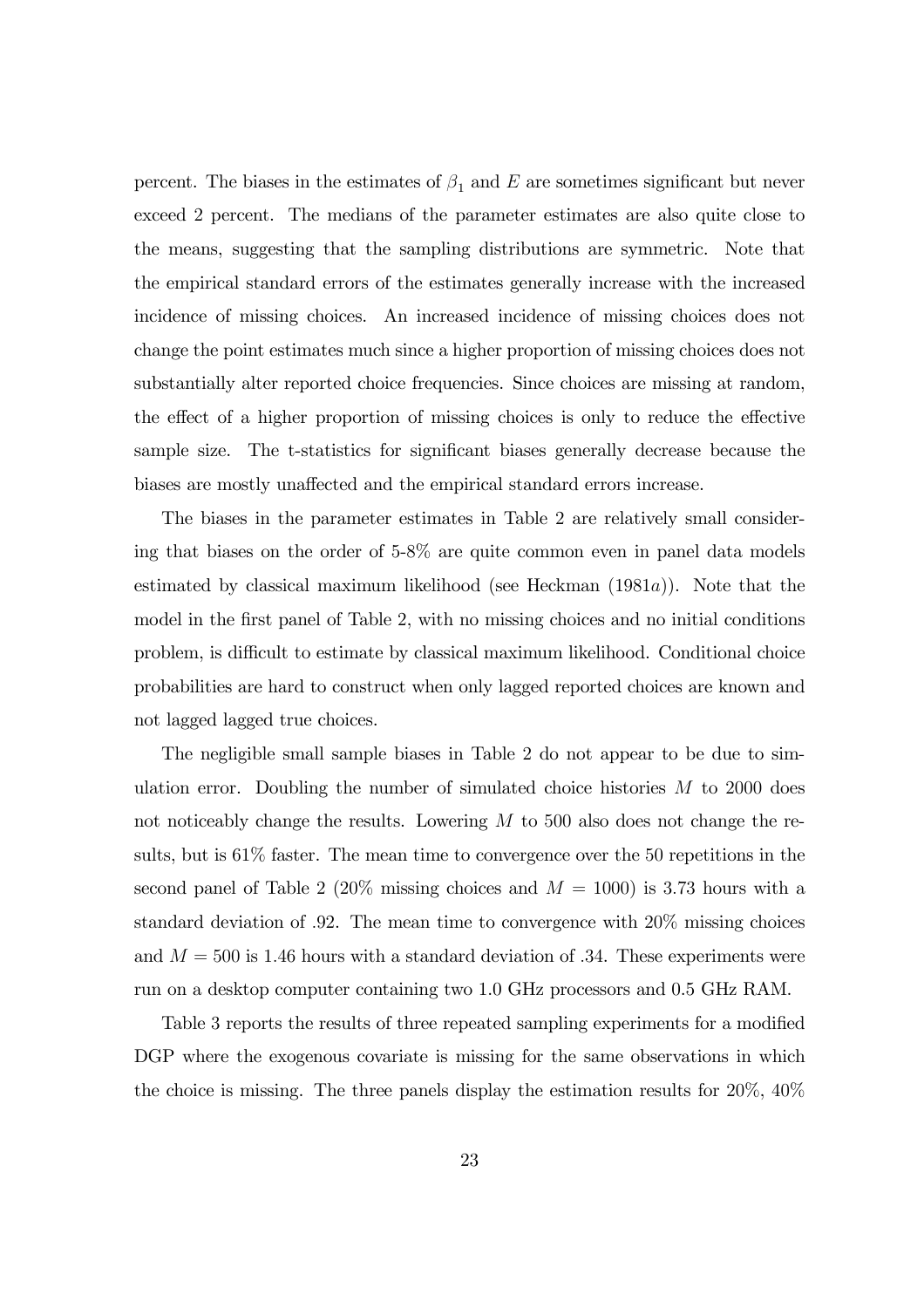percent. The biases in the estimates of  $\beta_1$  and E are sometimes significant but never exceed 2 percent. The medians of the parameter estimates are also quite close to the means, suggesting that the sampling distributions are symmetric. Note that the empirical standard errors of the estimates generally increase with the increased incidence of missing choices. An increased incidence of missing choices does not change the point estimates much since a higher proportion of missing choices does not substantially alter reported choice frequencies. Since choices are missing at random, the effect of a higher proportion of missing choices is only to reduce the effective sample size. The t-statistics for significant biases generally decrease because the biases are mostly unaffected and the empirical standard errors increase.

The biases in the parameter estimates in Table 2 are relatively small considering that biases on the order of 5-8% are quite common even in panel data models estimated by classical maximum likelihood (see Heckman  $(1981a)$ ). Note that the model in the first panel of Table 2, with no missing choices and no initial conditions problem, is difficult to estimate by classical maximum likelihood. Conditional choice probabilities are hard to construct when only lagged reported choices are known and not lagged lagged true choices.

The negligible small sample biases in Table 2 do not appear to be due to simulation error. Doubling the number of simulated choice histories  $M$  to 2000 does not noticeably change the results. Lowering  $M$  to 500 also does not change the results, but is 61% faster. The mean time to convergence over the 50 repetitions in the second panel of Table 2 (20% missing choices and  $M = 1000$ ) is 3.73 hours with a standard deviation of .92. The mean time to convergence with 20% missing choices and  $M = 500$  is 1.46 hours with a standard deviation of .34. These experiments were run on a desktop computer containing two 1.0 GHz processors and 0.5 GHz RAM.

Table 3 reports the results of three repeated sampling experiments for a modified DGP where the exogenous covariate is missing for the same observations in which the choice is missing. The three panels display the estimation results for 20%, 40%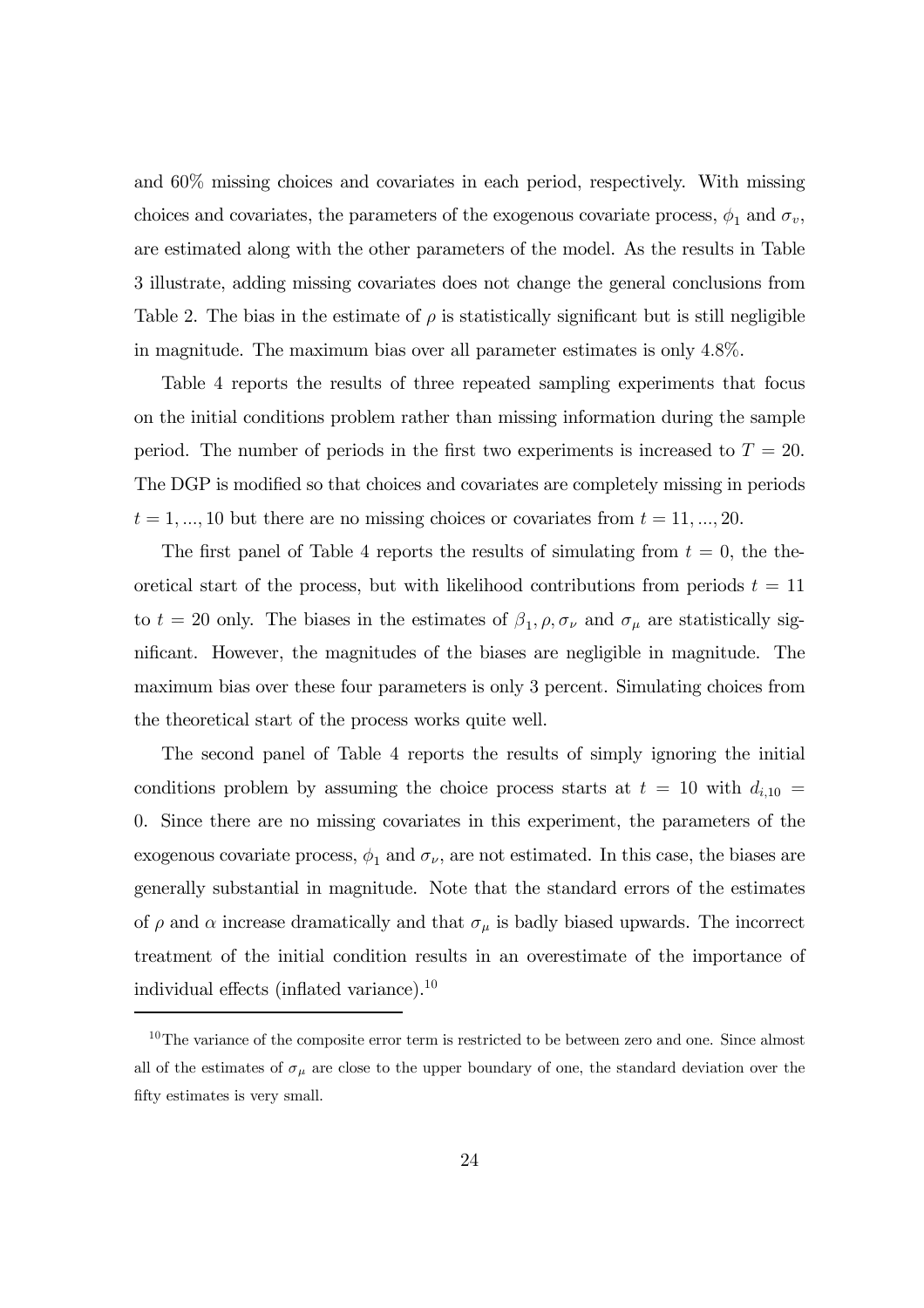and 60% missing choices and covariates in each period, respectively. With missing choices and covariates, the parameters of the exogenous covariate process,  $\phi_1$  and  $\sigma_v$ , are estimated along with the other parameters of the model. As the results in Table 3 illustrate, adding missing covariates does not change the general conclusions from Table 2. The bias in the estimate of  $\rho$  is statistically significant but is still negligible in magnitude. The maximum bias over all parameter estimates is only 4.8%.

Table 4 reports the results of three repeated sampling experiments that focus on the initial conditions problem rather than missing information during the sample period. The number of periods in the first two experiments is increased to  $T = 20$ . The DGP is modified so that choices and covariates are completely missing in periods  $t = 1, ..., 10$  but there are no missing choices or covariates from  $t = 11, ..., 20$ .

The first panel of Table 4 reports the results of simulating from  $t = 0$ , the theoretical start of the process, but with likelihood contributions from periods  $t = 11$ to  $t = 20$  only. The biases in the estimates of  $\beta_1, \rho, \sigma_\nu$  and  $\sigma_\mu$  are statistically significant. However, the magnitudes of the biases are negligible in magnitude. The maximum bias over these four parameters is only 3 percent. Simulating choices from the theoretical start of the process works quite well.

The second panel of Table 4 reports the results of simply ignoring the initial conditions problem by assuming the choice process starts at  $t = 10$  with  $d_{i,10} =$ 0. Since there are no missing covariates in this experiment, the parameters of the exogenous covariate process,  $\phi_1$  and  $\sigma_{\nu}$ , are not estimated. In this case, the biases are generally substantial in magnitude. Note that the standard errors of the estimates of  $\rho$  and  $\alpha$  increase dramatically and that  $\sigma_{\mu}$  is badly biased upwards. The incorrect treatment of the initial condition results in an overestimate of the importance of individual effects (inflated variance).10

<sup>&</sup>lt;sup>10</sup>The variance of the composite error term is restricted to be between zero and one. Since almost all of the estimates of  $\sigma_{\mu}$  are close to the upper boundary of one, the standard deviation over the fifty estimates is very small.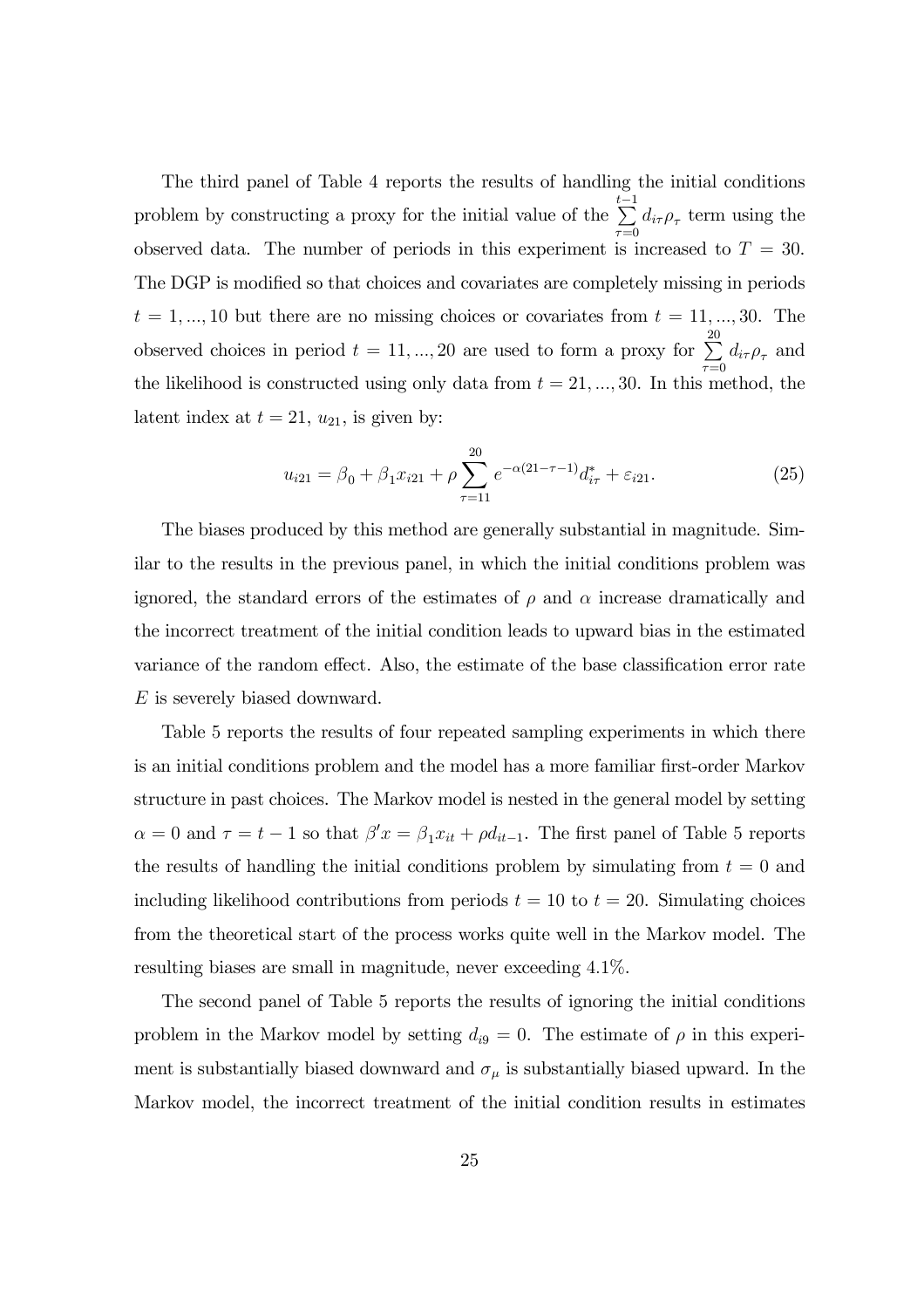The third panel of Table 4 reports the results of handling the initial conditions problem by constructing a proxy for the initial value of the  $\sum_{i=1}^{t-1}$  $\sum_{\tau=0} d_{i\tau} \rho_{\tau}$  term using the observed data. The number of periods in this experiment is increased to  $T = 30$ . The DGP is modified so that choices and covariates are completely missing in periods  $t = 1, ..., 10$  but there are no missing choices or covariates from  $t = 11, ..., 30$ . The observed choices in period  $t = 11, ..., 20$  are used to form a proxy for  $\sum_{n=1}^{\infty}$  $\sum_{\tau=0} d_{i\tau} \rho_{\tau}$  and the likelihood is constructed using only data from  $t = 21, ..., 30$ . In this method, the latent index at  $t = 21$ ,  $u_{21}$ , is given by:

$$
u_{i21} = \beta_0 + \beta_1 x_{i21} + \rho \sum_{\tau=11}^{20} e^{-\alpha(21-\tau-1)} d_{i\tau}^* + \varepsilon_{i21}.
$$
 (25)

The biases produced by this method are generally substantial in magnitude. Similar to the results in the previous panel, in which the initial conditions problem was ignored, the standard errors of the estimates of  $\rho$  and  $\alpha$  increase dramatically and the incorrect treatment of the initial condition leads to upward bias in the estimated variance of the random effect. Also, the estimate of the base classification error rate E is severely biased downward.

Table 5 reports the results of four repeated sampling experiments in which there is an initial conditions problem and the model has a more familiar first-order Markov structure in past choices. The Markov model is nested in the general model by setting  $\alpha = 0$  and  $\tau = t - 1$  so that  $\beta' x = \beta_1 x_{it} + \rho d_{it-1}$ . The first panel of Table 5 reports the results of handling the initial conditions problem by simulating from  $t = 0$  and including likelihood contributions from periods  $t = 10$  to  $t = 20$ . Simulating choices from the theoretical start of the process works quite well in the Markov model. The resulting biases are small in magnitude, never exceeding 4.1%.

The second panel of Table 5 reports the results of ignoring the initial conditions problem in the Markov model by setting  $d_{i9} = 0$ . The estimate of  $\rho$  in this experiment is substantially biased downward and  $\sigma_{\mu}$  is substantially biased upward. In the Markov model, the incorrect treatment of the initial condition results in estimates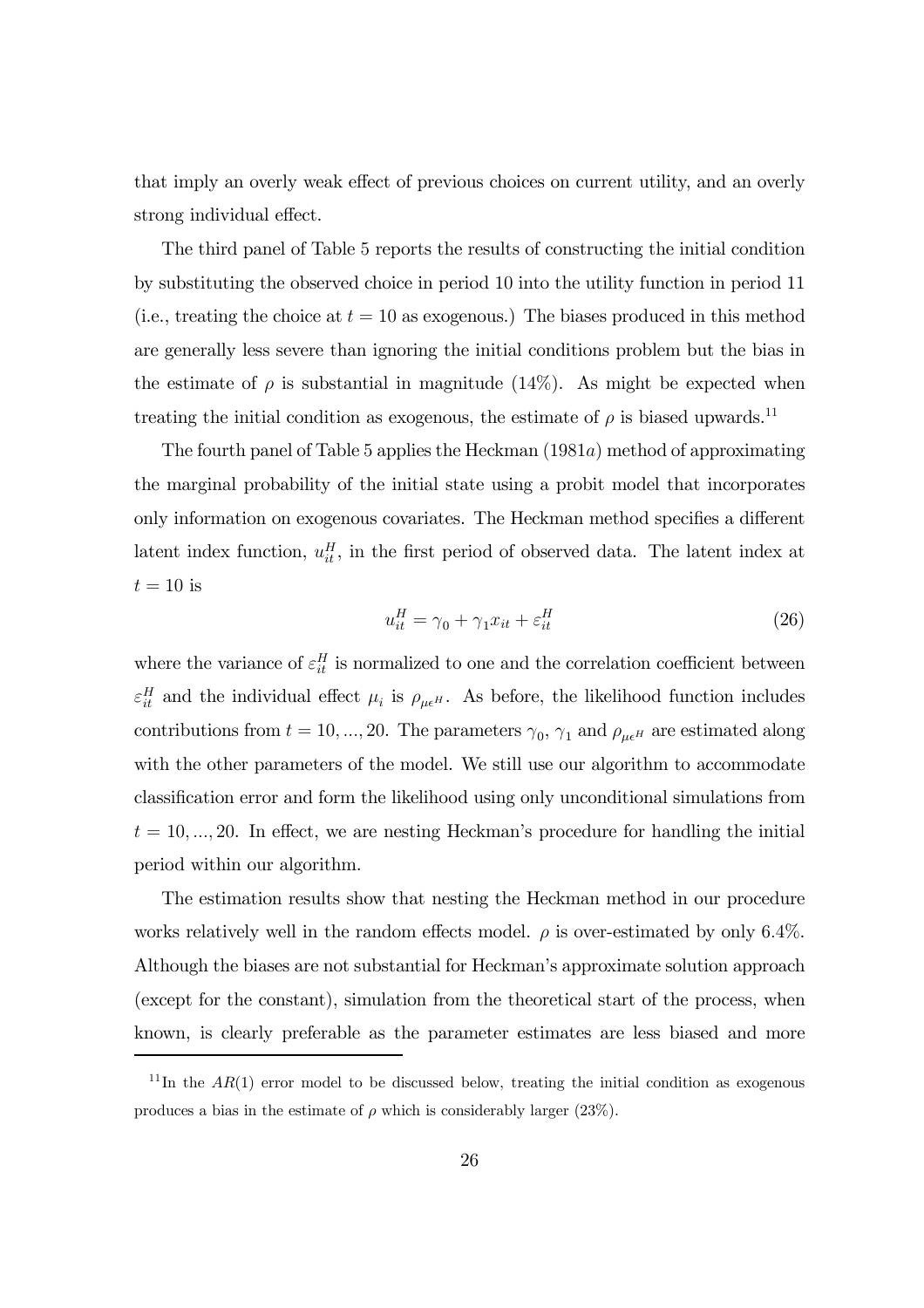that imply an overly weak effect of previous choices on current utility, and an overly strong individual effect.

The third panel of Table 5 reports the results of constructing the initial condition by substituting the observed choice in period 10 into the utility function in period 11 (i.e., treating the choice at  $t = 10$  as exogenous.) The biases produced in this method are generally less severe than ignoring the initial conditions problem but the bias in the estimate of  $\rho$  is substantial in magnitude (14%). As might be expected when treating the initial condition as exogenous, the estimate of  $\rho$  is biased upwards.<sup>11</sup>

The fourth panel of Table 5 applies the Heckman (1981a) method of approximating the marginal probability of the initial state using a probit model that incorporates only information on exogenous covariates. The Heckman method specifies a different latent index function,  $u_{it}^H$ , in the first period of observed data. The latent index at  $t = 10$  is

$$
u_{it}^H = \gamma_0 + \gamma_1 x_{it} + \varepsilon_{it}^H \tag{26}
$$

where the variance of  $\varepsilon_{it}^H$  is normalized to one and the correlation coefficient between  $\varepsilon_{it}^H$  and the individual effect  $\mu_i$  is  $\rho_{\mu\epsilon^H}$ . As before, the likelihood function includes contributions from  $t = 10, ..., 20$ . The parameters  $\gamma_0$ ,  $\gamma_1$  and  $\rho_{\mu\epsilon}$  are estimated along with the other parameters of the model. We still use our algorithm to accommodate classification error and form the likelihood using only unconditional simulations from  $t = 10, \ldots, 20$ . In effect, we are nesting Heckman's procedure for handling the initial period within our algorithm.

The estimation results show that nesting the Heckman method in our procedure works relatively well in the random effects model.  $\rho$  is over-estimated by only 6.4%. Although the biases are not substantial for Heckman's approximate solution approach (except for the constant), simulation from the theoretical start of the process, when known, is clearly preferable as the parameter estimates are less biased and more

<sup>&</sup>lt;sup>11</sup>In the  $AR(1)$  error model to be discussed below, treating the initial condition as exogenous produces a bias in the estimate of  $\rho$  which is considerably larger (23%).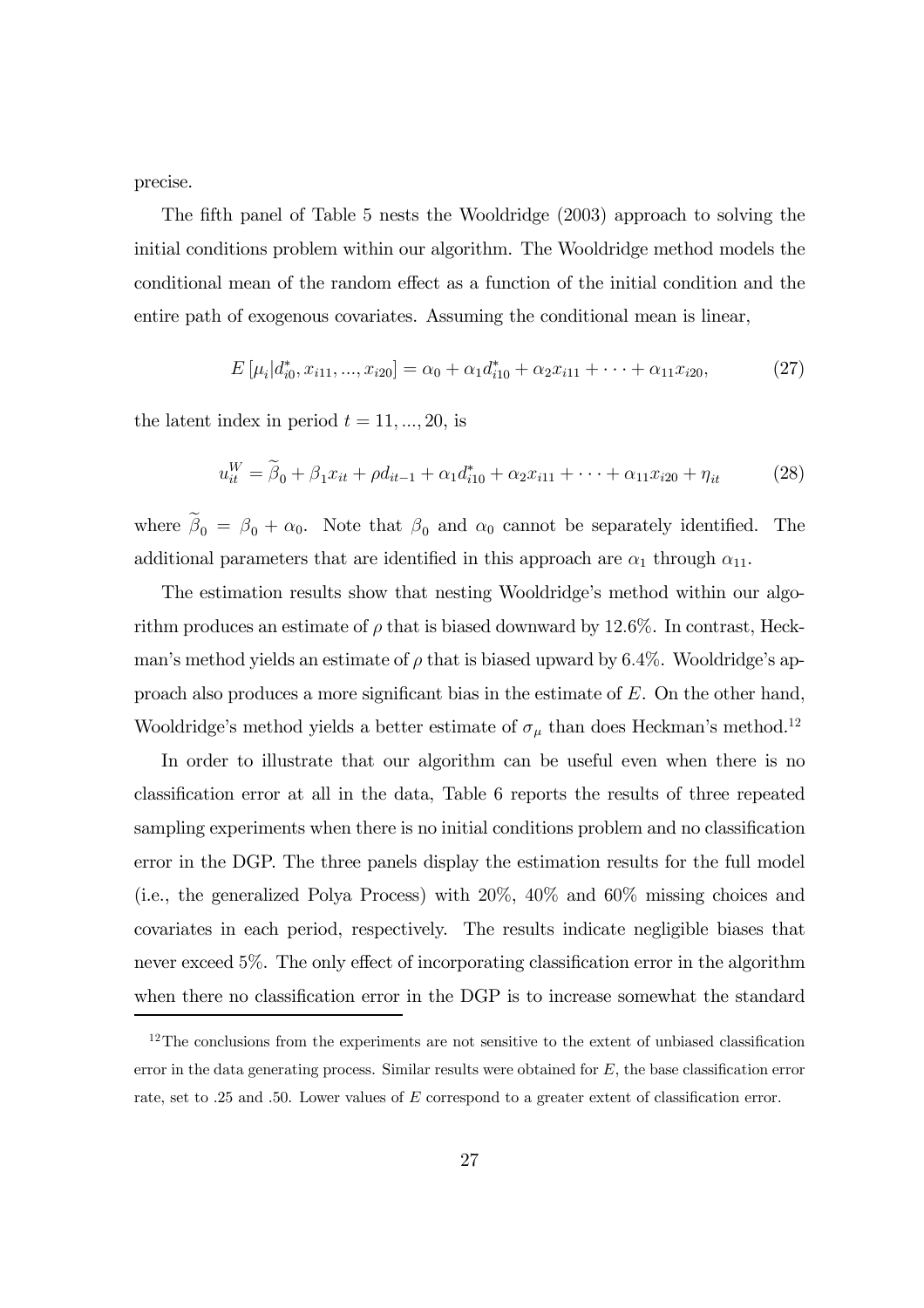precise.

The fifth panel of Table 5 nests the Wooldridge (2003) approach to solving the initial conditions problem within our algorithm. The Wooldridge method models the conditional mean of the random effect as a function of the initial condition and the entire path of exogenous covariates. Assuming the conditional mean is linear,

$$
E\left[\mu_i|d_{i0}^*, x_{i11}, ..., x_{i20}\right] = \alpha_0 + \alpha_1 d_{i10}^* + \alpha_2 x_{i11} + \dots + \alpha_{11} x_{i20},\tag{27}
$$

the latent index in period  $t = 11, ..., 20$ , is

$$
u_{it}^W = \tilde{\beta}_0 + \beta_1 x_{it} + \rho d_{it-1} + \alpha_1 d_{i10}^* + \alpha_2 x_{i11} + \dots + \alpha_{11} x_{i20} + \eta_{it}
$$
 (28)

where  $\beta_0 = \beta_0 + \alpha_0$ . Note that  $\beta_0$  and  $\alpha_0$  cannot be separately identified. The additional parameters that are identified in this approach are  $\alpha_1$  through  $\alpha_{11}$ .

The estimation results show that nesting Wooldridge's method within our algorithm produces an estimate of  $\rho$  that is biased downward by 12.6%. In contrast, Heckman's method yields an estimate of  $\rho$  that is biased upward by 6.4%. Wooldridge's approach also produces a more significant bias in the estimate of E. On the other hand, Wooldridge's method yields a better estimate of  $\sigma_{\mu}$  than does Heckman's method.<sup>12</sup>

In order to illustrate that our algorithm can be useful even when there is no classification error at all in the data, Table 6 reports the results of three repeated sampling experiments when there is no initial conditions problem and no classification error in the DGP. The three panels display the estimation results for the full model (i.e., the generalized Polya Process) with 20%, 40% and 60% missing choices and covariates in each period, respectively. The results indicate negligible biases that never exceed 5%. The only effect of incorporating classification error in the algorithm when there no classification error in the DGP is to increase somewhat the standard

 $12$ The conclusions from the experiments are not sensitive to the extent of unbiased classification error in the data generating process. Similar results were obtained for  $E$ , the base classification error rate, set to .25 and .50. Lower values of E correspond to a greater extent of classification error.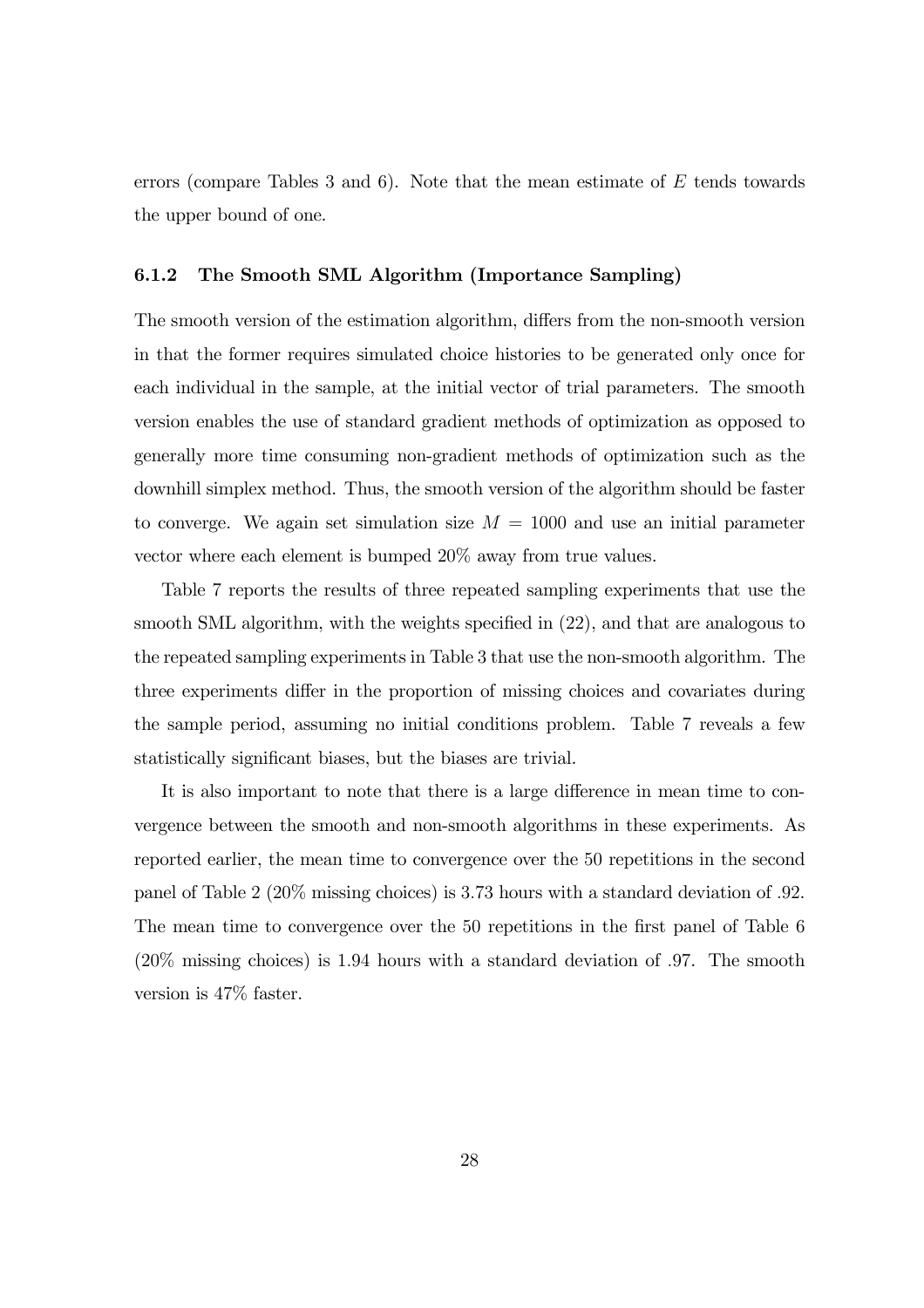errors (compare Tables 3 and 6). Note that the mean estimate of  $E$  tends towards the upper bound of one.

#### 6.1.2 The Smooth SML Algorithm (Importance Sampling)

The smooth version of the estimation algorithm, differs from the non-smooth version in that the former requires simulated choice histories to be generated only once for each individual in the sample, at the initial vector of trial parameters. The smooth version enables the use of standard gradient methods of optimization as opposed to generally more time consuming non-gradient methods of optimization such as the downhill simplex method. Thus, the smooth version of the algorithm should be faster to converge. We again set simulation size  $M = 1000$  and use an initial parameter vector where each element is bumped 20% away from true values.

Table 7 reports the results of three repeated sampling experiments that use the smooth SML algorithm, with the weights specified in (22), and that are analogous to the repeated sampling experiments in Table 3 that use the non-smooth algorithm. The three experiments differ in the proportion of missing choices and covariates during the sample period, assuming no initial conditions problem. Table 7 reveals a few statistically significant biases, but the biases are trivial.

It is also important to note that there is a large difference in mean time to convergence between the smooth and non-smooth algorithms in these experiments. As reported earlier, the mean time to convergence over the 50 repetitions in the second panel of Table 2 (20% missing choices) is 3.73 hours with a standard deviation of .92. The mean time to convergence over the 50 repetitions in the first panel of Table 6 (20% missing choices) is 1.94 hours with a standard deviation of .97. The smooth version is 47% faster.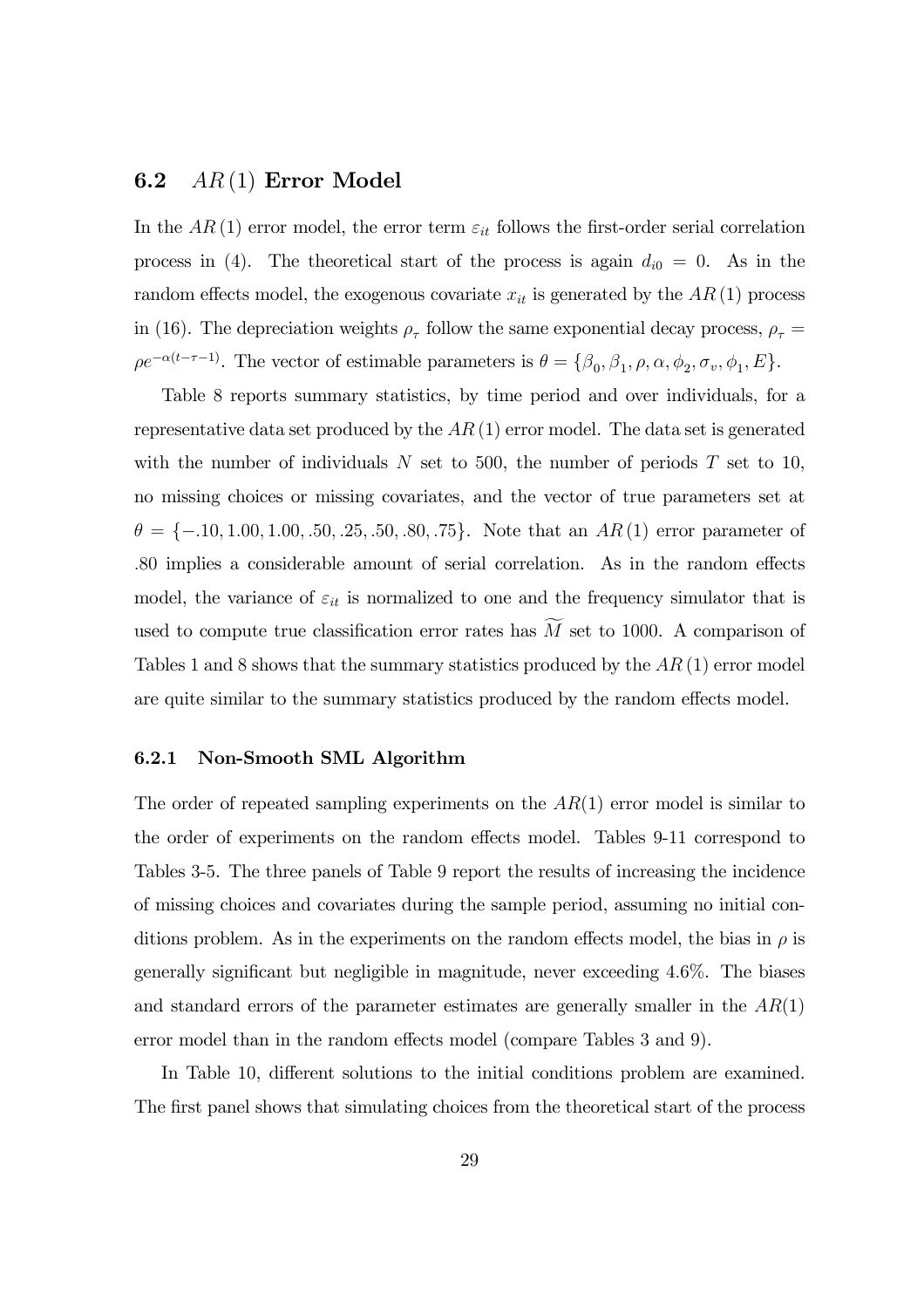#### **6.2**  $AR(1)$  Error Model

In the AR(1) error model, the error term  $\varepsilon_{it}$  follows the first-order serial correlation process in (4). The theoretical start of the process is again  $d_{i0} = 0$ . As in the random effects model, the exogenous covariate  $x_{it}$  is generated by the  $AR(1)$  process in (16). The depreciation weights  $\rho_{\tau}$  follow the same exponential decay process,  $\rho_{\tau}$  =  $\rho e^{-\alpha(t-\tau-1)}$ . The vector of estimable parameters is  $\theta = {\beta_0, \beta_1, \rho, \alpha, \phi_2, \sigma_v, \phi_1, E}$ .

Table 8 reports summary statistics, by time period and over individuals, for a representative data set produced by the  $AR(1)$  error model. The data set is generated with the number of individuals  $N$  set to 500, the number of periods  $T$  set to 10, no missing choices or missing covariates, and the vector of true parameters set at  $\theta = \{-.10, 1.00, 1.00, .50, .25, .50, .80, .75\}$ . Note that an AR(1) error parameter of .80 implies a considerable amount of serial correlation. As in the random effects model, the variance of  $\varepsilon_{it}$  is normalized to one and the frequency simulator that is used to compute true classification error rates has  $M$  set to 1000. A comparison of Tables 1 and 8 shows that the summary statistics produced by the  $AR(1)$  error model are quite similar to the summary statistics produced by the random effects model.

#### 6.2.1 Non-Smooth SML Algorithm

The order of repeated sampling experiments on the  $AR(1)$  error model is similar to the order of experiments on the random effects model. Tables 9-11 correspond to Tables 3-5. The three panels of Table 9 report the results of increasing the incidence of missing choices and covariates during the sample period, assuming no initial conditions problem. As in the experiments on the random effects model, the bias in  $\rho$  is generally significant but negligible in magnitude, never exceeding 4.6%. The biases and standard errors of the parameter estimates are generally smaller in the  $AR(1)$ error model than in the random effects model (compare Tables 3 and 9).

In Table 10, different solutions to the initial conditions problem are examined. The first panel shows that simulating choices from the theoretical start of the process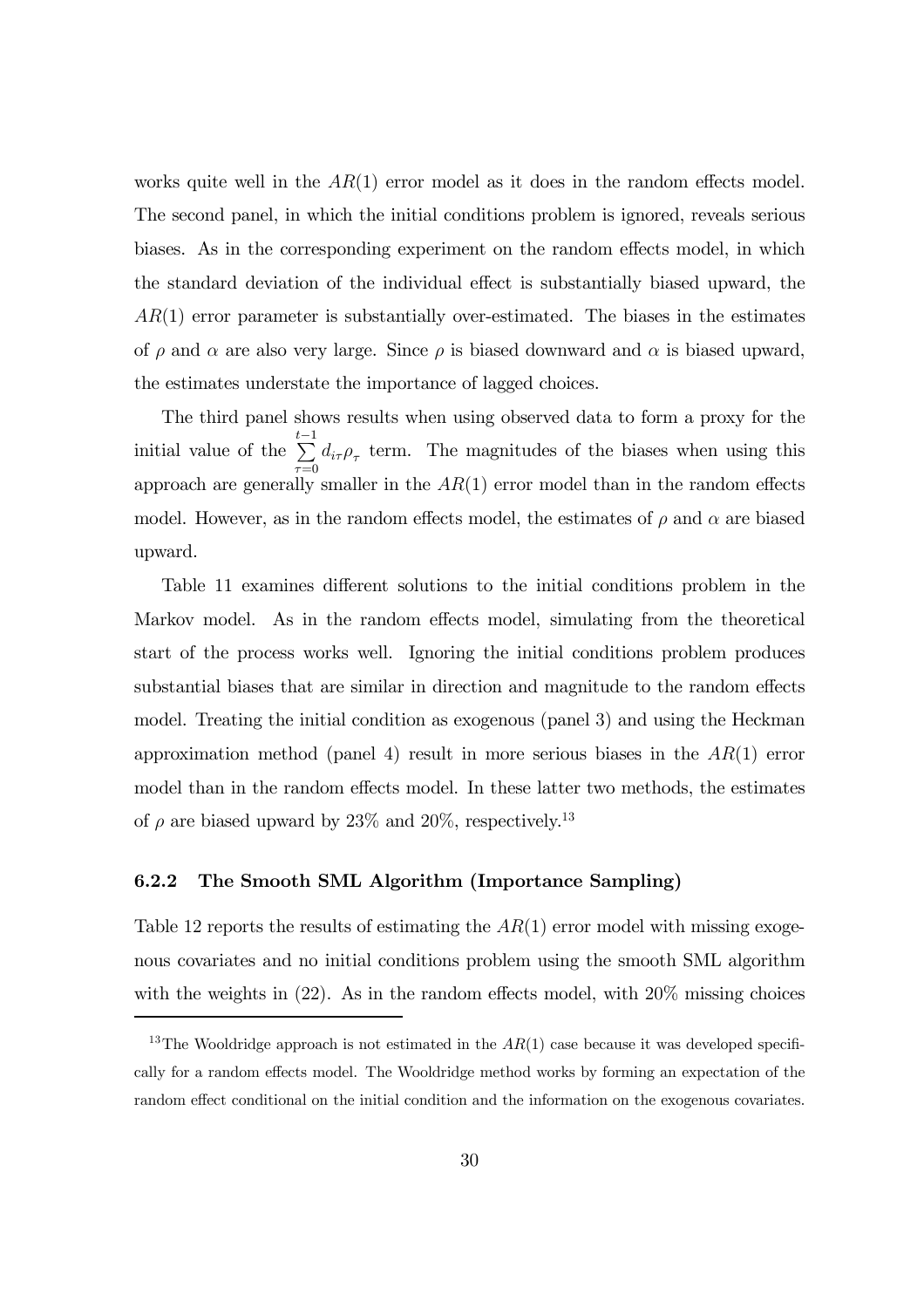works quite well in the  $AR(1)$  error model as it does in the random effects model. The second panel, in which the initial conditions problem is ignored, reveals serious biases. As in the corresponding experiment on the random effects model, in which the standard deviation of the individual effect is substantially biased upward, the  $AR(1)$  error parameter is substantially over-estimated. The biases in the estimates of  $\rho$  and  $\alpha$  are also very large. Since  $\rho$  is biased downward and  $\alpha$  is biased upward, the estimates understate the importance of lagged choices.

The third panel shows results when using observed data to form a proxy for the initial value of the  $\sum_{i=1}^{t-1}$  $\sum_{\tau=0} d_{i\tau} \rho_{\tau}$  term. The magnitudes of the biases when using this approach are generally smaller in the  $AR(1)$  error model than in the random effects model. However, as in the random effects model, the estimates of  $\rho$  and  $\alpha$  are biased upward.

Table 11 examines different solutions to the initial conditions problem in the Markov model. As in the random effects model, simulating from the theoretical start of the process works well. Ignoring the initial conditions problem produces substantial biases that are similar in direction and magnitude to the random effects model. Treating the initial condition as exogenous (panel 3) and using the Heckman approximation method (panel 4) result in more serious biases in the  $AR(1)$  error model than in the random effects model. In these latter two methods, the estimates of  $\rho$  are biased upward by 23% and 20%, respectively.<sup>13</sup>

#### 6.2.2 The Smooth SML Algorithm (Importance Sampling)

Table 12 reports the results of estimating the  $AR(1)$  error model with missing exogenous covariates and no initial conditions problem using the smooth SML algorithm with the weights in  $(22)$ . As in the random effects model, with  $20\%$  missing choices

<sup>&</sup>lt;sup>13</sup>The Wooldridge approach is not estimated in the  $AR(1)$  case because it was developed specifically for a random effects model. The Wooldridge method works by forming an expectation of the random effect conditional on the initial condition and the information on the exogenous covariates.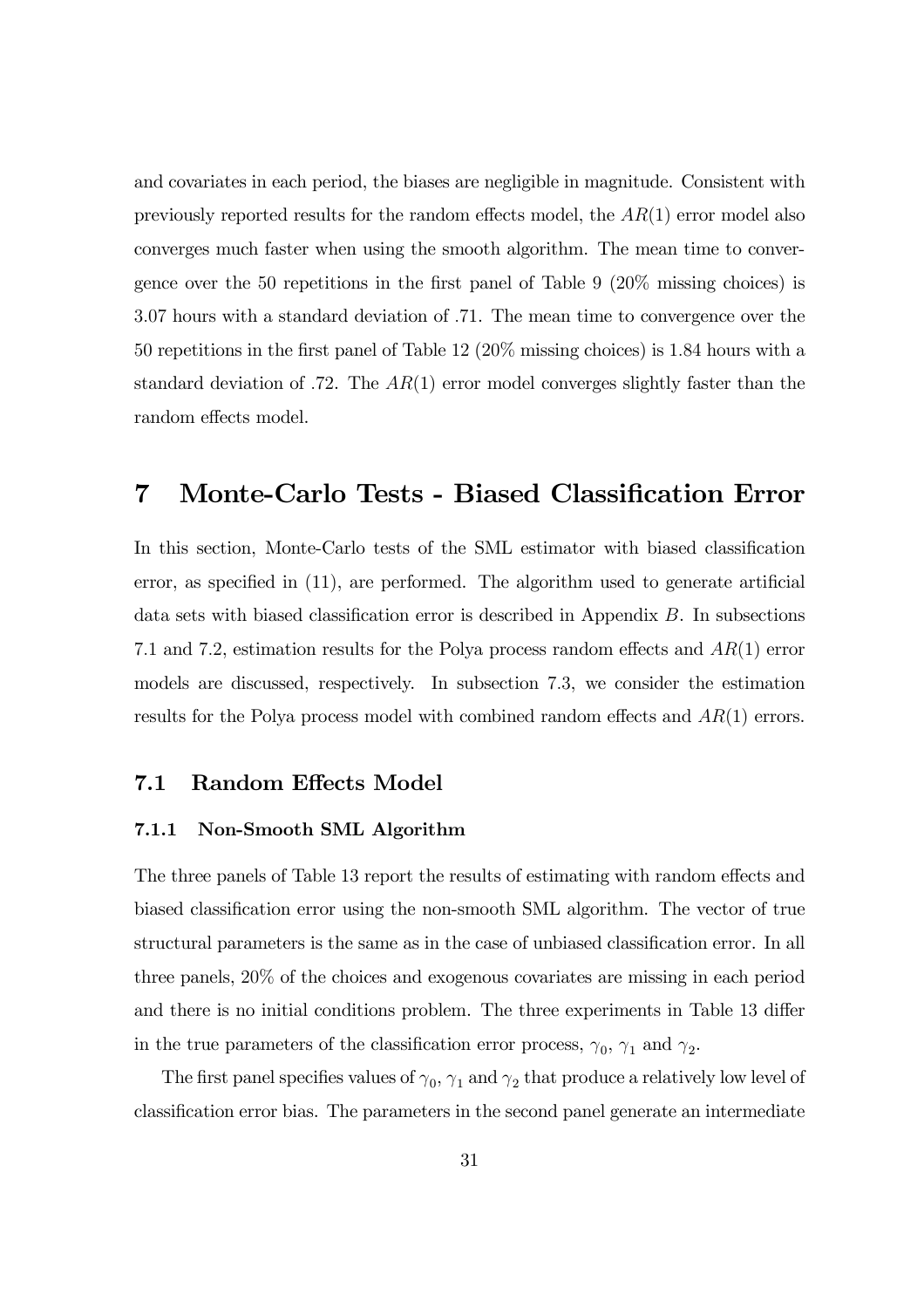and covariates in each period, the biases are negligible in magnitude. Consistent with previously reported results for the random effects model, the  $AR(1)$  error model also converges much faster when using the smooth algorithm. The mean time to convergence over the 50 repetitions in the first panel of Table 9 (20% missing choices) is 3.07 hours with a standard deviation of .71. The mean time to convergence over the 50 repetitions in the first panel of Table 12 (20% missing choices) is 1.84 hours with a standard deviation of .72. The  $AR(1)$  error model converges slightly faster than the random effects model.

## 7 Monte-Carlo Tests - Biased Classification Error

In this section, Monte-Carlo tests of the SML estimator with biased classification error, as specified in (11), are performed. The algorithm used to generate artificial data sets with biased classification error is described in Appendix B. In subsections 7.1 and 7.2, estimation results for the Polya process random effects and AR(1) error models are discussed, respectively. In subsection 7.3, we consider the estimation results for the Polya process model with combined random effects and AR(1) errors.

#### 7.1 Random Effects Model

#### 7.1.1 Non-Smooth SML Algorithm

The three panels of Table 13 report the results of estimating with random effects and biased classification error using the non-smooth SML algorithm. The vector of true structural parameters is the same as in the case of unbiased classification error. In all three panels, 20% of the choices and exogenous covariates are missing in each period and there is no initial conditions problem. The three experiments in Table 13 differ in the true parameters of the classification error process,  $\gamma_0$ ,  $\gamma_1$  and  $\gamma_2$ .

The first panel specifies values of  $\gamma_0$ ,  $\gamma_1$  and  $\gamma_2$  that produce a relatively low level of classification error bias. The parameters in the second panel generate an intermediate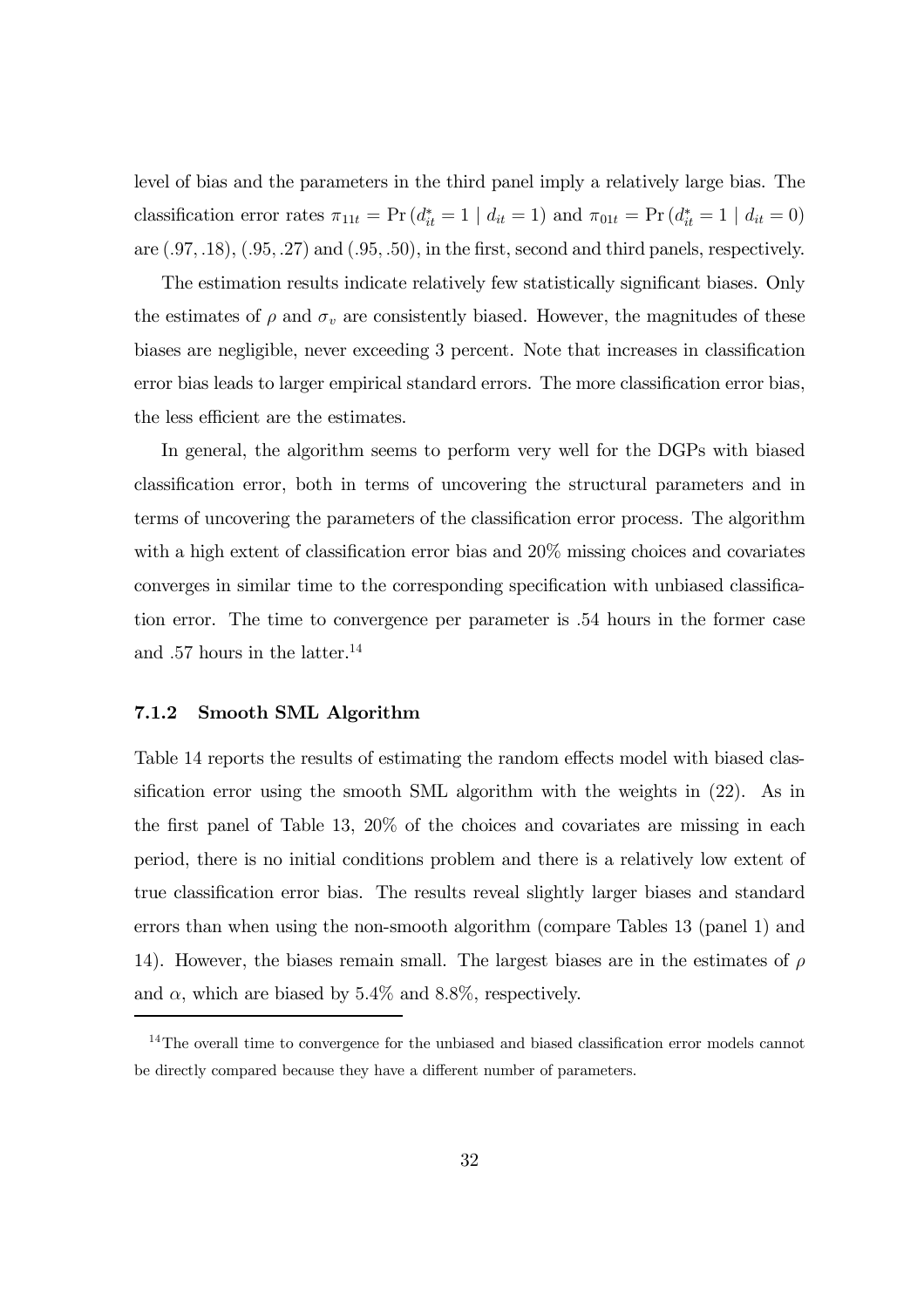level of bias and the parameters in the third panel imply a relatively large bias. The classification error rates  $\pi_{11t} = \Pr(d_{it}^* = 1 | d_{it} = 1)$  and  $\pi_{01t} = \Pr(d_{it}^* = 1 | d_{it} = 0)$ are  $(.97, .18)$ ,  $(.95, .27)$  and  $(.95, .50)$ , in the first, second and third panels, respectively.

The estimation results indicate relatively few statistically significant biases. Only the estimates of  $\rho$  and  $\sigma_v$  are consistently biased. However, the magnitudes of these biases are negligible, never exceeding 3 percent. Note that increases in classification error bias leads to larger empirical standard errors. The more classification error bias, the less efficient are the estimates.

In general, the algorithm seems to perform very well for the DGPs with biased classification error, both in terms of uncovering the structural parameters and in terms of uncovering the parameters of the classification error process. The algorithm with a high extent of classification error bias and  $20\%$  missing choices and covariates converges in similar time to the corresponding specification with unbiased classification error. The time to convergence per parameter is .54 hours in the former case and .57 hours in the latter.<sup>14</sup>

#### 7.1.2 Smooth SML Algorithm

Table 14 reports the results of estimating the random effects model with biased classification error using the smooth SML algorithm with the weights in (22). As in the first panel of Table 13, 20% of the choices and covariates are missing in each period, there is no initial conditions problem and there is a relatively low extent of true classification error bias. The results reveal slightly larger biases and standard errors than when using the non-smooth algorithm (compare Tables 13 (panel 1) and 14). However, the biases remain small. The largest biases are in the estimates of  $\rho$ and  $\alpha$ , which are biased by 5.4% and 8.8%, respectively.

<sup>&</sup>lt;sup>14</sup>The overall time to convergence for the unbiased and biased classification error models cannot be directly compared because they have a different number of parameters.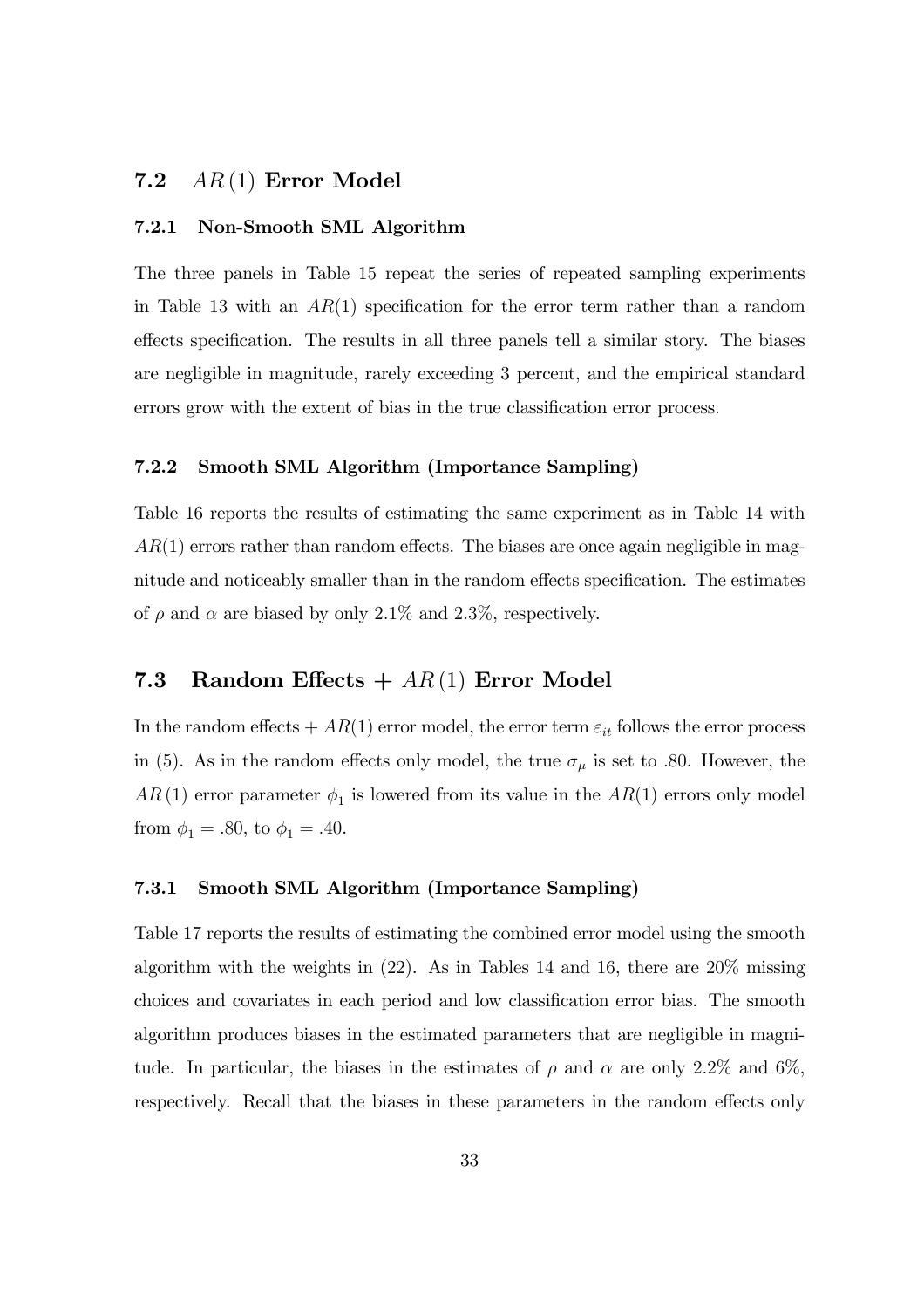### 7.2 AR (1) Error Model

#### 7.2.1 Non-Smooth SML Algorithm

The three panels in Table 15 repeat the series of repeated sampling experiments in Table 13 with an  $AR(1)$  specification for the error term rather than a random effects specification. The results in all three panels tell a similar story. The biases are negligible in magnitude, rarely exceeding 3 percent, and the empirical standard errors grow with the extent of bias in the true classification error process.

#### 7.2.2 Smooth SML Algorithm (Importance Sampling)

Table 16 reports the results of estimating the same experiment as in Table 14 with  $AR(1)$  errors rather than random effects. The biases are once again negligible in magnitude and noticeably smaller than in the random effects specification. The estimates of  $\rho$  and  $\alpha$  are biased by only 2.1% and 2.3%, respectively.

## 7.3 Random Effects  $+ AR(1)$  Error Model

In the random effects  $+ AR(1)$  error model, the error term  $\varepsilon_{it}$  follows the error process in (5). As in the random effects only model, the true  $\sigma_{\mu}$  is set to .80. However, the  $AR(1)$  error parameter  $\phi_1$  is lowered from its value in the  $AR(1)$  errors only model from  $\phi_1 = .80$ , to  $\phi_1 = .40$ .

#### 7.3.1 Smooth SML Algorithm (Importance Sampling)

Table 17 reports the results of estimating the combined error model using the smooth algorithm with the weights in  $(22)$ . As in Tables 14 and 16, there are  $20\%$  missing choices and covariates in each period and low classification error bias. The smooth algorithm produces biases in the estimated parameters that are negligible in magnitude. In particular, the biases in the estimates of  $\rho$  and  $\alpha$  are only 2.2% and 6%. respectively. Recall that the biases in these parameters in the random effects only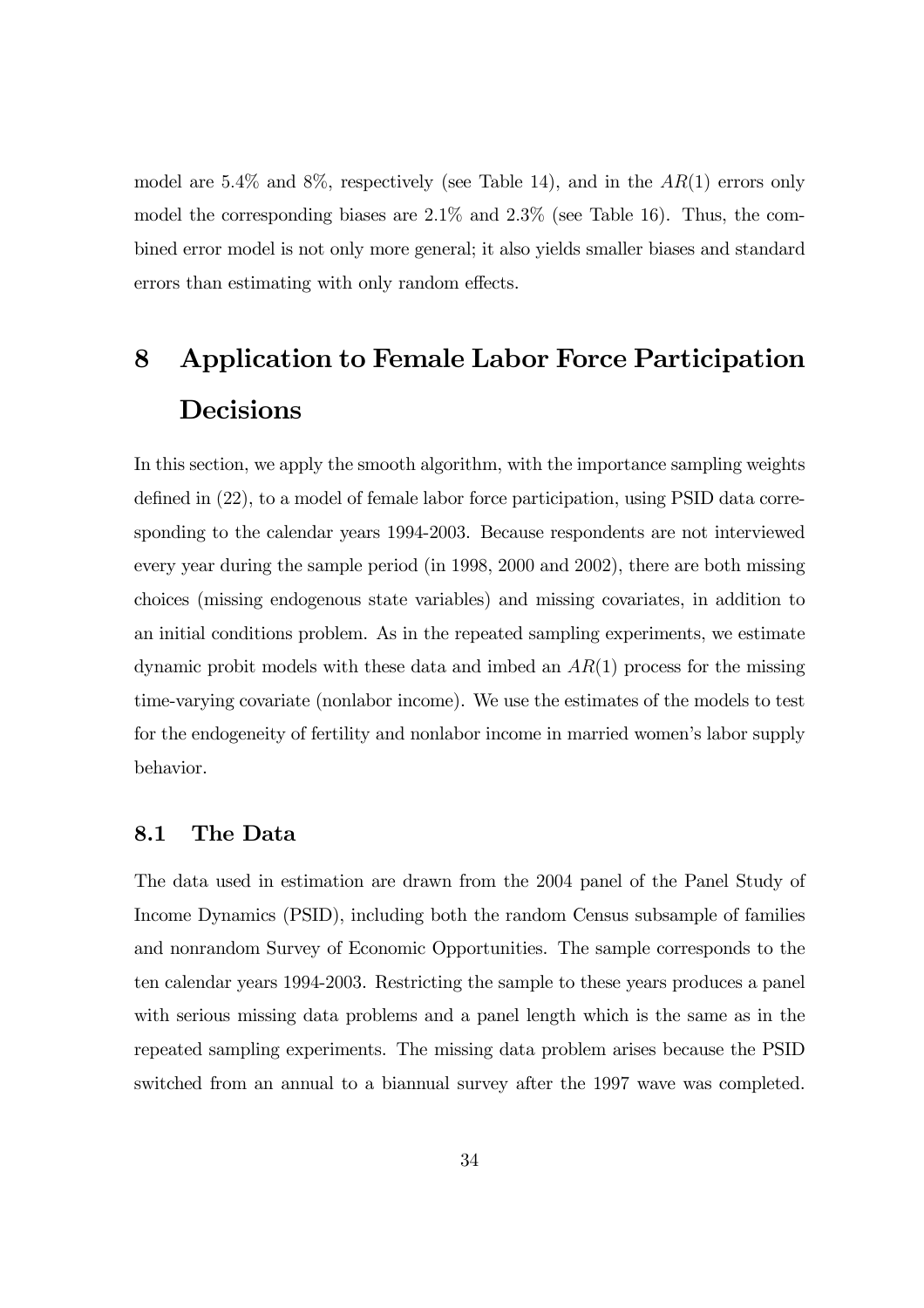model are 5.4% and 8%, respectively (see Table 14), and in the  $AR(1)$  errors only model the corresponding biases are 2.1% and 2.3% (see Table 16). Thus, the combined error model is not only more general; it also yields smaller biases and standard errors than estimating with only random effects.

## 8 Application to Female Labor Force Participation Decisions

In this section, we apply the smooth algorithm, with the importance sampling weights defined in (22), to a model of female labor force participation, using PSID data corresponding to the calendar years 1994-2003. Because respondents are not interviewed every year during the sample period (in 1998, 2000 and 2002), there are both missing choices (missing endogenous state variables) and missing covariates, in addition to an initial conditions problem. As in the repeated sampling experiments, we estimate dynamic probit models with these data and imbed an  $AR(1)$  process for the missing time-varying covariate (nonlabor income). We use the estimates of the models to test for the endogeneity of fertility and nonlabor income in married women's labor supply behavior.

#### 8.1 The Data

The data used in estimation are drawn from the 2004 panel of the Panel Study of Income Dynamics (PSID), including both the random Census subsample of families and nonrandom Survey of Economic Opportunities. The sample corresponds to the ten calendar years 1994-2003. Restricting the sample to these years produces a panel with serious missing data problems and a panel length which is the same as in the repeated sampling experiments. The missing data problem arises because the PSID switched from an annual to a biannual survey after the 1997 wave was completed.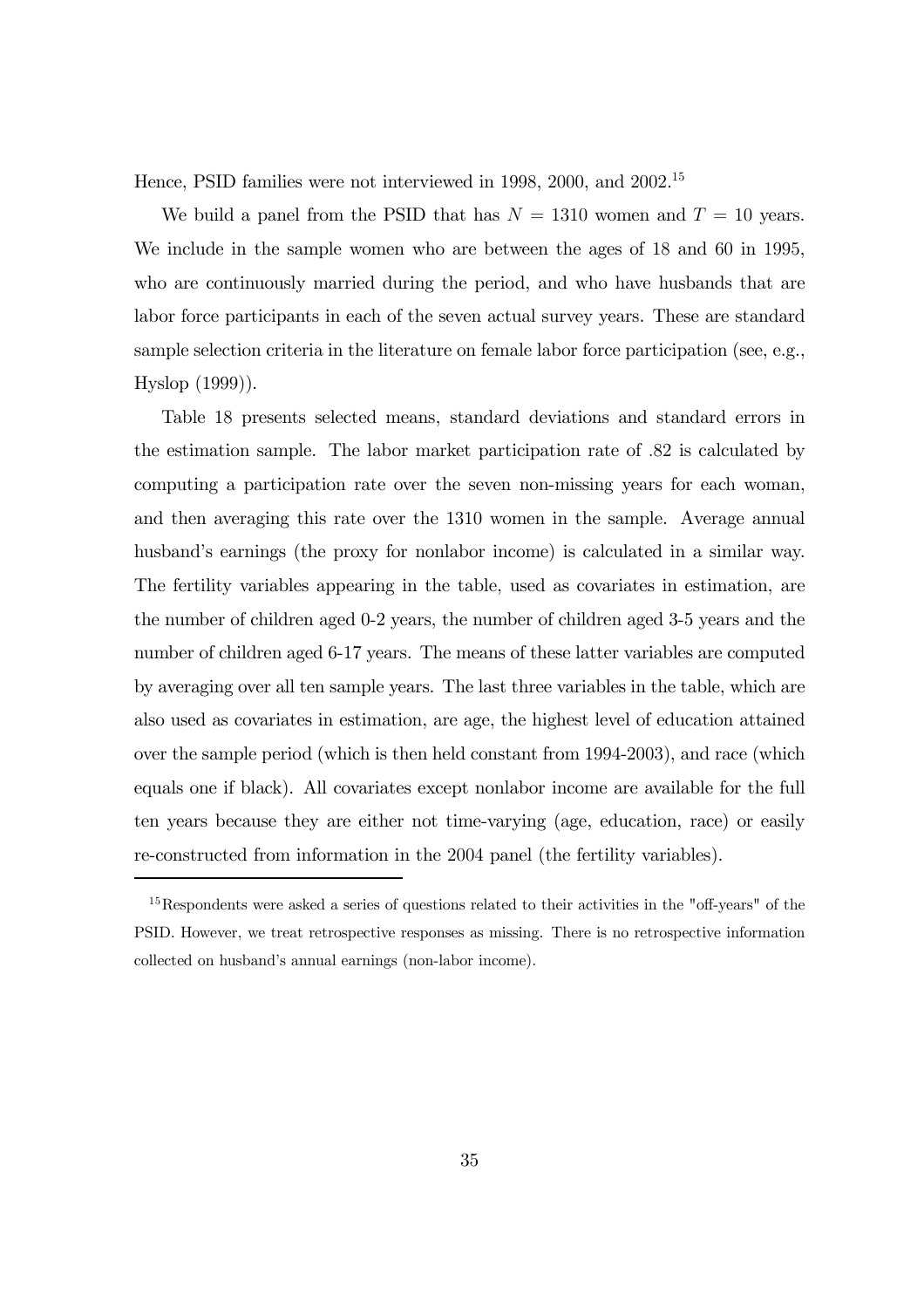Hence, PSID families were not interviewed in 1998, 2000, and 2002. 15

We build a panel from the PSID that has  $N = 1310$  women and  $T = 10$  years. We include in the sample women who are between the ages of 18 and 60 in 1995, who are continuously married during the period, and who have husbands that are labor force participants in each of the seven actual survey years. These are standard sample selection criteria in the literature on female labor force participation (see, e.g., Hyslop (1999)).

Table 18 presents selected means, standard deviations and standard errors in the estimation sample. The labor market participation rate of .82 is calculated by computing a participation rate over the seven non-missing years for each woman, and then averaging this rate over the 1310 women in the sample. Average annual husband's earnings (the proxy for nonlabor income) is calculated in a similar way. The fertility variables appearing in the table, used as covariates in estimation, are the number of children aged 0-2 years, the number of children aged 3-5 years and the number of children aged 6-17 years. The means of these latter variables are computed by averaging over all ten sample years. The last three variables in the table, which are also used as covariates in estimation, are age, the highest level of education attained over the sample period (which is then held constant from 1994-2003), and race (which equals one if black). All covariates except nonlabor income are available for the full ten years because they are either not time-varying (age, education, race) or easily re-constructed from information in the 2004 panel (the fertility variables).

<sup>&</sup>lt;sup>15</sup>Respondents were asked a series of questions related to their activities in the "off-years" of the PSID. However, we treat retrospective responses as missing. There is no retrospective information collected on husband's annual earnings (non-labor income).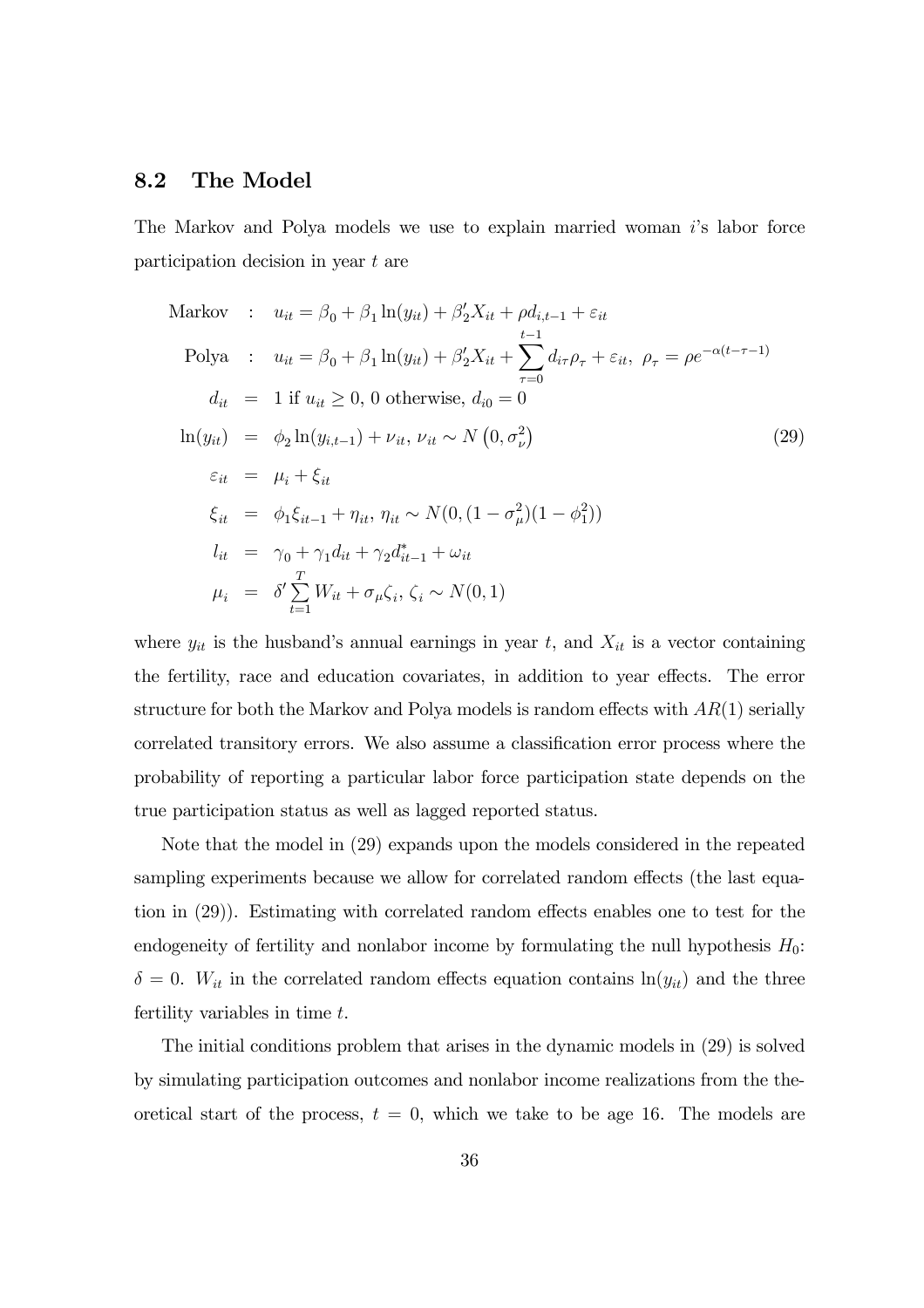#### 8.2 The Model

The Markov and Polya models we use to explain married woman  $i$ 's labor force participation decision in year t are

Markov : 
$$
u_{it} = \beta_0 + \beta_1 \ln(y_{it}) + \beta'_2 X_{it} + \rho d_{i,t-1} + \varepsilon_{it}
$$
  
\nPolya :  $u_{it} = \beta_0 + \beta_1 \ln(y_{it}) + \beta'_2 X_{it} + \sum_{\tau=0}^{t-1} d_{i\tau} \rho_{\tau} + \varepsilon_{it}, \ \rho_{\tau} = \rho e^{-\alpha(t-\tau-1)}$   
\n $d_{it} = 1$  if  $u_{it} \ge 0$ , 0 otherwise,  $d_{i0} = 0$   
\n $\ln(y_{it}) = \phi_2 \ln(y_{i,t-1}) + \nu_{it}, \nu_{it} \sim N(0, \sigma_{\nu}^2)$   
\n $\varepsilon_{it} = \mu_i + \xi_{it}$   
\n $\xi_{it} = \phi_1 \xi_{it-1} + \eta_{it}, \eta_{it} \sim N(0, (1 - \sigma_{\mu}^2)(1 - \phi_1^2))$   
\n $l_{it} = \gamma_0 + \gamma_1 d_{it} + \gamma_2 d_{it-1}^* + \omega_{it}$   
\n $\mu_i = \delta' \sum_{t=1}^T W_{it} + \sigma_{\mu} \zeta_i, \zeta_i \sim N(0, 1)$  (11)

where  $y_{it}$  is the husband's annual earnings in year t, and  $X_{it}$  is a vector containing the fertility, race and education covariates, in addition to year effects. The error structure for both the Markov and Polya models is random effects with  $AR(1)$  serially correlated transitory errors. We also assume a classification error process where the probability of reporting a particular labor force participation state depends on the true participation status as well as lagged reported status.

Note that the model in (29) expands upon the models considered in the repeated sampling experiments because we allow for correlated random effects (the last equation in (29)). Estimating with correlated random effects enables one to test for the endogeneity of fertility and nonlabor income by formulating the null hypothesis  $H_0$ :  $\delta = 0$ .  $W_{it}$  in the correlated random effects equation contains  $\ln(y_{it})$  and the three fertility variables in time t.

The initial conditions problem that arises in the dynamic models in (29) is solved by simulating participation outcomes and nonlabor income realizations from the theoretical start of the process,  $t = 0$ , which we take to be age 16. The models are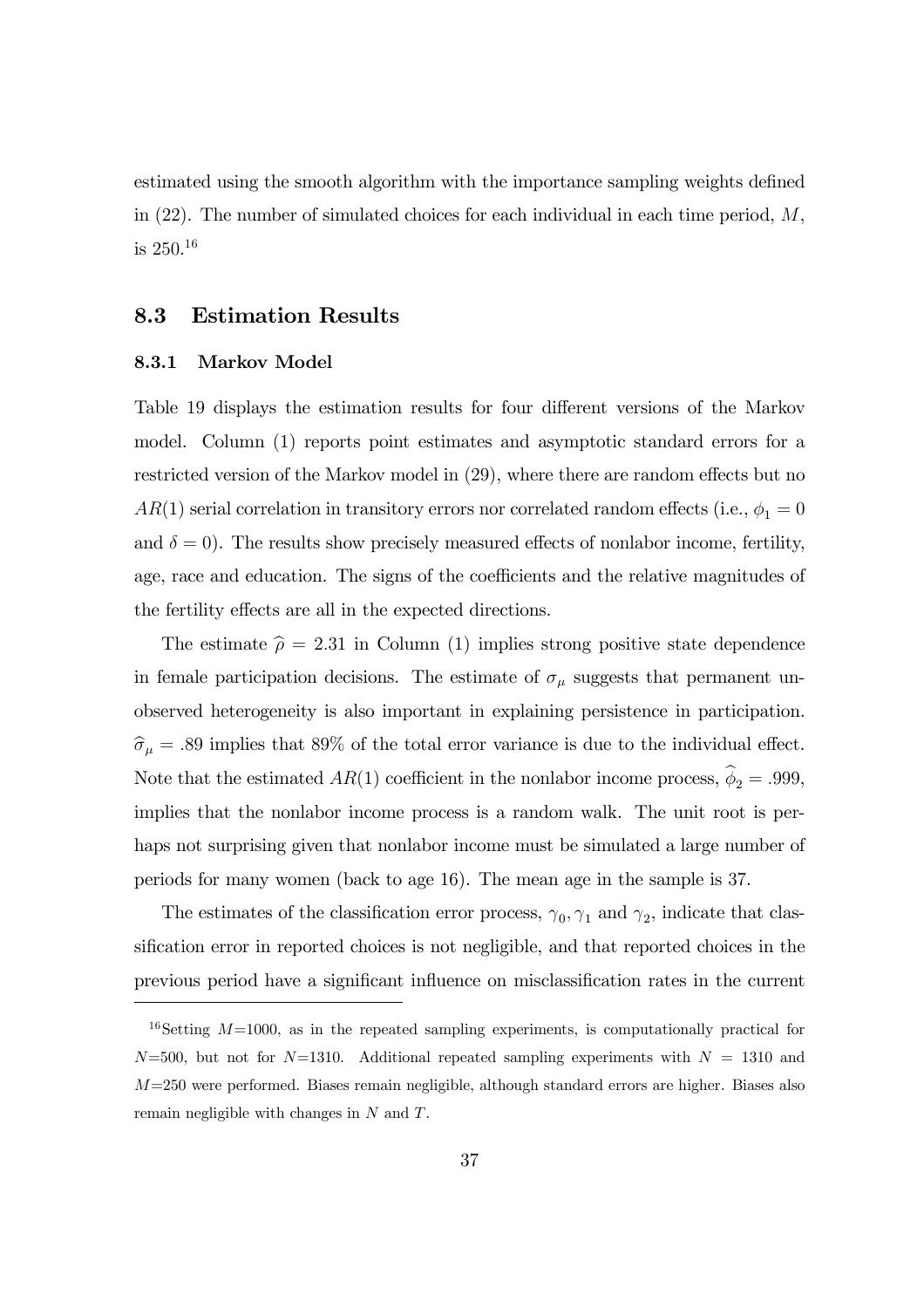estimated using the smooth algorithm with the importance sampling weights defined in  $(22)$ . The number of simulated choices for each individual in each time period,  $M$ , is  $250^{16}$ 

#### 8.3 Estimation Results

#### 8.3.1 Markov Model

Table 19 displays the estimation results for four different versions of the Markov model. Column (1) reports point estimates and asymptotic standard errors for a restricted version of the Markov model in (29), where there are random effects but no  $AR(1)$  serial correlation in transitory errors nor correlated random effects (i.e.,  $\phi_1 = 0$ and  $\delta = 0$ ). The results show precisely measured effects of nonlabor income, fertility, age, race and education. The signs of the coefficients and the relative magnitudes of the fertility effects are all in the expected directions.

The estimate  $\hat{\rho} = 2.31$  in Column (1) implies strong positive state dependence in female participation decisions. The estimate of  $\sigma_{\mu}$  suggests that permanent unobserved heterogeneity is also important in explaining persistence in participation.  $\hat{\sigma}_{\mu} = .89$  implies that 89% of the total error variance is due to the individual effect. Note that the estimated  $AR(1)$  coefficient in the nonlabor income process,  $\hat{\phi}_2 = .999$ , implies that the nonlabor income process is a random walk. The unit root is perhaps not surprising given that nonlabor income must be simulated a large number of periods for many women (back to age 16). The mean age in the sample is 37.

The estimates of the classification error process,  $\gamma_0$ ,  $\gamma_1$  and  $\gamma_2$ , indicate that classification error in reported choices is not negligible, and that reported choices in the previous period have a significant influence on misclassification rates in the current

<sup>&</sup>lt;sup>16</sup>Setting  $M=1000$ , as in the repeated sampling experiments, is computationally practical for  $N=500$ , but not for  $N=1310$ . Additional repeated sampling experiments with  $N = 1310$  and  $M=250$  were performed. Biases remain negligible, although standard errors are higher. Biases also remain negligible with changes in N and T.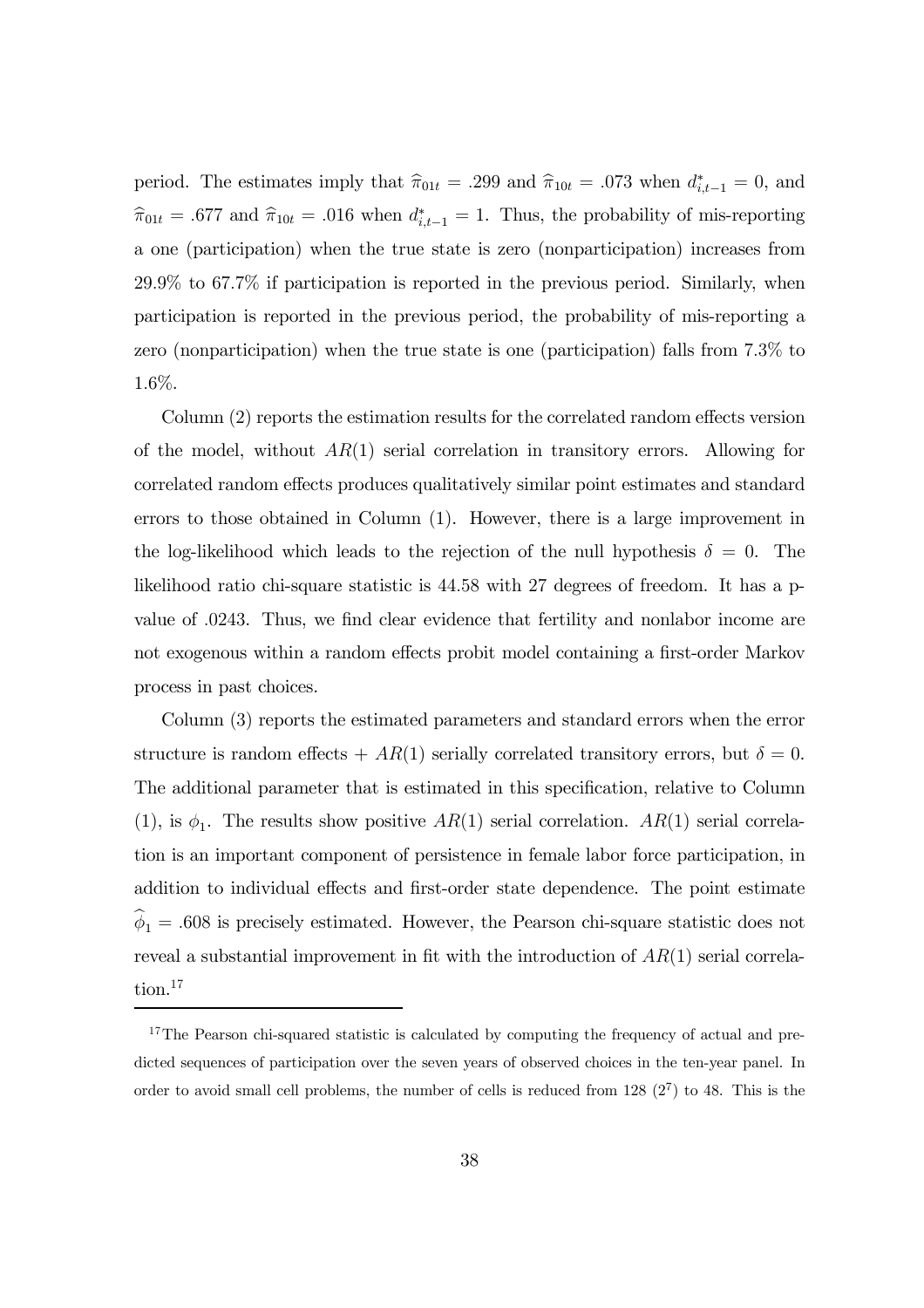period. The estimates imply that  $\hat{\pi}_{01t} = .299$  and  $\hat{\pi}_{10t} = .073$  when  $d_{i,t-1}^* = 0$ , and  $\hat{\pi}_{01t} = .677$  and  $\hat{\pi}_{10t} = .016$  when  $d_{i,t-1}^* = 1$ . Thus, the probability of mis-reporting a one (participation) when the true state is zero (nonparticipation) increases from 29.9% to 67.7% if participation is reported in the previous period. Similarly, when participation is reported in the previous period, the probability of mis-reporting a zero (nonparticipation) when the true state is one (participation) falls from 7.3% to 1.6%.

Column (2) reports the estimation results for the correlated random effects version of the model, without  $AR(1)$  serial correlation in transitory errors. Allowing for correlated random effects produces qualitatively similar point estimates and standard errors to those obtained in Column (1). However, there is a large improvement in the log-likelihood which leads to the rejection of the null hypothesis  $\delta = 0$ . The likelihood ratio chi-square statistic is 44.58 with 27 degrees of freedom. It has a pvalue of .0243. Thus, we find clear evidence that fertility and nonlabor income are not exogenous within a random effects probit model containing a first-order Markov process in past choices.

Column (3) reports the estimated parameters and standard errors when the error structure is random effects +  $AR(1)$  serially correlated transitory errors, but  $\delta = 0$ . The additional parameter that is estimated in this specification, relative to Column (1), is  $\phi_1$ . The results show positive AR(1) serial correlation. AR(1) serial correlation is an important component of persistence in female labor force participation, in addition to individual effects and first-order state dependence. The point estimate  $\hat{\phi}_1 = .608$  is precisely estimated. However, the Pearson chi-square statistic does not reveal a substantial improvement in fit with the introduction of  $AR(1)$  serial correlation.<sup>17</sup>

<sup>&</sup>lt;sup>17</sup>The Pearson chi-squared statistic is calculated by computing the frequency of actual and predicted sequences of participation over the seven years of observed choices in the ten-year panel. In order to avoid small cell problems, the number of cells is reduced from  $128 (2^7)$  to 48. This is the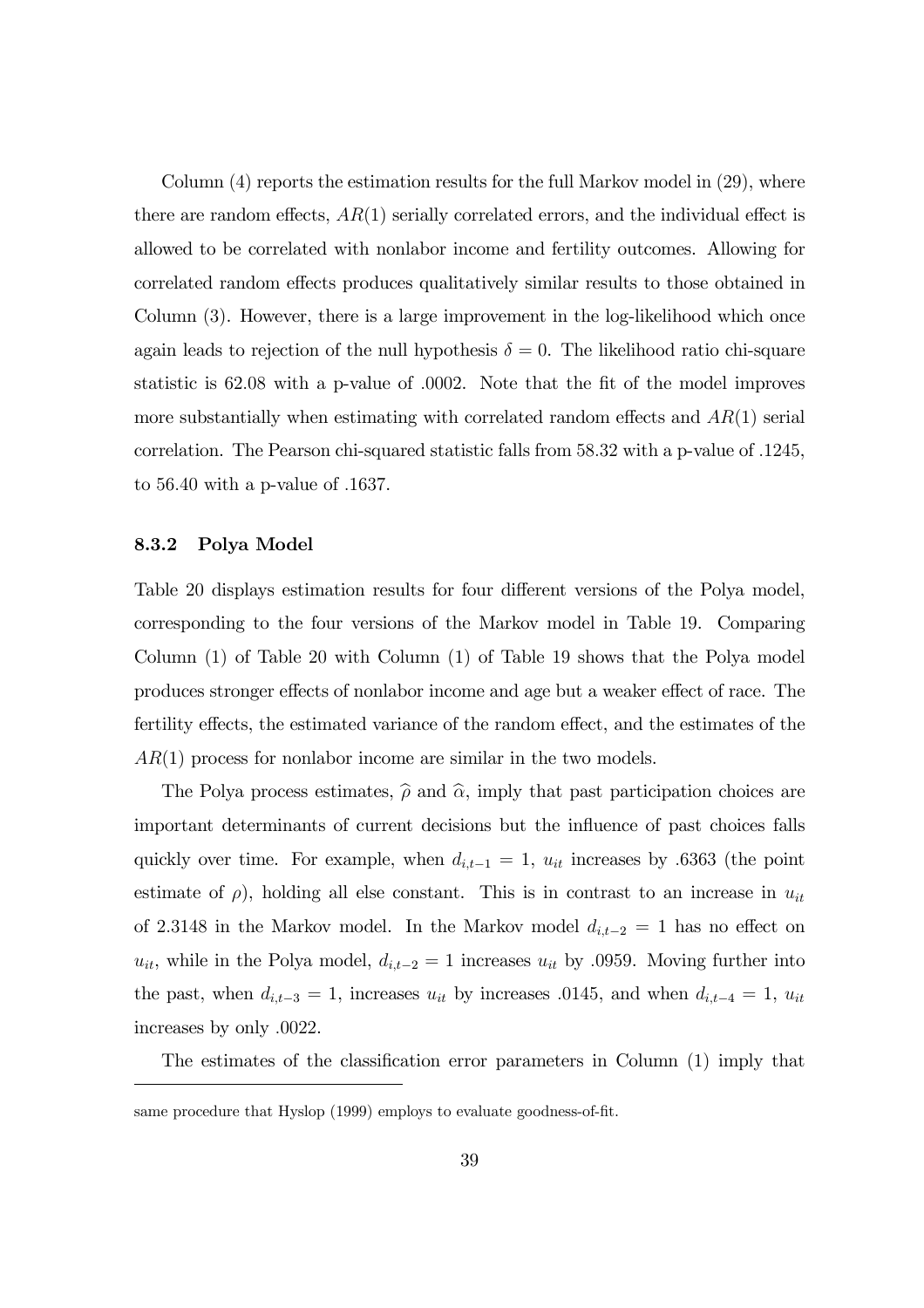Column  $(4)$  reports the estimation results for the full Markov model in  $(29)$ , where there are random effects,  $AR(1)$  serially correlated errors, and the individual effect is allowed to be correlated with nonlabor income and fertility outcomes. Allowing for correlated random effects produces qualitatively similar results to those obtained in Column (3). However, there is a large improvement in the log-likelihood which once again leads to rejection of the null hypothesis  $\delta = 0$ . The likelihood ratio chi-square statistic is 62.08 with a p-value of .0002. Note that the fit of the model improves more substantially when estimating with correlated random effects and  $AR(1)$  serial correlation. The Pearson chi-squared statistic falls from 58.32 with a p-value of .1245, to 56.40 with a p-value of .1637.

#### 8.3.2 Polya Model

Table 20 displays estimation results for four different versions of the Polya model, corresponding to the four versions of the Markov model in Table 19. Comparing Column (1) of Table 20 with Column (1) of Table 19 shows that the Polya model produces stronger effects of nonlabor income and age but a weaker effect of race. The fertility effects, the estimated variance of the random effect, and the estimates of the  $AR(1)$  process for nonlabor income are similar in the two models.

The Polya process estimates,  $\hat{\rho}$  and  $\hat{\alpha}$ , imply that past participation choices are important determinants of current decisions but the influence of past choices falls quickly over time. For example, when  $d_{i,t-1} = 1$ ,  $u_{it}$  increases by .6363 (the point estimate of  $\rho$ ), holding all else constant. This is in contrast to an increase in  $u_{it}$ of 2.3148 in the Markov model. In the Markov model  $d_{i,t-2} = 1$  has no effect on  $u_{it}$ , while in the Polya model,  $d_{i,t-2} = 1$  increases  $u_{it}$  by .0959. Moving further into the past, when  $d_{i,t-3} = 1$ , increases  $u_{it}$  by increases .0145, and when  $d_{i,t-4} = 1$ ,  $u_{it}$ increases by only .0022.

The estimates of the classification error parameters in Column (1) imply that

same procedure that Hyslop (1999) employs to evaluate goodness-of-fit.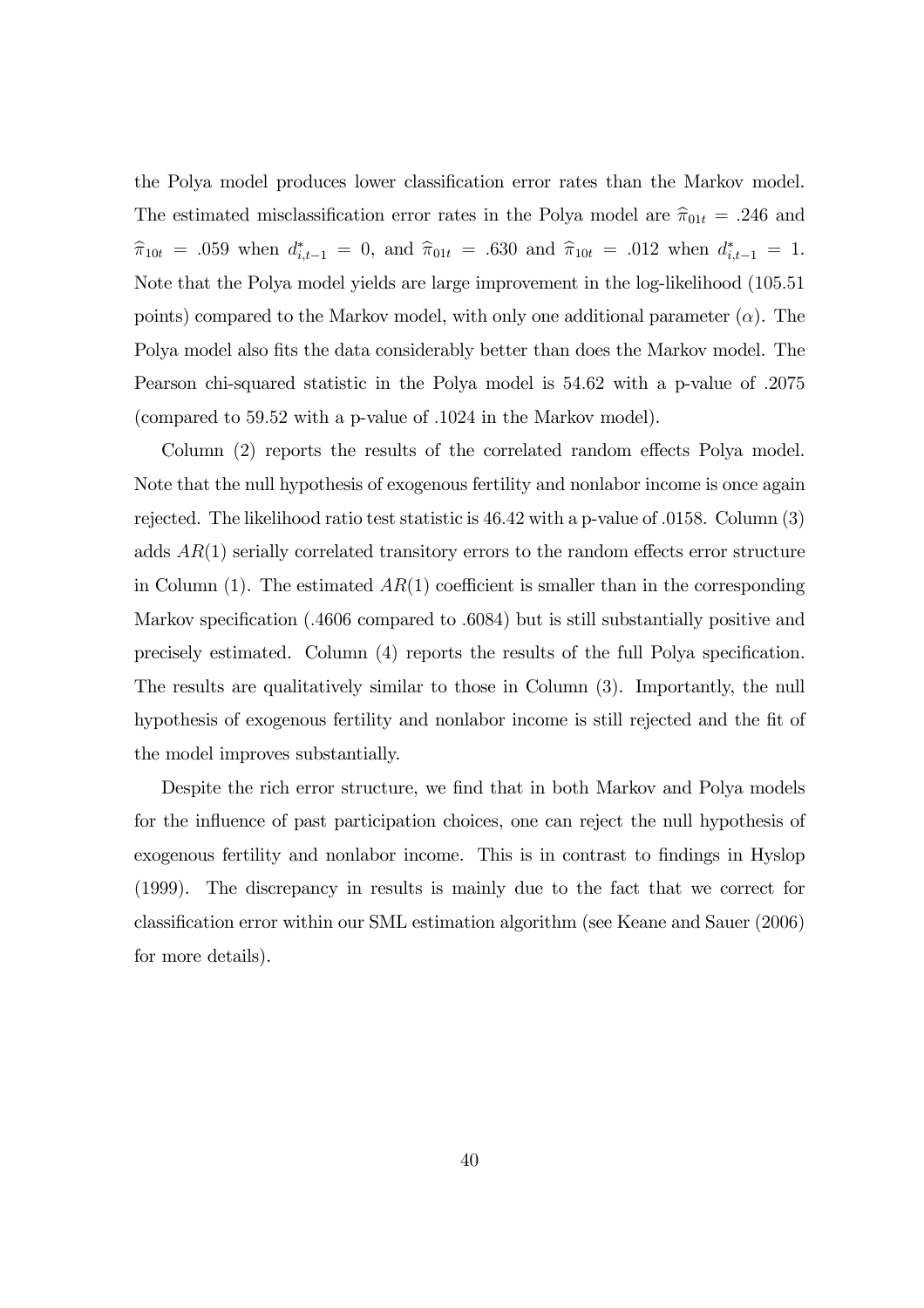the Polya model produces lower classification error rates than the Markov model. The estimated misclassification error rates in the Polya model are  $\hat{\pi}_{01t} = .246$  and  $\hat{\pi}_{10t} = .059$  when  $d_{i,t-1}^* = 0$ , and  $\hat{\pi}_{01t} = .630$  and  $\hat{\pi}_{10t} = .012$  when  $d_{i,t-1}^* = 1$ . Note that the Polya model yields are large improvement in the log-likelihood (105.51 points) compared to the Markov model, with only one additional parameter  $(\alpha)$ . The Polya model also fits the data considerably better than does the Markov model. The Pearson chi-squared statistic in the Polya model is 54.62 with a p-value of .2075 (compared to 59.52 with a p-value of .1024 in the Markov model).

Column (2) reports the results of the correlated random effects Polya model. Note that the null hypothesis of exogenous fertility and nonlabor income is once again rejected. The likelihood ratio test statistic is 46.42 with a p-value of .0158. Column (3) adds  $AR(1)$  serially correlated transitory errors to the random effects error structure in Column  $(1)$ . The estimated  $AR(1)$  coefficient is smaller than in the corresponding Markov specification (.4606 compared to .6084) but is still substantially positive and precisely estimated. Column (4) reports the results of the full Polya specification. The results are qualitatively similar to those in Column (3). Importantly, the null hypothesis of exogenous fertility and nonlabor income is still rejected and the fit of the model improves substantially.

Despite the rich error structure, we find that in both Markov and Polya models for the influence of past participation choices, one can reject the null hypothesis of exogenous fertility and nonlabor income. This is in contrast to findings in Hyslop (1999). The discrepancy in results is mainly due to the fact that we correct for classification error within our SML estimation algorithm (see Keane and Sauer (2006) for more details).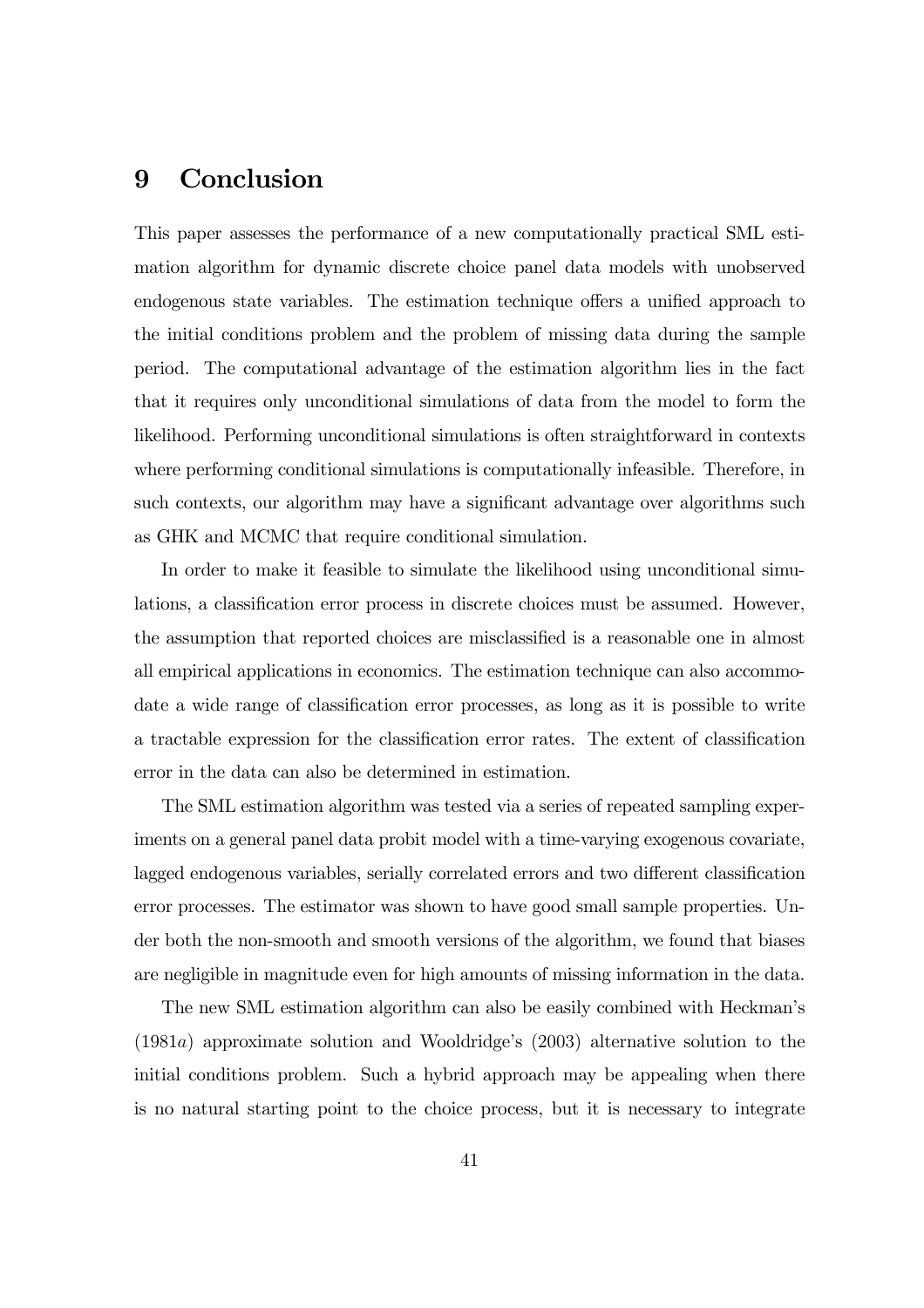## 9 Conclusion

This paper assesses the performance of a new computationally practical SML estimation algorithm for dynamic discrete choice panel data models with unobserved endogenous state variables. The estimation technique offers a unified approach to the initial conditions problem and the problem of missing data during the sample period. The computational advantage of the estimation algorithm lies in the fact that it requires only unconditional simulations of data from the model to form the likelihood. Performing unconditional simulations is often straightforward in contexts where performing conditional simulations is computationally infeasible. Therefore, in such contexts, our algorithm may have a significant advantage over algorithms such as GHK and MCMC that require conditional simulation.

In order to make it feasible to simulate the likelihood using unconditional simulations, a classification error process in discrete choices must be assumed. However, the assumption that reported choices are misclassified is a reasonable one in almost all empirical applications in economics. The estimation technique can also accommodate a wide range of classification error processes, as long as it is possible to write a tractable expression for the classification error rates. The extent of classification error in the data can also be determined in estimation.

The SML estimation algorithm was tested via a series of repeated sampling experiments on a general panel data probit model with a time-varying exogenous covariate, lagged endogenous variables, serially correlated errors and two different classification error processes. The estimator was shown to have good small sample properties. Under both the non-smooth and smooth versions of the algorithm, we found that biases are negligible in magnitude even for high amounts of missing information in the data.

The new SML estimation algorithm can also be easily combined with Heckmanís  $(1981a)$  approximate solution and Wooldridge's  $(2003)$  alternative solution to the initial conditions problem. Such a hybrid approach may be appealing when there is no natural starting point to the choice process, but it is necessary to integrate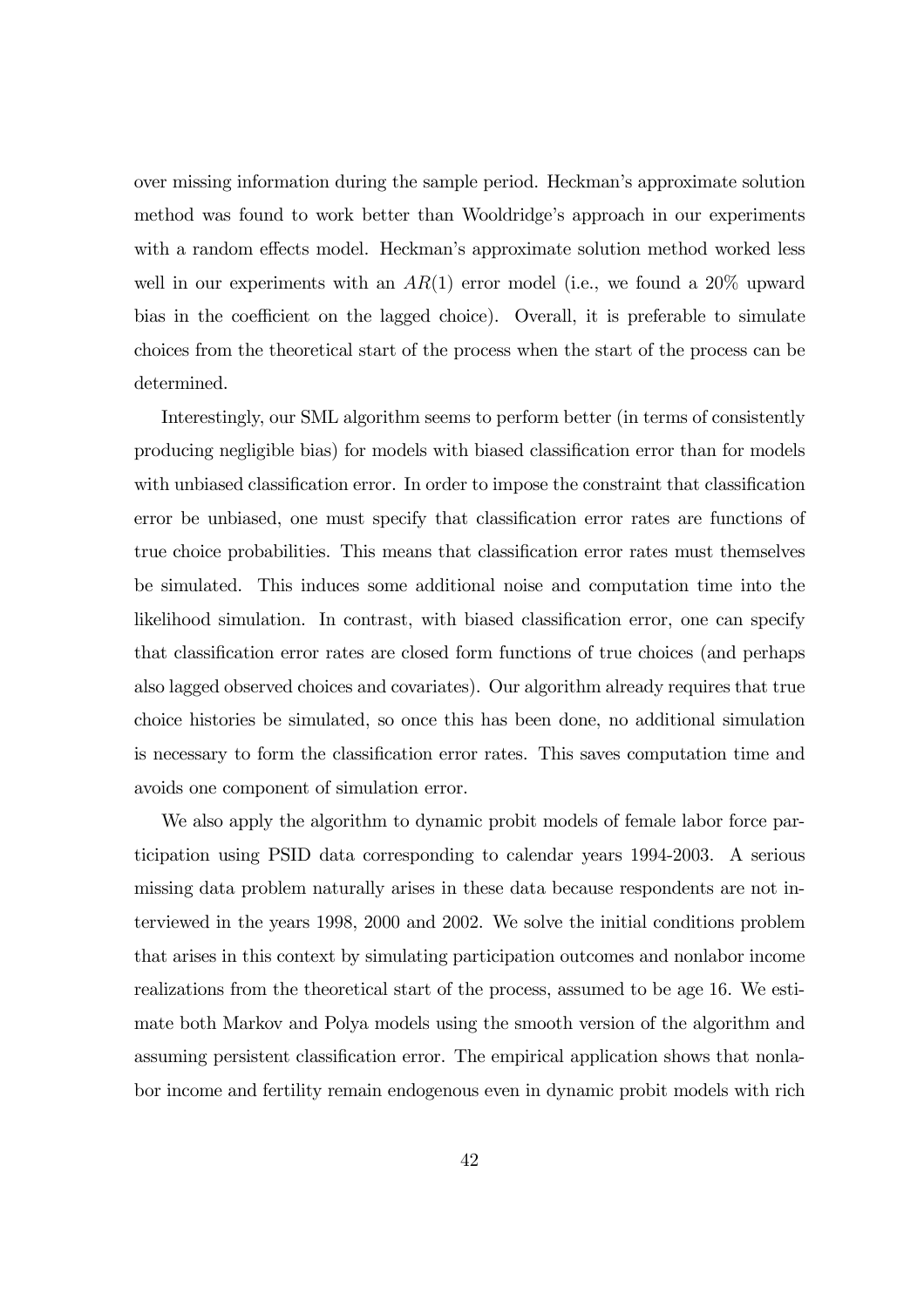over missing information during the sample period. Heckmanís approximate solution method was found to work better than Wooldridge's approach in our experiments with a random effects model. Heckman's approximate solution method worked less well in our experiments with an  $AR(1)$  error model (i.e., we found a 20% upward bias in the coefficient on the lagged choice). Overall, it is preferable to simulate choices from the theoretical start of the process when the start of the process can be determined.

Interestingly, our SML algorithm seems to perform better (in terms of consistently producing negligible bias) for models with biased classification error than for models with unbiased classification error. In order to impose the constraint that classification error be unbiased, one must specify that classification error rates are functions of true choice probabilities. This means that classification error rates must themselves be simulated. This induces some additional noise and computation time into the likelihood simulation. In contrast, with biased classification error, one can specify that classification error rates are closed form functions of true choices (and perhaps also lagged observed choices and covariates). Our algorithm already requires that true choice histories be simulated, so once this has been done, no additional simulation is necessary to form the classification error rates. This saves computation time and avoids one component of simulation error.

We also apply the algorithm to dynamic probit models of female labor force participation using PSID data corresponding to calendar years 1994-2003. A serious missing data problem naturally arises in these data because respondents are not interviewed in the years 1998, 2000 and 2002. We solve the initial conditions problem that arises in this context by simulating participation outcomes and nonlabor income realizations from the theoretical start of the process, assumed to be age 16. We estimate both Markov and Polya models using the smooth version of the algorithm and assuming persistent classification error. The empirical application shows that nonlabor income and fertility remain endogenous even in dynamic probit models with rich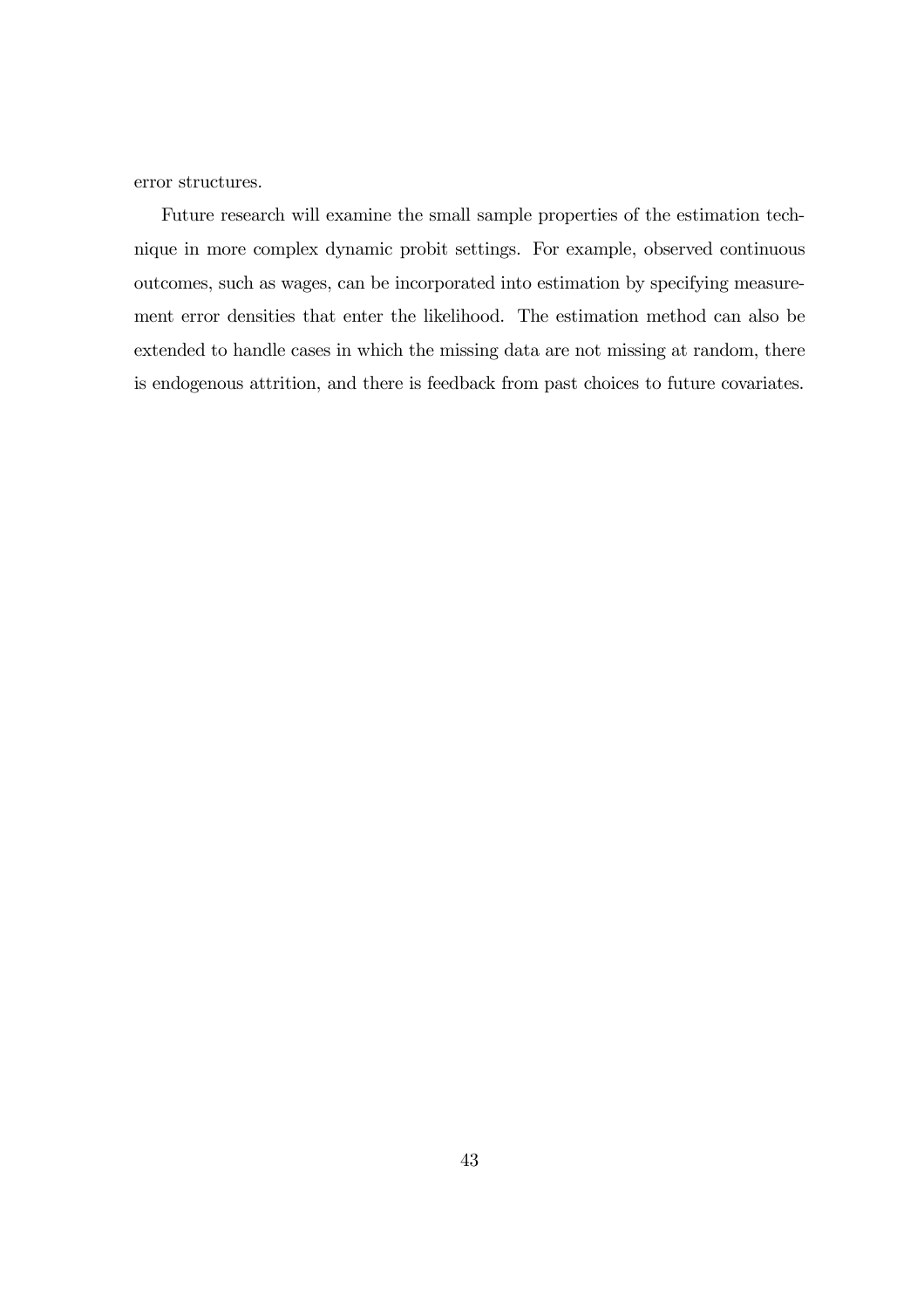error structures.

Future research will examine the small sample properties of the estimation technique in more complex dynamic probit settings. For example, observed continuous outcomes, such as wages, can be incorporated into estimation by specifying measurement error densities that enter the likelihood. The estimation method can also be extended to handle cases in which the missing data are not missing at random, there is endogenous attrition, and there is feedback from past choices to future covariates.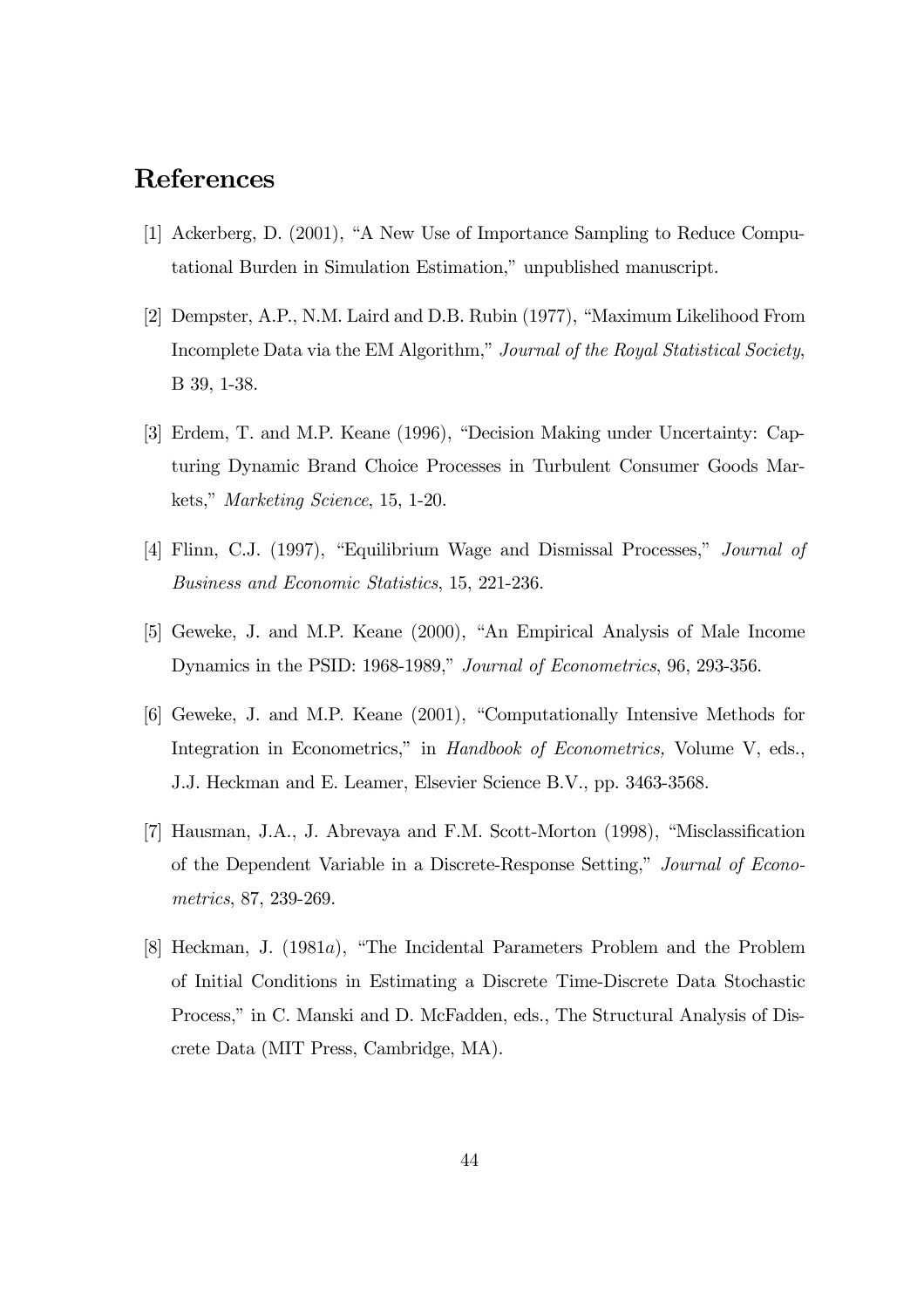## References

- [1] Ackerberg, D.  $(2001)$ , "A New Use of Importance Sampling to Reduce Computational Burden in Simulation Estimation," unpublished manuscript.
- [2] Dempster, A.P., N.M. Laird and D.B. Rubin (1977), "Maximum Likelihood From Incomplete Data via the EM Algorithm," Journal of the Royal Statistical Society, B 39, 1-38.
- [3] Erdem, T. and M.P. Keane (1996), "Decision Making under Uncertainty: Capturing Dynamic Brand Choice Processes in Turbulent Consumer Goods Markets," Marketing Science, 15, 1-20.
- [4] Flinn, C.J. (1997), "Equilibrium Wage and Dismissal Processes," *Journal of* Business and Economic Statistics, 15, 221-236.
- [5] Geweke, J. and M.P. Keane (2000), "An Empirical Analysis of Male Income Dynamics in the PSID: 1968-1989," Journal of Econometrics, 96, 293-356.
- [6] Geweke, J. and M.P. Keane (2001), "Computationally Intensive Methods for Integration in Econometrics," in Handbook of Econometrics, Volume V, eds., J.J. Heckman and E. Leamer, Elsevier Science B.V., pp. 3463-3568.
- [7] Hausman, J.A., J. Abrevaya and F.M. Scott-Morton  $(1998)$ , "Misclassification of the Dependent Variable in a Discrete-Response Setting," Journal of Econometrics, 87, 239-269.
- [8] Heckman, J.  $(1981a)$ , "The Incidental Parameters Problem and the Problem of Initial Conditions in Estimating a Discrete Time-Discrete Data Stochastic Process," in C. Manski and D. McFadden, eds., The Structural Analysis of Discrete Data (MIT Press, Cambridge, MA).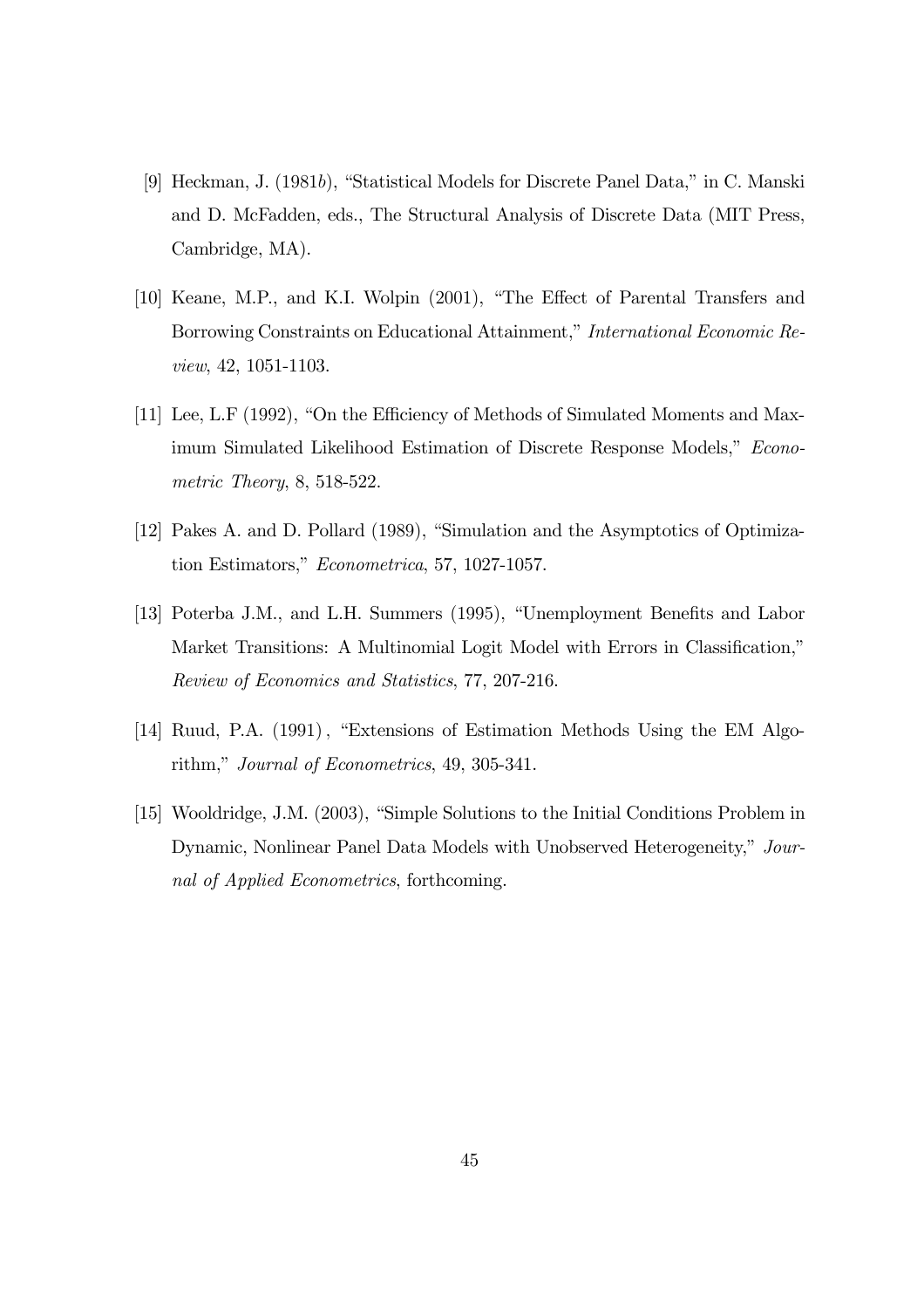- [9] Heckman, J. (1981b), "Statistical Models for Discrete Panel Data," in C. Manski and D. McFadden, eds., The Structural Analysis of Discrete Data (MIT Press, Cambridge, MA).
- [10] Keane, M.P., and K.I. Wolpin (2001), "The Effect of Parental Transfers and Borrowing Constraints on Educational Attainment," International Economic Review, 42, 1051-1103.
- [11] Lee, L.F (1992), "On the Efficiency of Methods of Simulated Moments and Maximum Simulated Likelihood Estimation of Discrete Response Models," Econometric Theory, 8, 518-522.
- [12] Pakes A. and D. Pollard (1989), "Simulation and the Asymptotics of Optimization Estimators," Econometrica, 57, 1027-1057.
- [13] Poterba J.M., and L.H. Summers (1995), "Unemployment Benefits and Labor Market Transitions: A Multinomial Logit Model with Errors in Classification," Review of Economics and Statistics, 77, 207-216.
- [14] Ruud, P.A. (1991), "Extensions of Estimation Methods Using the EM Algorithm," Journal of Econometrics, 49, 305-341.
- [15] Wooldridge, J.M. (2003), "Simple Solutions to the Initial Conditions Problem in Dynamic, Nonlinear Panel Data Models with Unobserved Heterogeneity," Journal of Applied Econometrics, forthcoming.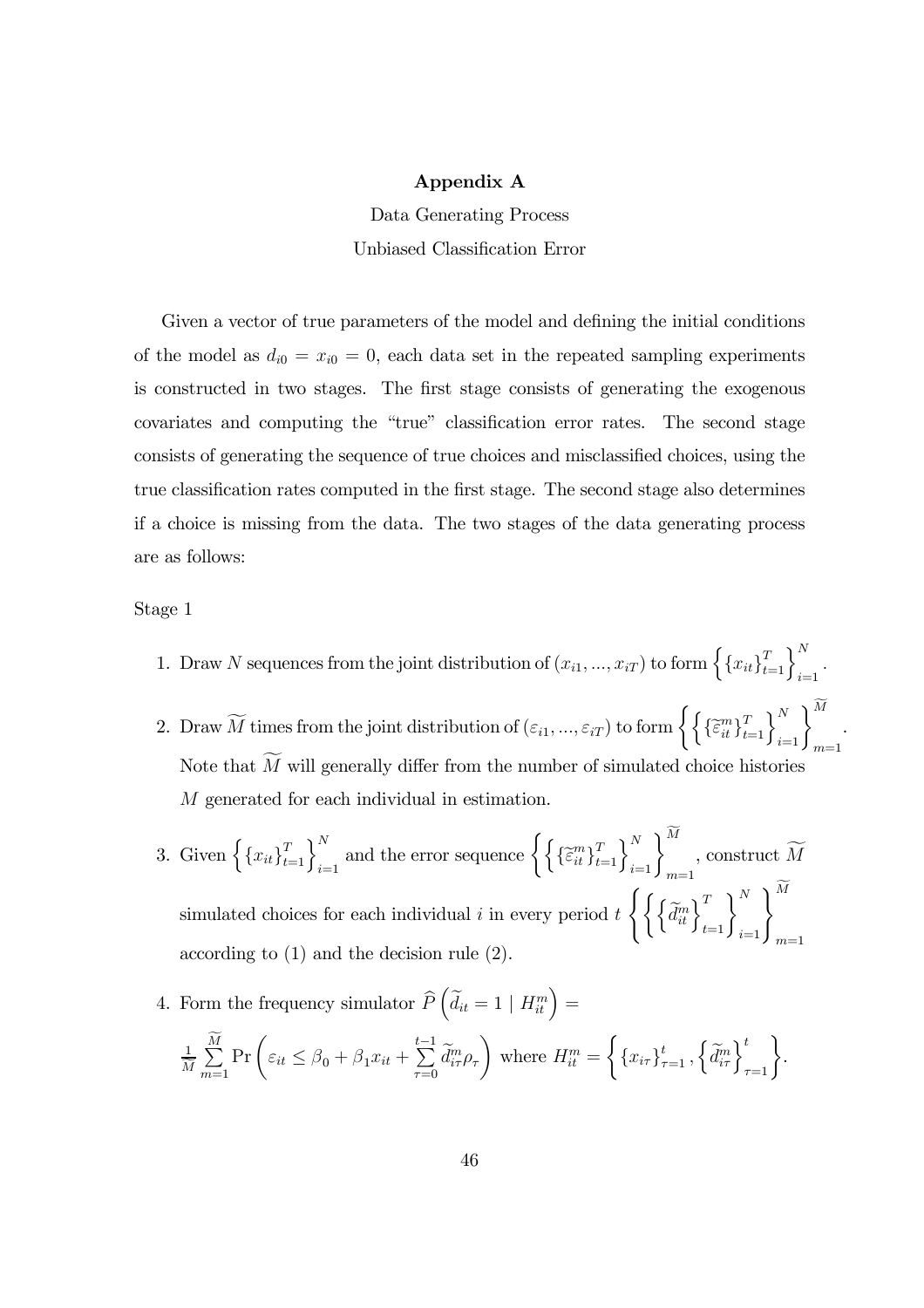#### Appendix A

Data Generating Process Unbiased Classification Error

Given a vector of true parameters of the model and defining the initial conditions of the model as  $d_{i0} = x_{i0} = 0$ , each data set in the repeated sampling experiments is constructed in two stages. The first stage consists of generating the exogenous covariates and computing the "true" classification error rates. The second stage consists of generating the sequence of true choices and misclassified choices, using the true classification rates computed in the first stage. The second stage also determines if a choice is missing from the data. The two stages of the data generating process are as follows:

#### Stage 1

- 1. Draw N sequences from the joint distribution of  $(x_{i1},...,x_{iT})$  to form  $\left\{\left\{x_{it}\right\}_{t=1}^T\right\}_{i=1}^N$ .
- 2. Draw  $\widetilde{M}$  times from the joint distribution of  $(\varepsilon_{i1},...,\varepsilon_{iT})$  to form  $\left\{\left\{\{\widetilde{\varepsilon}_{it}^{m}\}_{t=1}^{T}\right\}_{i=1}^{N}\right\}_{m=1}^{M}$  $m=1$ Note that  $M$  will generally differ from the number of simulated choice histories M generated for each individual in estimation.

.

3. Given  $\left\{\left\{x_{it}\right\}_{t=1}^T\right\}_{i=1}^N$  and the error sequence  $\left\{\left\{\{\widetilde{\epsilon}_{it}^m\}_{t=1}^T\right\}_{i=1}^N\right\}_{m=1}^M$  $m=1$ , construct  $M$ simulated choices for each individual i in every period  $t \left\{ \left\{ \left\{ \tilde{d}_{it}^{m} \right\}_{t=1}^{T} \right\}_{i=1}^{N} \right\}_{m=1}^{M}$  $m=1$ according to (1) and the decision rule (2).

4. Form the frequency simulator  $\widehat{P}\left(\widetilde{d}_{it} = 1 \mid H_{it}^m\right) =$ 1  $\overline{M}$  $\sum$  $m=1$  $\Pr\left(\varepsilon_{it} \leq \beta_0 + \beta_1 x_{it} + \right)$  $\sum_{ }^{t-1}$  $\tau = 0$  $\overline{d}^m_{i\tau}\rho_\tau$  $\setminus$ where  $H_{it}^m =$  $\left\{\left\{x_{i\tau}\right\}_{\tau=1}^t, \left\{\widetilde{d}_{i\tau}^m\right\}_{\tau=1}^t\right\}.$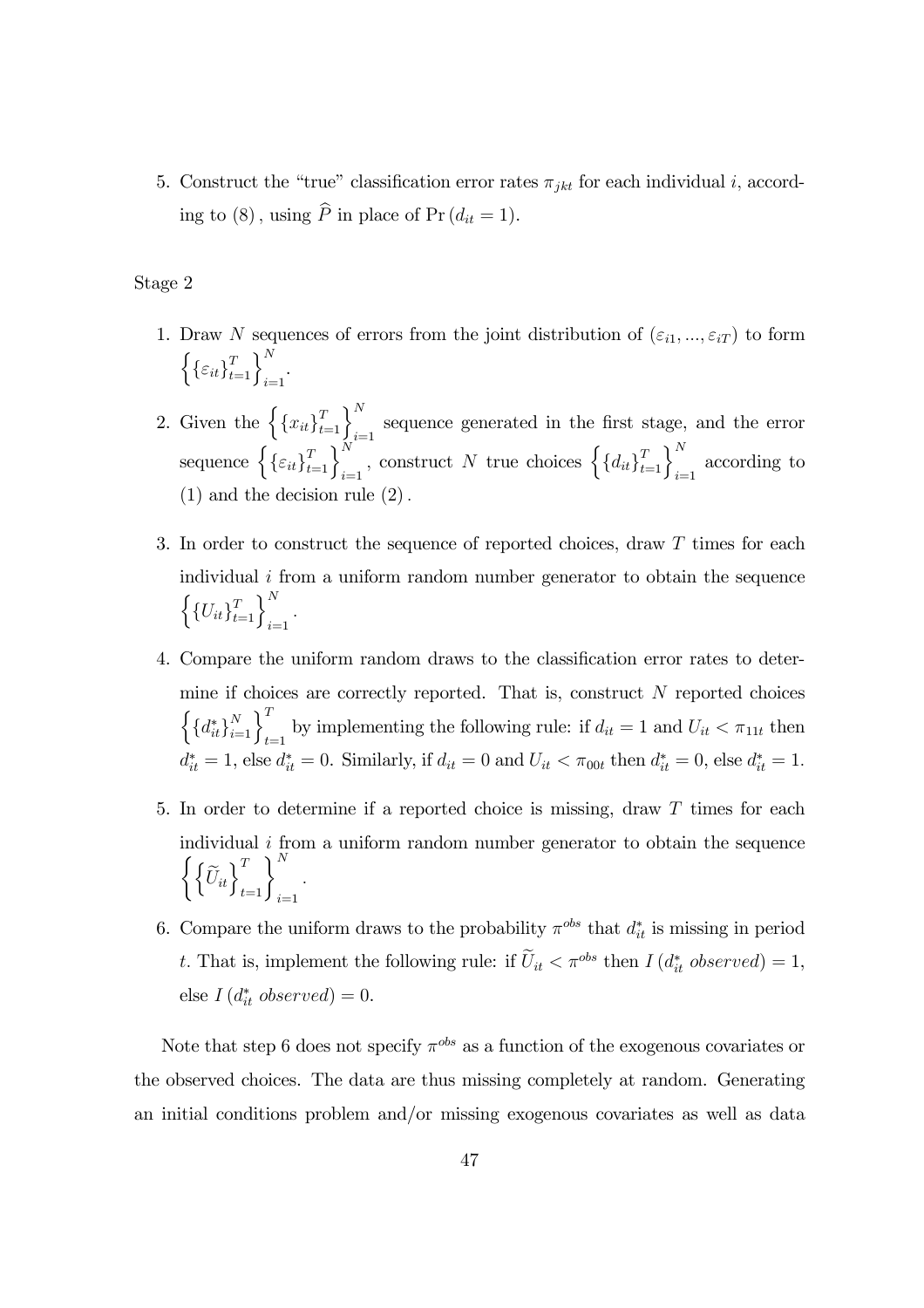5. Construct the "true" classification error rates  $\pi_{jkt}$  for each individual i, according to (8), using  $\hat{P}$  in place of Pr ( $d_{it} = 1$ ).

Stage 2

- 1. Draw N sequences of errors from the joint distribution of  $(\varepsilon_{i1}, ..., \varepsilon_{iT})$  to form  $\left\{\left\{\varepsilon_{it}\right\}_{t=1}^T\right\}_{i=1}^N.$
- 2. Given the  $\left\{\left\{x_{it}\right\}_{t=1}^T\right\}_{i=1}^N$  sequence generated in the first stage, and the error sequence  $\left\{\{\varepsilon_{it}\}_{t=1}^T\right\}_{i=1}^N$ , construct N true choices  $\left\{\{d_{it}\}_{t=1}^T\right\}_{i=1}^N$  according to (1) and the decision rule (2).
- 3. In order to construct the sequence of reported choices, draw T times for each individual  $i$  from a uniform random number generator to obtain the sequence  $\left\{\{U_{it}\}_{t=1}^T\right\}_{i=1}^N$ .
- 4. Compare the uniform random draws to the classification error rates to determine if choices are correctly reported. That is, construct  $N$  reported choices  $\left\{\left\{d_{it}^*\right\}_{i=1}^N\right\}_{t=1}^T$  by implementing the following rule: if  $d_{it} = 1$  and  $U_{it} < \pi_{11t}$  then  $d_{it}^* = 1$ , else  $d_{it}^* = 0$ . Similarly, if  $d_{it} = 0$  and  $U_{it} < \pi_{00t}$  then  $d_{it}^* = 0$ , else  $d_{it}^* = 1$ .
- 5. In order to determine if a reported choice is missing, draw T times for each individual  $i$  from a uniform random number generator to obtain the sequence  $\left\{\left\{\widetilde{U}_{it}\right\}_{t=1}^T\right\}_{i=1}^N$ .
- 6. Compare the uniform draws to the probability  $\pi^{obs}$  that  $d_{it}^*$  is missing in period t. That is, implement the following rule: if  $\tilde{U}_{it} < \pi^{obs}$  then  $I(d_{it}^{*}$  observed) = 1, else  $I(d_{it}^*$  observed) = 0.

Note that step 6 does not specify  $\pi^{obs}$  as a function of the exogenous covariates or the observed choices. The data are thus missing completely at random. Generating an initial conditions problem and/or missing exogenous covariates as well as data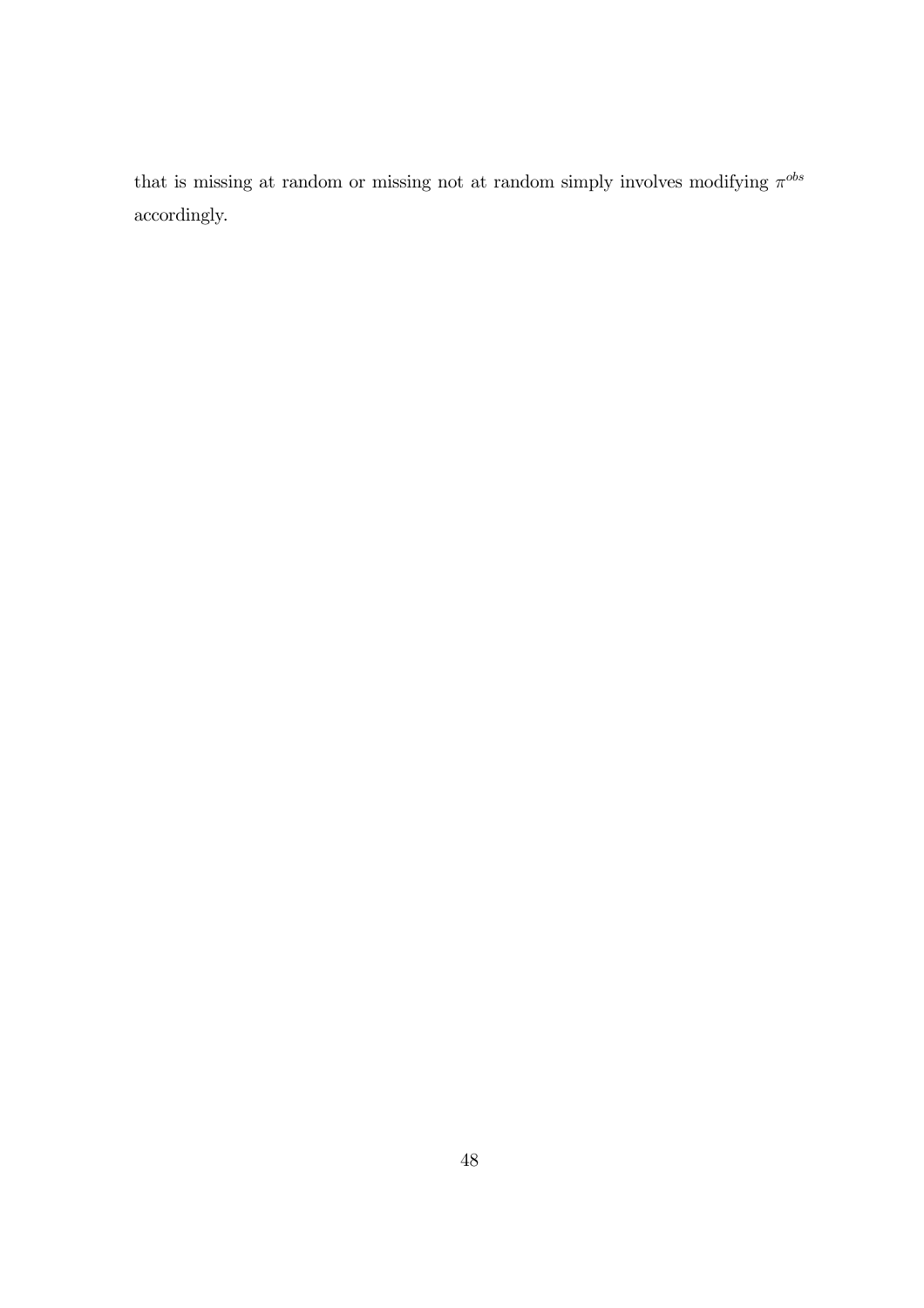that is missing at random or missing not at random simply involves modifying  $\pi^{obs}$ accordingly.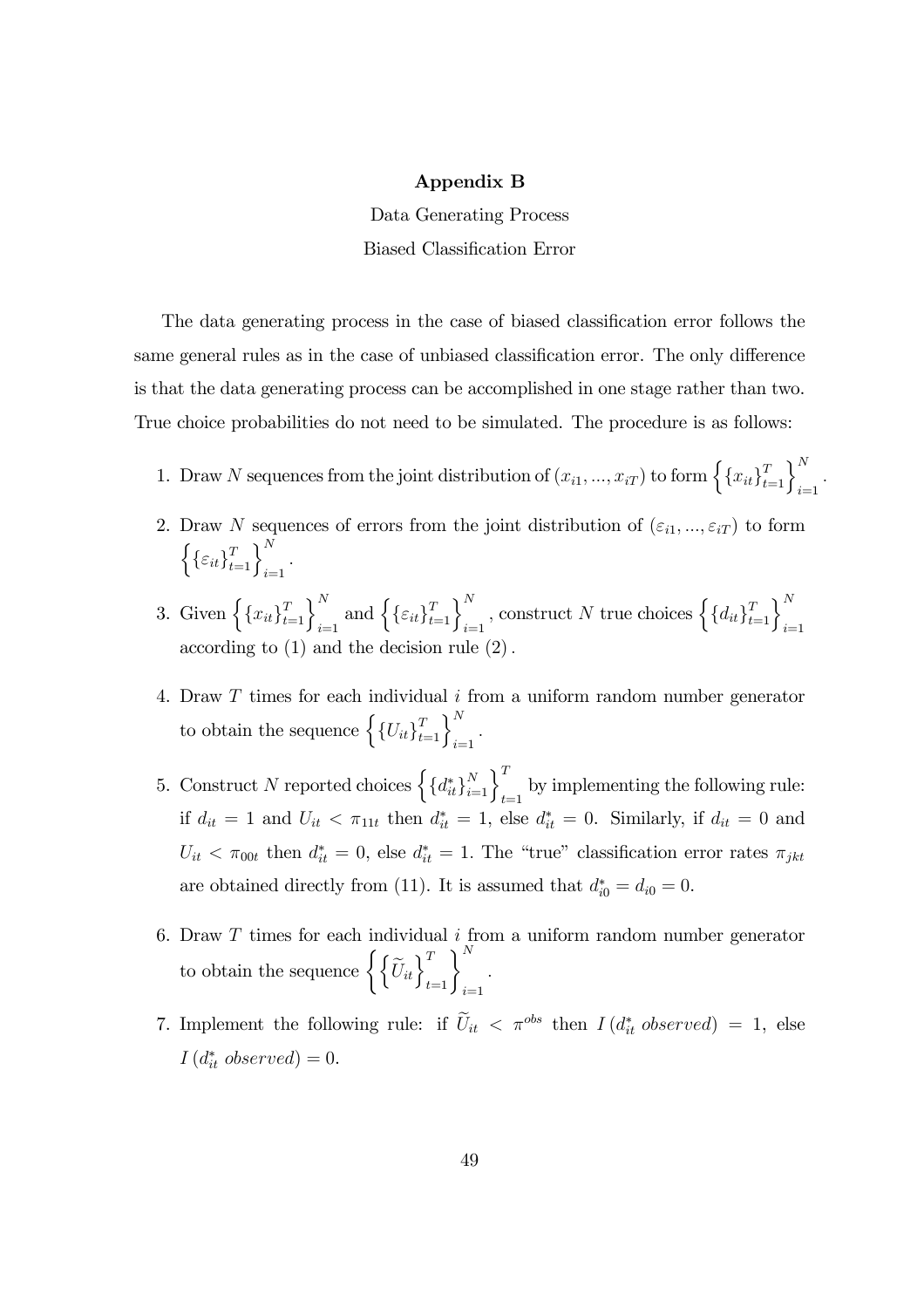#### Appendix B

Data Generating Process Biased Classification Error

The data generating process in the case of biased classification error follows the same general rules as in the case of unbiased classification error. The only difference is that the data generating process can be accomplished in one stage rather than two. True choice probabilities do not need to be simulated. The procedure is as follows:

- 1. Draw N sequences from the joint distribution of  $(x_{i1},...,x_{iT})$  to form  $\left\{\left\{x_{it}\right\}_{t=1}^T\right\}_{i=1}^N$ .
- 2. Draw N sequences of errors from the joint distribution of  $(\varepsilon_{i1}, ..., \varepsilon_{iT})$  to form  $\left\{\{\varepsilon_{it}\}_{t=1}^T\right\}_{i=1}^N$ .
- 3. Given  $\left\{\left\{x_{it}\right\}_{t=1}^T\right\}_{i=1}^N$  and  $\left\{\left\{\varepsilon_{it}\right\}_{t=1}^T\right\}_{i=1}^N$ , construct N true choices  $\left\{\left\{d_{it}\right\}_{t=1}^T\right\}_{i=1}^N$ according to (1) and the decision rule (2).
- 4. Draw T times for each individual i from a uniform random number generator to obtain the sequence  $\left\{\left\{U_{it}\right\}_{t=1}^T\right\}_{i=1}^N$ .
- 5. Construct N reported choices  $\left\{\left\{d_{it}^*\right\}_{i=1}^N\right\}_{t=1}^T$  by implementing the following rule: if  $d_{it} = 1$  and  $U_{it} < \pi_{11t}$  then  $d_{it}^* = 1$ , else  $d_{it}^* = 0$ . Similarly, if  $d_{it} = 0$  and  $U_{it} < \pi_{00t}$  then  $d_{it}^* = 0$ , else  $d_{it}^* = 1$ . The "true" classification error rates  $\pi_{jkt}$ are obtained directly from (11). It is assumed that  $d_{i0}^* = d_{i0} = 0$ .
- 6. Draw  $T$  times for each individual  $i$  from a uniform random number generator to obtain the sequence  $\left\{\left\{\widetilde{U}_{it}\right\}_{t=1}^T\right\}_{i=1}^N$ .
- 7. Implement the following rule: if  $\tilde{U}_{it} < \pi^{obs}$  then  $I(d_{it}^{*}$  observed) = 1, else  $I(d_{it}^*$  observed) = 0.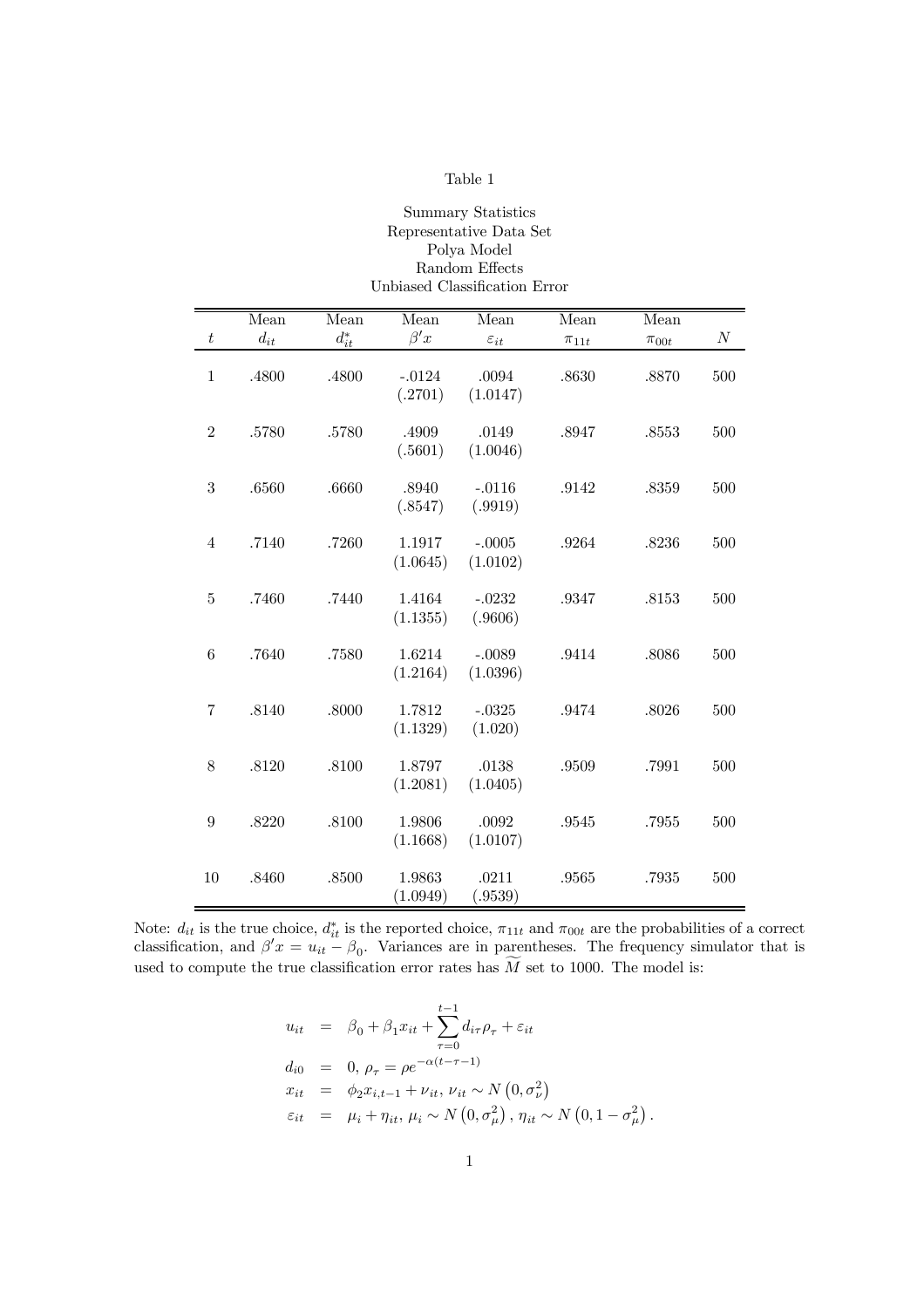#### Summary Statistics Representative Data Set Polya Model Random Effects Unbiased Classification Error

|                  | Mean     | Mean            | Mean                | Mean                 | Mean        | Mean        |          |
|------------------|----------|-----------------|---------------------|----------------------|-------------|-------------|----------|
| $\boldsymbol{t}$ | $d_{it}$ | $d_{it}^{\ast}$ | $\beta' x$          | $\varepsilon_{it}$   | $\pi_{11t}$ | $\pi_{00t}$ | $\cal N$ |
| $1\,$            | .4800    | .4800           | $-.0124$<br>(.2701) | .0094<br>(1.0147)    | .8630       | .8870       | 500      |
| $\overline{2}$   | .5780    | .5780           | .4909<br>(.5601)    | .0149<br>(1.0046)    | .8947       | .8553       | 500      |
| 3                | .6560    | .6660           | .8940<br>(.8547)    | $-.0116$<br>(.9919)  | .9142       | .8359       | 500      |
| $\overline{4}$   | .7140    | .7260           | 1.1917<br>(1.0645)  | $-.0005$<br>(1.0102) | .9264       | .8236       | 500      |
| 5                | .7460    | .7440           | 1.4164<br>(1.1355)  | $-.0232$<br>(.9606)  | .9347       | .8153       | 500      |
| $\boldsymbol{6}$ | .7640    | .7580           | 1.6214<br>(1.2164)  | $-.0089$<br>(1.0396) | .9414       | .8086       | 500      |
| $\overline{7}$   | .8140    | .8000           | 1.7812<br>(1.1329)  | $-.0325$<br>(1.020)  | .9474       | .8026       | 500      |
| 8                | .8120    | .8100           | 1.8797<br>(1.2081)  | .0138<br>(1.0405)    | .9509       | .7991       | 500      |
| 9                | .8220    | .8100           | 1.9806<br>(1.1668)  | .0092<br>(1.0107)    | .9545       | .7955       | 500      |
| 10               | .8460    | .8500           | 1.9863<br>(1.0949)  | .0211<br>(.9539)     | .9565       | .7935       | 500      |

Note:  $d_{it}$  is the true choice,  $d_{it}^*$  is the reported choice,  $\pi_{11t}$  and  $\pi_{00t}$  are the probabilities of a correct classification, and  $\beta' x = u_{it} - \beta_0$ . Variances are in parentheses. The frequency simulator that is used to compute the true classification error rates has  $M$  set to 1000. The model is:

$$
u_{it} = \beta_0 + \beta_1 x_{it} + \sum_{\tau=0}^{t-1} d_{i\tau} \rho_{\tau} + \varepsilon_{it}
$$
  
\n
$$
d_{i0} = 0, \rho_{\tau} = \rho e^{-\alpha(t-\tau-1)}
$$
  
\n
$$
x_{it} = \phi_2 x_{i,t-1} + \nu_{it}, \nu_{it} \sim N(0, \sigma_{\nu}^2)
$$
  
\n
$$
\varepsilon_{it} = \mu_i + \eta_{it}, \mu_i \sim N(0, \sigma_{\mu}^2), \eta_{it} \sim N(0, 1 - \sigma_{\mu}^2).
$$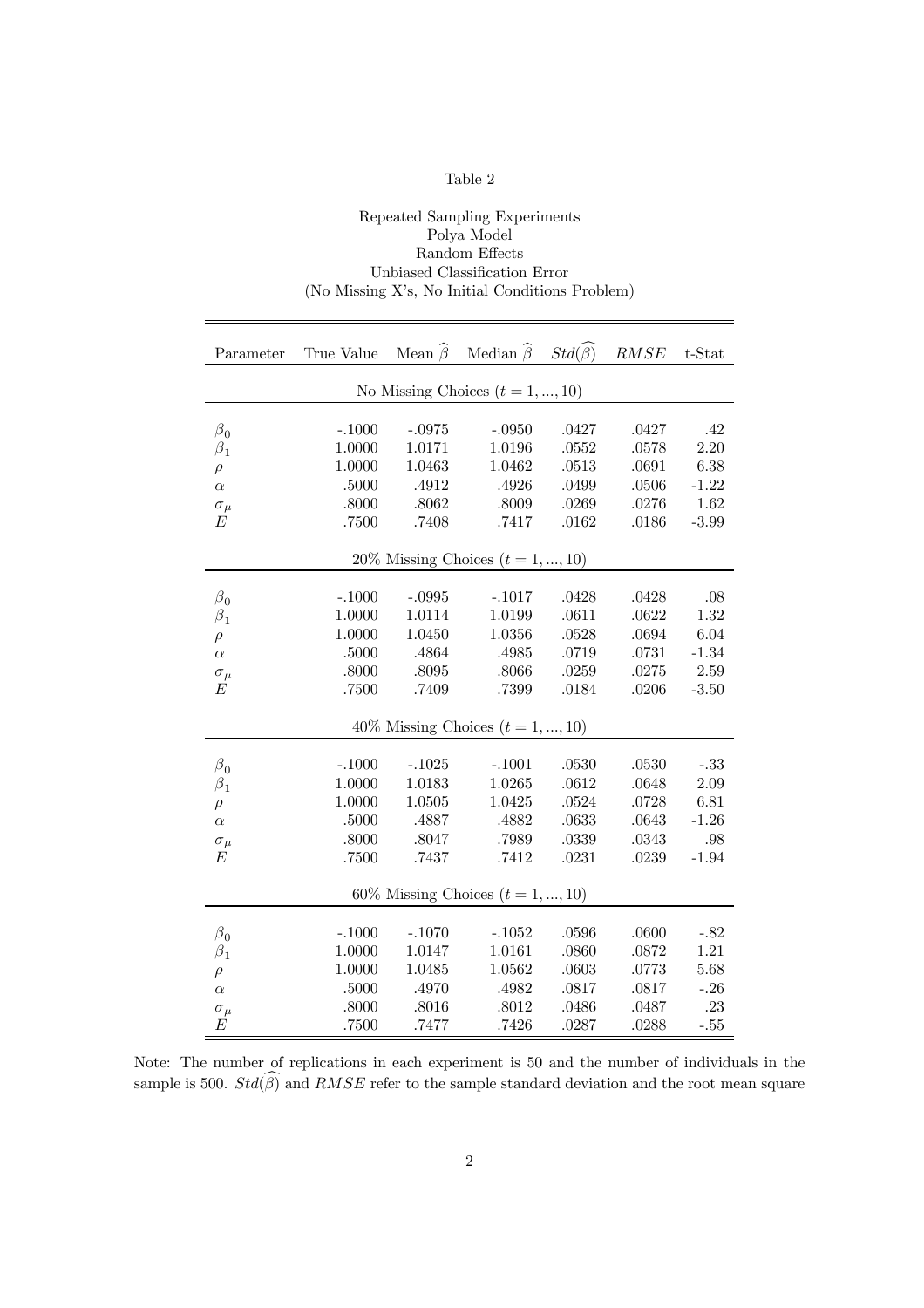#### Repeated Sampling Experiments Polya Model Random Effects Unbiased Classification Error (No Missing X's, No Initial Conditions Problem)

| Parameter      | True Value Mean $\widehat{\beta}$ Median $\widehat{\beta}$ Std $(\widehat{\beta})$ RMSE t-Stat |           |                                        |           |       |          |
|----------------|------------------------------------------------------------------------------------------------|-----------|----------------------------------------|-----------|-------|----------|
|                |                                                                                                |           | No Missing Choices $(t = 1, , 10)$     |           |       |          |
|                |                                                                                                |           |                                        |           |       |          |
| $\beta_0$      | $-.1000$                                                                                       | $-.0975$  | $-.0950$                               | .0427     | .0427 | .42      |
| $\beta_1$      | 1.0000                                                                                         | 1.0171    | 1.0196                                 | .0552     | .0578 | $2.20\,$ |
| $\rho$         | 1.0000                                                                                         | 1.0463    | 1.0462                                 | $.0513\,$ | .0691 | 6.38     |
| $\alpha$       | .5000                                                                                          | .4912     | .4926                                  | .0499     | .0506 | $-1.22$  |
| $\sigma_{\mu}$ | $.8000$                                                                                        | $.8062\,$ | $.8009\,$                              | .0269     | .0276 | 1.62     |
| E              | .7500                                                                                          | .7408     | .7417                                  | .0162     | .0186 | $-3.99$  |
|                |                                                                                                |           | 20% Missing Choices $(t = 1, , 10)$    |           |       |          |
|                |                                                                                                |           |                                        |           |       |          |
| $\beta_0$      | $-.1000$                                                                                       | $-.0995$  | $-.1017$                               | .0428     | .0428 | .08      |
| $\beta_1$      | 1.0000                                                                                         | 1.0114    | 1.0199                                 | .0611     | .0622 | 1.32     |
| $\rho$         | 1.0000                                                                                         | 1.0450    | 1.0356                                 | .0528     | .0694 | 6.04     |
| $\alpha$       | .5000                                                                                          | .4864     | .4985                                  | .0719     | .0731 | $-1.34$  |
| $\sigma_{\mu}$ | .8000                                                                                          | .8095     | .8066                                  | .0259     | .0275 | 2.59     |
| E              | $.7500\,$                                                                                      | .7409     | .7399                                  | .0184     | .0206 | $-3.50$  |
|                |                                                                                                |           | 40% Missing Choices $(t = 1, , 10)$    |           |       |          |
|                |                                                                                                |           |                                        |           |       |          |
| $\beta_0$      | $-.1000$                                                                                       | $-.1025$  | $-.1001$                               | $.0530\,$ | .0530 | $-.33$   |
| $\beta_1$      | 1.0000                                                                                         | 1.0183    | 1.0265                                 | .0612     | .0648 | 2.09     |
| $\rho$         | 1.0000                                                                                         | 1.0505    | 1.0425                                 | .0524     | .0728 | 6.81     |
| $\alpha$       | .5000                                                                                          | .4887     | .4882                                  | .0633     | .0643 | $-1.26$  |
| $\sigma_\mu$   | .8000                                                                                          | .8047     | .7989                                  | .0339     | .0343 | .98      |
| E              | .7500                                                                                          | $.7437\,$ | $.7412\,$                              | $.0231\,$ | .0239 | $-1.94$  |
|                |                                                                                                |           | $60\%$ Missing Choices $(t = 1, , 10)$ |           |       |          |
|                |                                                                                                |           |                                        |           |       |          |
| $\beta_0$      | $-.1000$                                                                                       | $-.1070$  | $-.1052$                               | .0596     | .0600 | $-.82$   |
| $\beta_1$      | 1.0000                                                                                         | 1.0147    | 1.0161                                 | .0860     | .0872 | $1.21\,$ |
| $\rho$         | 1.0000                                                                                         | 1.0485    | 1.0562                                 | .0603     | .0773 | 5.68     |
| $\alpha$       | .5000                                                                                          | .4970     | .4982                                  | $.0817\,$ | .0817 | $-.26$   |
| $\sigma_{\mu}$ | .8000                                                                                          | $.8016$   | .8012                                  | .0486     | .0487 | .23      |
| E              | .7500                                                                                          | .7477     | .7426                                  | .0287     | .0288 | $-.55$   |

Note: The number of replications in each experiment is 50 and the number of individuals in the sample is 500.  $Std(\widehat{\beta})$  and  $RMSE$  refer to the sample standard deviation and the root mean square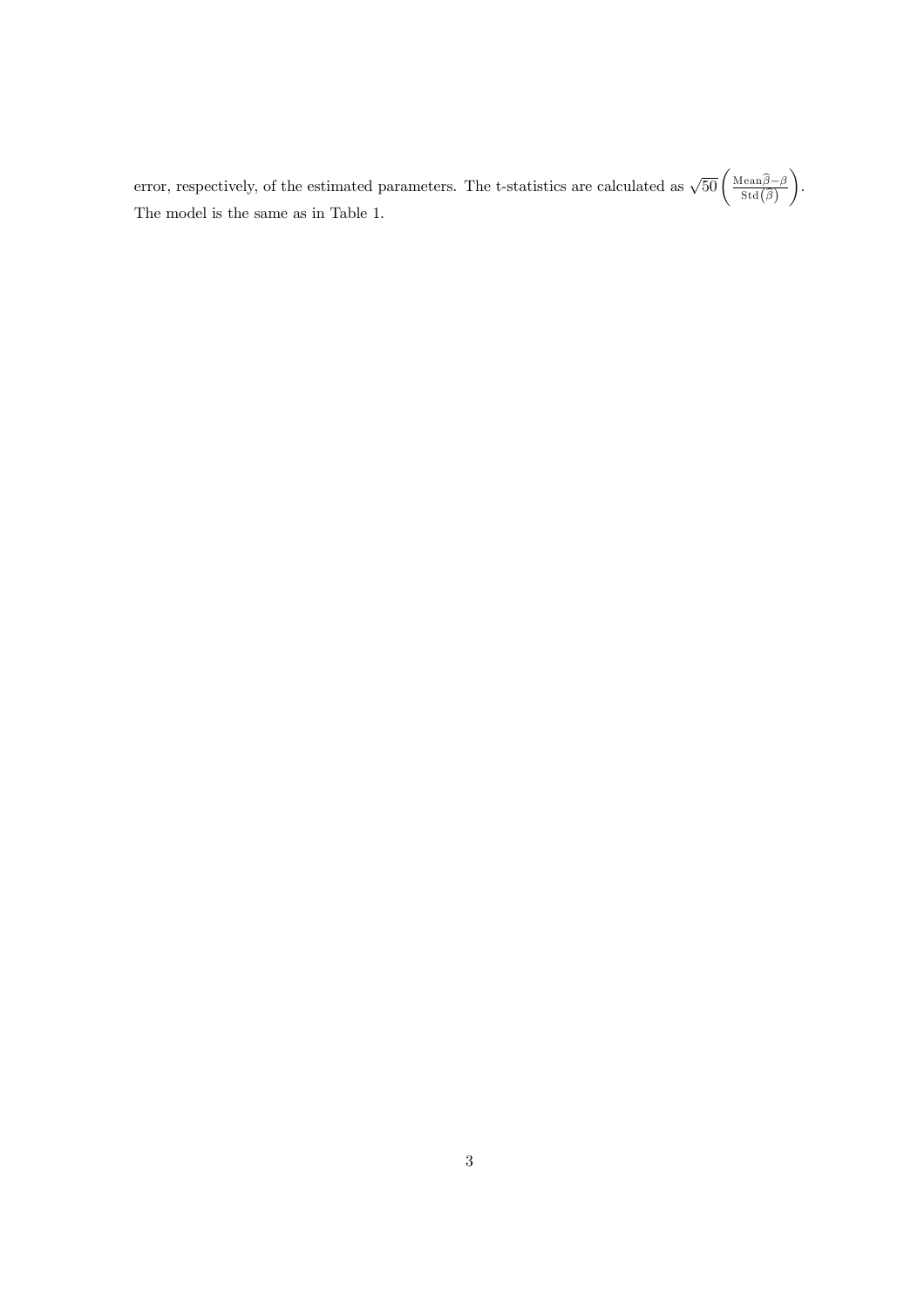error, respectively, of the estimated parameters. The t-statistics are calculated as  $\sqrt{50} \left( \frac{\text{Mean}\hat{\beta} - \beta}{\text{Std}(\hat{\beta})} \right)$  $\setminus$ . The model is the same as in Table 1.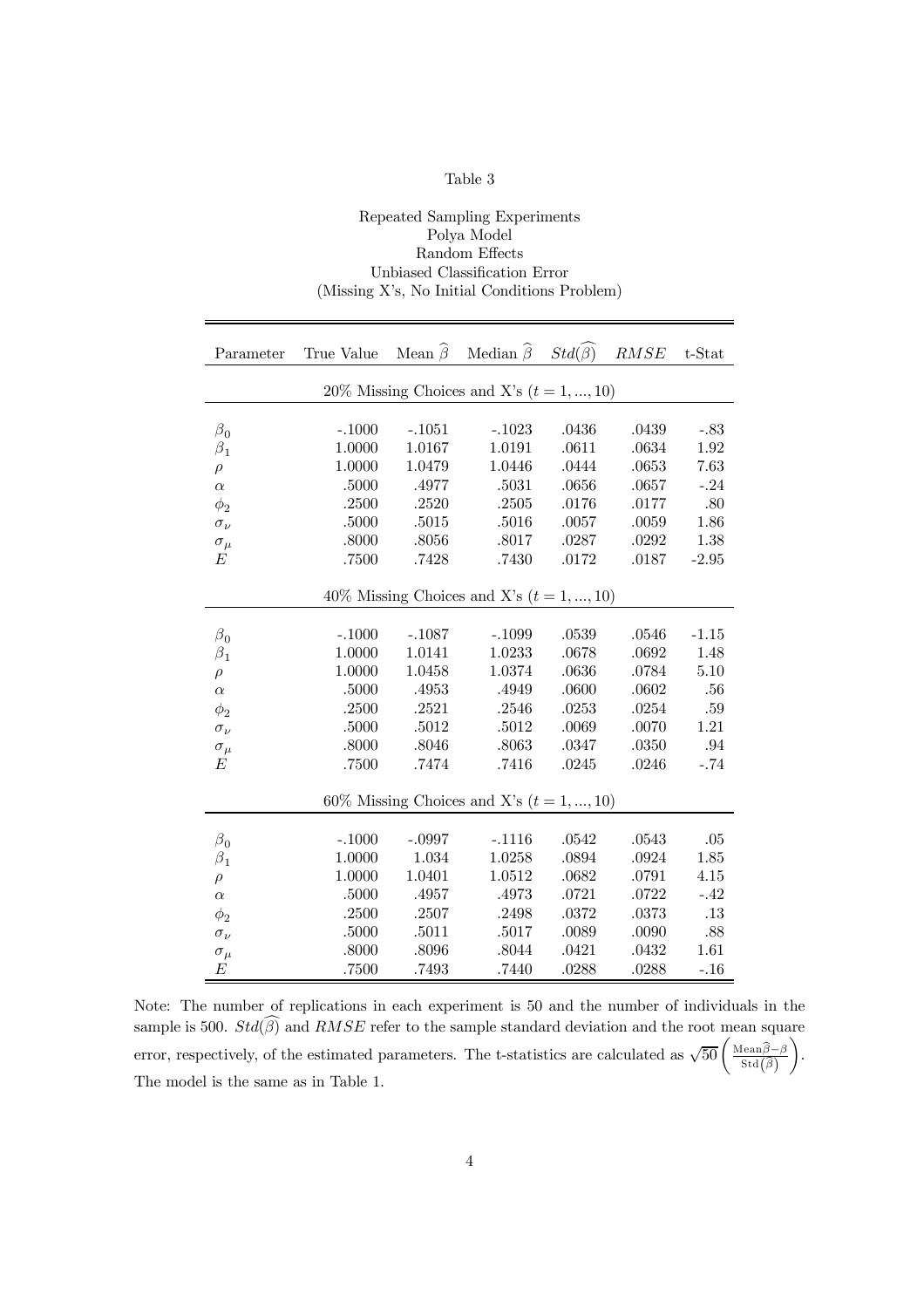#### Repeated Sampling Experiments Polya Model Random Effects Unbiased Classification Error (Missing X's, No Initial Conditions Problem)

| Parameter      | True Value Mean $\widehat{\beta}$ Median $\widehat{\beta}$ Std $(\widehat{\beta})$ |           |                                             |           | RMSE      | $t$ -Stat |
|----------------|------------------------------------------------------------------------------------|-----------|---------------------------------------------|-----------|-----------|-----------|
|                |                                                                                    |           | 20% Missing Choices and X's $(t = 1, , 10)$ |           |           |           |
|                |                                                                                    |           |                                             |           |           |           |
| $\beta_0$      | $-.1000$                                                                           | $-.1051$  | $-.1023$                                    | .0436     | .0439     | $-.83$    |
| $\beta_1$      | 1.0000                                                                             | 1.0167    | 1.0191                                      | .0611     | .0634     | 1.92      |
| $\rho$         | 1.0000                                                                             | 1.0479    | 1.0446                                      | .0444     | .0653     | 7.63      |
| $\alpha$       | $.5000\,$                                                                          | .4977     | $.5031\,$                                   | $.0656\,$ | $.0657\,$ | $-.24$    |
| $\phi_2$       | .2500                                                                              | .2520     | .2505                                       | .0176     | .0177     | .80       |
| $\sigma_\nu$   | .5000                                                                              | $.5015\,$ | $.5016\,$                                   | $.0057\,$ | $.0059\,$ | 1.86      |
| $\sigma_{\mu}$ | .8000                                                                              | .8056     | .8017                                       | .0287     | .0292     | 1.38      |
| Е              | .7500                                                                              | .7428     | $.7430\,$                                   | $.0172\,$ | .0187     | $-2.95$   |
|                |                                                                                    |           |                                             |           |           |           |
|                |                                                                                    |           | 40% Missing Choices and X's $(t = 1, , 10)$ |           |           |           |
|                |                                                                                    |           |                                             |           |           |           |
| $\beta_0$      | $-.1000$                                                                           | $-.1087$  | $-.1099$                                    | .0539     | .0546     | $-1.15$   |
| $\beta_1$      | 1.0000                                                                             | 1.0141    | 1.0233                                      | .0678     | .0692     | 1.48      |
| $\rho$         | 1.0000                                                                             | 1.0458    | 1.0374                                      | .0636     | .0784     | 5.10      |
| $\alpha$       | .5000                                                                              | .4953     | .4949                                       | .0600     | .0602     | .56       |
| $\phi_2$       | .2500                                                                              | .2521     | .2546                                       | .0253     | .0254     | .59       |
| $\sigma_\nu$   | .5000                                                                              | .5012     | $.5012\,$                                   | $.0069$   | .0070     | 1.21      |
| $\sigma_{\mu}$ | .8000                                                                              | .8046     | .8063                                       | .0347     | .0350     | .94       |
| E              | .7500                                                                              | .7474     | .7416                                       | .0245     | .0246     | $-.74$    |
|                |                                                                                    |           |                                             |           |           |           |
|                |                                                                                    |           | 60% Missing Choices and X's $(t = 1, , 10)$ |           |           |           |
|                |                                                                                    |           |                                             |           |           |           |
| $\beta_0$      | $-.1000$                                                                           | $-.0997$  | $-.1116$                                    | $.0542\,$ | .0543     | $.05\,$   |
| $\beta_1$      | 1.0000                                                                             | 1.034     | 1.0258                                      | .0894     | .0924     | 1.85      |
| $\rho$         | 1.0000                                                                             | 1.0401    | 1.0512                                      | .0682     | .0791     | 4.15      |
| $\alpha$       | .5000                                                                              | .4957     | .4973                                       | .0721     | .0722     | $-.42$    |
| $\phi_2$       | .2500                                                                              | .2507     | .2498                                       | $.0372\,$ | .0373     | .13       |
| $\sigma_\nu$   | .5000                                                                              | .5011     | .5017                                       | .0089     | .0090     | .88       |
| $\sigma_{\mu}$ | .8000                                                                              | .8096     | $.8044\,$                                   | .0421     | .0432     | 1.61      |
| E              | .7500                                                                              | .7493     | .7440                                       | .0288     | .0288     | $-.16$    |

Note: The number of replications in each experiment is 50 and the number of individuals in the sample is 500.  $Std(\widehat{\beta})$  and  $RMSE$  refer to the sample standard deviation and the root mean square error, respectively, of the estimated parameters. The t-statistics are calculated as  $\sqrt{50} \left( \frac{\text{Mean}\hat{\beta} - \beta}{\text{Std}(\hat{\beta})} \right)$  $\setminus$ . The model is the same as in Table 1.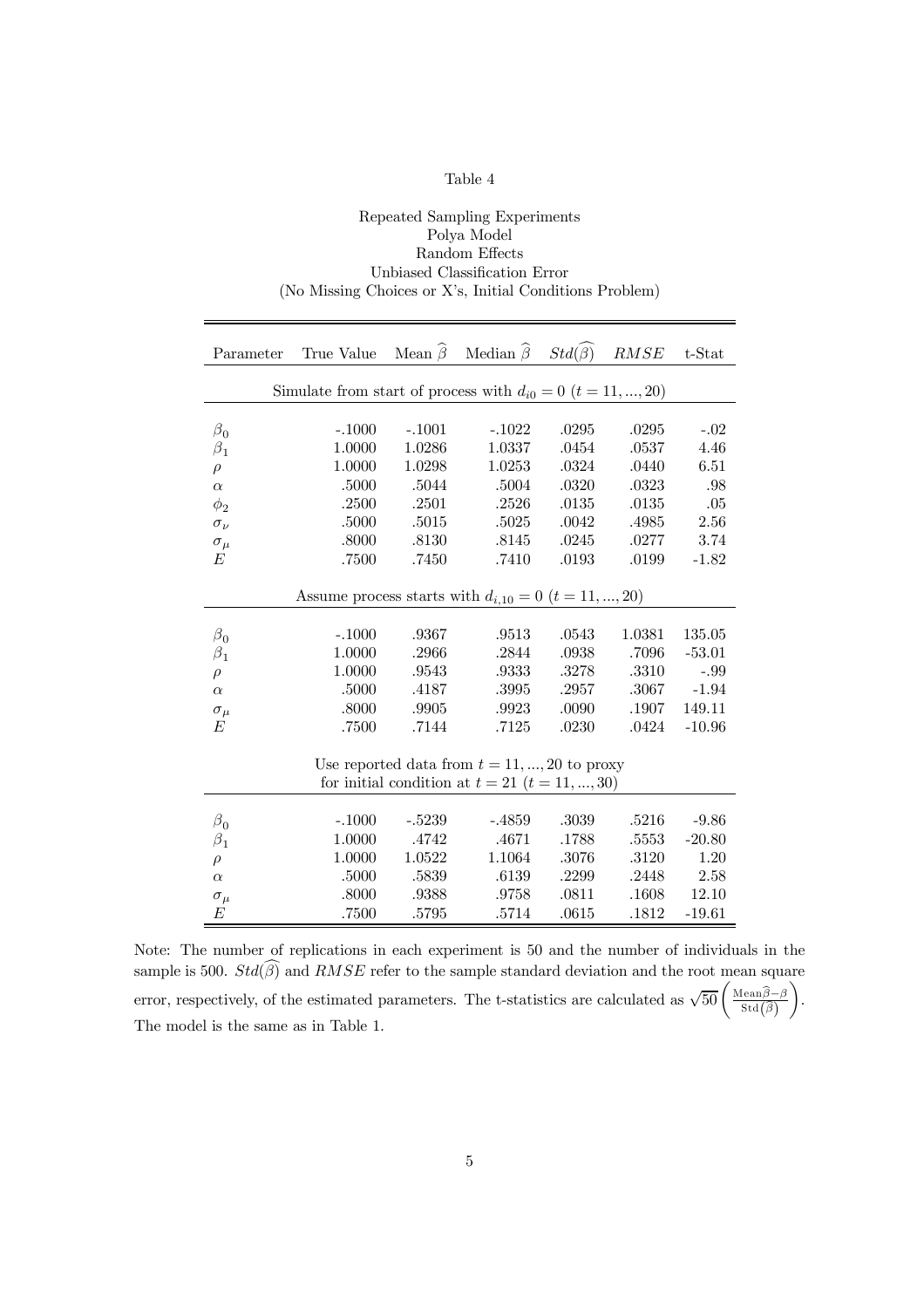#### Repeated Sampling Experiments Polya Model Random Effects Unbiased Classification Error (No Missing Choices or X's, Initial Conditions Problem)

| Parameter      | True Value                                                        |          | Mean $\widehat{\beta}$ Median $\widehat{\beta}$ Std $(\widehat{\beta})$ |           | $RMSE$ | t-Stat   |
|----------------|-------------------------------------------------------------------|----------|-------------------------------------------------------------------------|-----------|--------|----------|
|                | Simulate from start of process with $d_{i0} = 0$ $(t = 11, , 20)$ |          |                                                                         |           |        |          |
|                |                                                                   |          |                                                                         |           |        |          |
| $\beta_0$      | $-.1000$                                                          | $-.1001$ | $-.1022$                                                                | .0295     | .0295  | $-.02$   |
| $\beta_1$      | 1.0000                                                            | 1.0286   | 1.0337                                                                  | .0454     | .0537  | 4.46     |
| $\rho$         | 1.0000                                                            | 1.0298   | 1.0253                                                                  | .0324     | .0440  | 6.51     |
| $\alpha$       | .5000                                                             | .5044    | .5004                                                                   | .0320     | .0323  | .98      |
| $\phi_2$       | .2500                                                             | .2501    | .2526                                                                   | $.0135\,$ | .0135  | .05      |
| $\sigma_{\nu}$ | .5000                                                             | .5015    | .5025                                                                   | .0042     | .4985  | 2.56     |
| $\sigma_\mu$   | .8000                                                             | .8130    | .8145                                                                   | .0245     | .0277  | 3.74     |
| E              | .7500                                                             | .7450    | .7410                                                                   | .0193     | .0199  | $-1.82$  |
|                |                                                                   |          |                                                                         |           |        |          |
|                | Assume process starts with $d_{i,10} = 0$ $(t = 11, , 20)$        |          |                                                                         |           |        |          |
|                |                                                                   |          |                                                                         |           |        |          |
| $\beta_0$      | $-.1000$                                                          | .9367    | .9513                                                                   | .0543     | 1.0381 | 135.05   |
| $\beta_1$      | 1.0000                                                            | .2966    | .2844                                                                   | .0938     | .7096  | $-53.01$ |
| $\rho$         | 1.0000                                                            | .9543    | .9333                                                                   | .3278     | .3310  | $-.99$   |
| $\alpha$       | .5000                                                             | .4187    | .3995                                                                   | .2957     | .3067  | $-1.94$  |
| $\sigma_\mu$   | .8000                                                             | .9905    | .9923                                                                   | .0090     | .1907  | 149.11   |
| E              | .7500                                                             | .7144    | .7125                                                                   | .0230     | .0424  | $-10.96$ |
|                |                                                                   |          |                                                                         |           |        |          |
|                |                                                                   |          | Use reported data from $t = 11, , 20$ to proxy                          |           |        |          |
|                |                                                                   |          | for initial condition at $t = 21$ $(t = 11, , 30)$                      |           |        |          |
|                |                                                                   |          |                                                                         |           |        |          |
| $\beta_0$      | $-.1000$                                                          | $-.5239$ | $-.4859$                                                                | .3039     | .5216  | $-9.86$  |
| $\beta_1$      | 1.0000                                                            | .4742    | .4671                                                                   | .1788     | .5553  | $-20.80$ |
| $\rho$         | 1.0000                                                            | 1.0522   | 1.1064                                                                  | .3076     | .3120  | 1.20     |
| $\alpha$       | .5000                                                             | .5839    | .6139                                                                   | .2299     | .2448  | 2.58     |
| $\sigma_{\mu}$ | .8000                                                             | .9388    | .9758                                                                   | .0811     | .1608  | 12.10    |
| E              | .7500                                                             | .5795    | .5714                                                                   | .0615     | .1812  | $-19.61$ |

Note: The number of replications in each experiment is 50 and the number of individuals in the sample is 500.  $Std(\widehat{\beta})$  and  $RMSE$  refer to the sample standard deviation and the root mean square error, respectively, of the estimated parameters. The t-statistics are calculated as  $\sqrt{50} \left( \frac{\text{Mean}\hat{\beta} - \beta}{\text{Std}(\hat{\beta})} \right)$  $\setminus$ . The model is the same as in Table 1.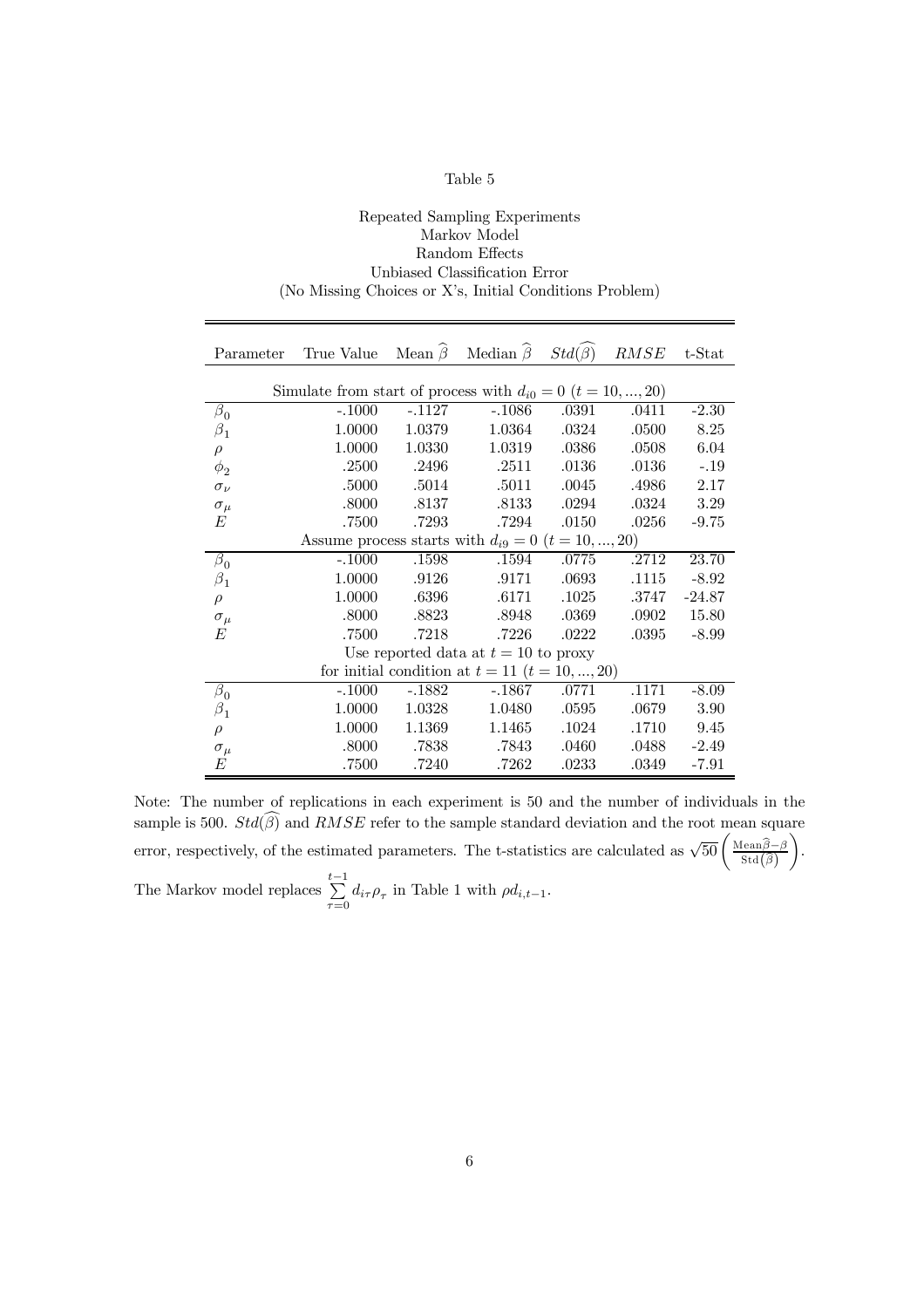#### Repeated Sampling Experiments Markov Model Random Effects Unbiased Classification Error (No Missing Choices or X's, Initial Conditions Problem)

| Parameter      | True Value Mean $\hat{\beta}$ Median $\hat{\beta}$ Std $(\hat{\beta})$ RMSE t-Stat |          |                                                    |       |       |          |
|----------------|------------------------------------------------------------------------------------|----------|----------------------------------------------------|-------|-------|----------|
|                | Simulate from start of process with $d_{i0} = 0$ $(t = 10, , 20)$                  |          |                                                    |       |       |          |
| $\beta_0$      | $-.1000$                                                                           | $-.1127$ | $-.1086$                                           | .0391 | .0411 | $-2.30$  |
| $\beta_1$      | 1.0000                                                                             | 1.0379   | 1.0364                                             | .0324 | .0500 | 8.25     |
| $\rho$         | 1.0000                                                                             | 1.0330   | 1.0319                                             | .0386 | .0508 | 6.04     |
| $\phi_2$       | .2500                                                                              | .2496    | .2511                                              | .0136 | .0136 | $-.19$   |
| $\sigma_{\nu}$ | .5000                                                                              | .5014    | .5011                                              | .0045 | .4986 | 2.17     |
| $\sigma_{\mu}$ | .8000                                                                              | .8137    | .8133                                              | .0294 | .0324 | 3.29     |
| E              | .7500                                                                              | .7293    | .7294                                              | .0150 | .0256 | $-9.75$  |
|                | Assume process starts with $d_{i9} = 0$ $(t = 10, , 20)$                           |          |                                                    |       |       |          |
| $\beta_0$      | $-.1000$                                                                           | .1598    | .1594                                              | .0775 | .2712 | 23.70    |
| $\beta_1$      | 1.0000                                                                             | .9126    | .9171                                              | .0693 | .1115 | $-8.92$  |
| $\rho$         | 1.0000                                                                             | .6396    | .6171                                              | .1025 | .3747 | $-24.87$ |
| $\sigma_{\mu}$ | .8000                                                                              | .8823    | .8948                                              | .0369 | .0902 | 15.80    |
| E              | .7500                                                                              | .7218    | .7226                                              | .0222 | .0395 | $-8.99$  |
|                |                                                                                    |          | Use reported data at $t = 10$ to proxy             |       |       |          |
|                |                                                                                    |          | for initial condition at $t = 11$ $(t = 10, , 20)$ |       |       |          |
| $\beta_0$      | $-.1000$                                                                           | $-.1882$ | $-.1867$                                           | .0771 | .1171 | $-8.09$  |
| $\beta_1$      | 1.0000                                                                             | 1.0328   | 1.0480                                             | .0595 | .0679 | 3.90     |
| $\rho$         | 1.0000                                                                             | 1.1369   | 1.1465                                             | .1024 | .1710 | 9.45     |
| $\sigma_\mu$   | .8000                                                                              | .7838    | .7843                                              | .0460 | .0488 | $-2.49$  |
| E              | .7500                                                                              | .7240    | .7262                                              | .0233 | .0349 | $-7.91$  |

Note: The number of replications in each experiment is 50 and the number of individuals in the sample is 500.  $Std(\widehat{\beta})$  and  $RMSE$  refer to the sample standard deviation and the root mean square error, respectively, of the estimated parameters. The t-statistics are calculated as  $\sqrt{50} \left( \frac{\text{Mean}\hat{\beta} - \beta}{\text{Std}(\hat{\beta})} \right)$  $\setminus$ . The Markov model replaces  $\sum_{k=1}^{t-1}$  $\sum_{\tau=0} d_{i\tau} \rho_{\tau}$  in Table 1 with  $\rho d_{i,t-1}$ .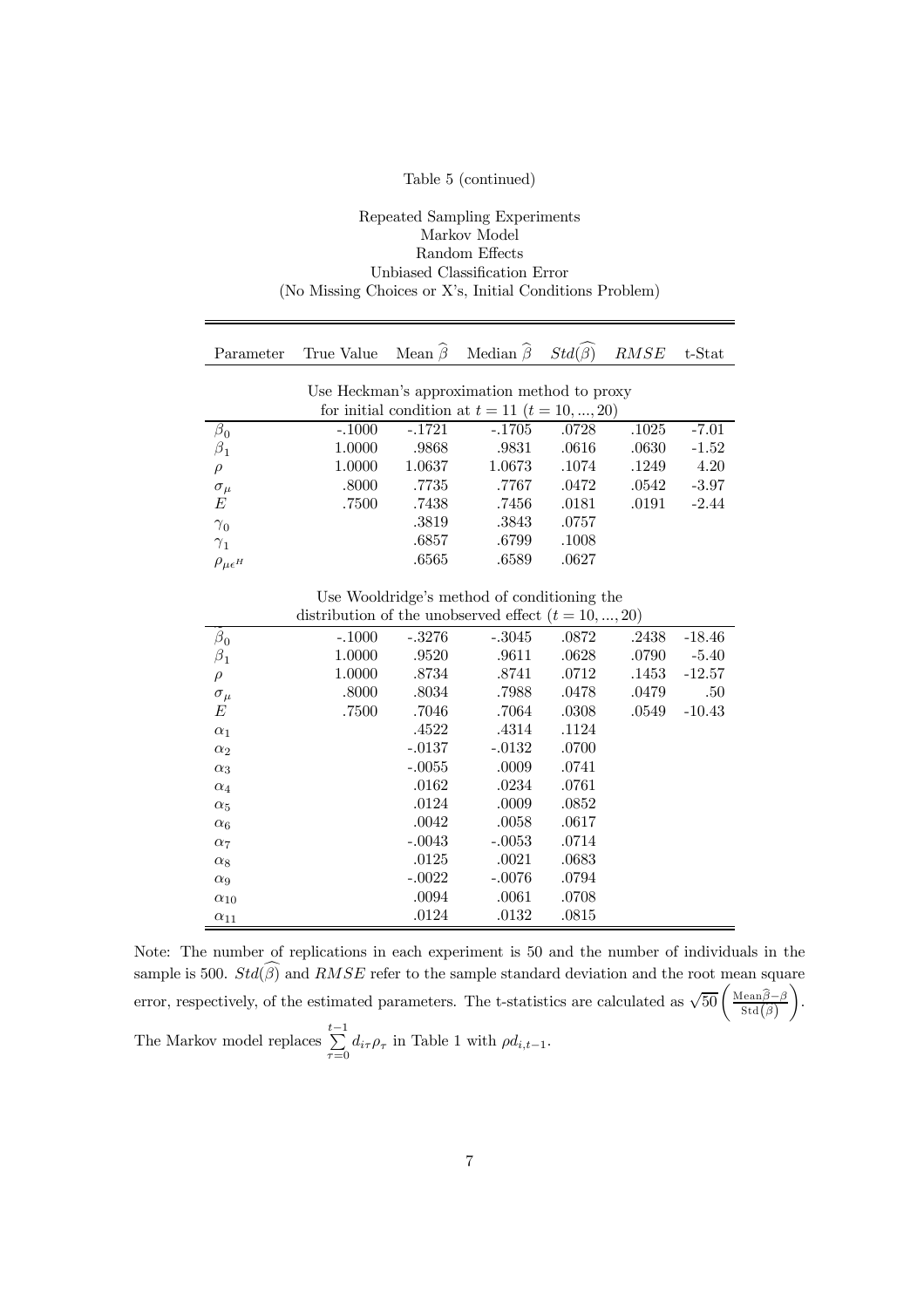#### Table 5 (continued)

#### Repeated Sampling Experiments Markov Model Random Effects Unbiased Classification Error (No Missing Choices or X's, Initial Conditions Problem)

| Parameter                         | True Value                                             | Mean $\widehat{\beta}$ | Median $\hat{\beta}$                               | $Std(\beta)$ | RMSE  | t-Stat   |
|-----------------------------------|--------------------------------------------------------|------------------------|----------------------------------------------------|--------------|-------|----------|
|                                   |                                                        |                        |                                                    |              |       |          |
|                                   |                                                        |                        | Use Heckman's approximation method to proxy        |              |       |          |
|                                   |                                                        |                        | for initial condition at $t = 11$ $(t = 10, , 20)$ |              |       |          |
| $\beta_0$                         | $-.1000$                                               | $-.1721$               | $-.1705$                                           | .0728        | .1025 | $-7.01$  |
| $\beta_1$                         | 1.0000                                                 | .9868                  | .9831                                              | .0616        | .0630 | $-1.52$  |
| $\rho$                            | 1.0000                                                 | 1.0637                 | 1.0673                                             | .1074        | .1249 | 4.20     |
| $\sigma_{\mu}$                    | .8000                                                  | .7735                  | .7767                                              | .0472        | .0542 | $-3.97$  |
| E                                 | .7500                                                  | .7438                  | .7456                                              | .0181        | .0191 | $-2.44$  |
| $\gamma_0$                        |                                                        | .3819                  | .3843                                              | .0757        |       |          |
| $\gamma_1$                        |                                                        | .6857                  | .6799                                              | .1008        |       |          |
| $\rho_{\mu\epsilon}$ <sub>H</sub> |                                                        | .6565                  | .6589                                              | .0627        |       |          |
|                                   |                                                        |                        |                                                    |              |       |          |
|                                   |                                                        |                        | Use Wooldridge's method of conditioning the        |              |       |          |
|                                   | distribution of the unobserved effect $(t = 10, , 20)$ |                        |                                                    |              |       |          |
| $\beta_0$                         | $-.1000$                                               | $-.3276$               | $-.3045$                                           | .0872        | .2438 | $-18.46$ |
| $\beta_1$                         | 1.0000                                                 | .9520                  | .9611                                              | .0628        | .0790 | $-5.40$  |
| $\rho$                            | 1.0000                                                 | .8734                  | .8741                                              | .0712        | .1453 | $-12.57$ |
| $\sigma_{\mu}$                    | .8000                                                  | .8034                  | .7988                                              | .0478        | .0479 | .50      |
| E                                 | .7500                                                  | .7046                  | .7064                                              | .0308        | .0549 | $-10.43$ |
| $\alpha_1$                        |                                                        | .4522                  | .4314                                              | .1124        |       |          |
| $\alpha_2$                        |                                                        | $-.0137$               | $-.0132$                                           | .0700        |       |          |
| $\alpha_3$                        |                                                        | $-.0055$               | .0009                                              | .0741        |       |          |
| $\alpha_4$                        |                                                        | .0162                  | .0234                                              | .0761        |       |          |
| $\alpha_5$                        |                                                        | .0124                  | .0009                                              | .0852        |       |          |
| $\alpha_6$                        |                                                        | .0042                  | .0058                                              | .0617        |       |          |
| $\alpha_7$                        |                                                        | $-.0043$               | $-.0053$                                           | .0714        |       |          |
| $\alpha_8$                        |                                                        | .0125                  | .0021                                              | .0683        |       |          |
| $\alpha_9$                        |                                                        | $-.0022$               | $-.0076$                                           | .0794        |       |          |
| $\alpha_{10}$                     |                                                        | .0094                  | .0061                                              | .0708        |       |          |
| $\alpha_{11}$                     |                                                        | .0124                  | .0132                                              | .0815        |       |          |

Note: The number of replications in each experiment is 50 and the number of individuals in the sample is 500.  $Std(\widehat{\beta})$  and  $RMSE$  refer to the sample standard deviation and the root mean square error, respectively, of the estimated parameters. The t-statistics are calculated as  $\sqrt{50} \left( \frac{\text{Mean}\hat{\beta} - \beta}{\text{Std}(\hat{\beta})} \right)$  $\setminus$ . The Markov model replaces  $\sum_{ }^{t-1}$  $\sum_{\tau=0} d_{i\tau} \rho_{\tau}$  in Table 1 with  $\rho d_{i,t-1}$ .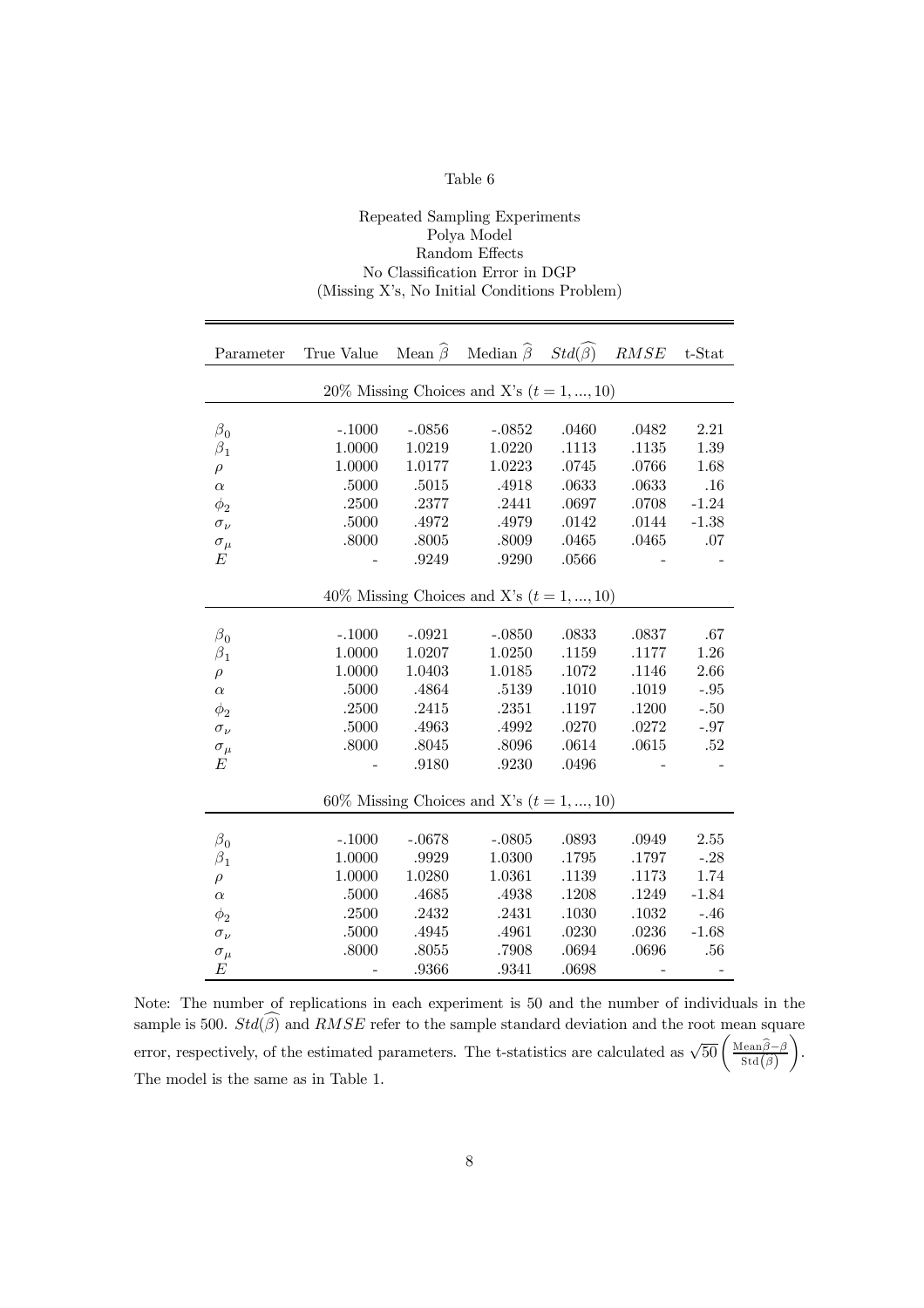#### Repeated Sampling Experiments Polya Model Random Effects No Classification Error in DGP (Missing X's, No Initial Conditions Problem)

| Parameter      | True Value Mean $\widehat{\beta}$ Median $\widehat{\beta}$ Std $(\widehat{\beta})$ |          |                                             |           | RMSE      | $t$ -Stat |
|----------------|------------------------------------------------------------------------------------|----------|---------------------------------------------|-----------|-----------|-----------|
|                |                                                                                    |          | 20% Missing Choices and X's $(t = 1, , 10)$ |           |           |           |
|                |                                                                                    |          |                                             |           |           |           |
| $\beta_0$      | $-.1000$                                                                           | $-.0856$ | $-.0852$                                    | .0460     | .0482     | 2.21      |
| $\beta_1$      | 1.0000                                                                             | 1.0219   | 1.0220                                      | .1113     | .1135     | 1.39      |
| $\rho$         | 1.0000                                                                             | 1.0177   | 1.0223                                      | $.0745\,$ | .0766     | 1.68      |
| $\alpha$       | .5000                                                                              | .5015    | .4918                                       | .0633     | .0633     | .16       |
| $\phi_2$       | .2500                                                                              | .2377    | .2441                                       | .0697     | .0708     | $-1.24$   |
| $\sigma_{\nu}$ | .5000                                                                              | .4972    | .4979                                       | .0142     | .0144     | $-1.38$   |
| $\sigma_\mu$   | .8000                                                                              | .8005    | .8009                                       | .0465     | .0465     | .07       |
| Е              |                                                                                    | .9249    | .9290                                       | .0566     |           |           |
|                |                                                                                    |          |                                             |           |           |           |
|                |                                                                                    |          | 40% Missing Choices and X's $(t = 1, , 10)$ |           |           |           |
|                |                                                                                    |          |                                             |           |           |           |
| $\beta_0$      | $-.1000$                                                                           | $-.0921$ | $-.0850$                                    | .0833     | .0837     | .67       |
| $\beta_1$      | 1.0000                                                                             | 1.0207   | 1.0250                                      | .1159     | .1177     | 1.26      |
| $\rho$         | 1.0000                                                                             | 1.0403   | 1.0185                                      | .1072     | .1146     | 2.66      |
| $\alpha$       | .5000                                                                              | .4864    | .5139                                       | .1010     | .1019     | $-.95$    |
| $\phi_2$       | $.2500\,$                                                                          | .2415    | .2351                                       | $.1197\,$ | $.1200\,$ | $-.50$    |
| $\sigma_\nu$   | .5000                                                                              | .4963    | .4992                                       | .0270     | .0272     | $-.97$    |
| $\sigma_\mu$   | .8000                                                                              | .8045    | $.8096\,$                                   | .0614     | .0615     | .52       |
| Е              |                                                                                    | .9180    | .9230                                       | .0496     |           |           |
|                |                                                                                    |          |                                             |           |           |           |
|                |                                                                                    |          | 60% Missing Choices and X's $(t = 1, , 10)$ |           |           |           |
|                |                                                                                    |          |                                             |           |           |           |
| $\beta_0$      | $-.1000$                                                                           | $-.0678$ | $-.0805$                                    | .0893     | .0949     | 2.55      |
| $\beta_1$      | 1.0000                                                                             | .9929    | 1.0300                                      | $.1795\,$ | .1797     | $-.28$    |
| $\rho$         | 1.0000                                                                             | 1.0280   | 1.0361                                      | .1139     | .1173     | 1.74      |
| $\alpha$       | .5000                                                                              | .4685    | .4938                                       | .1208     | .1249     | $-1.84$   |
| $\phi_2$       | .2500                                                                              | .2432    | .2431                                       | $.1030\,$ | $.1032\,$ | $-.46$    |
| $\sigma_{\nu}$ | .5000                                                                              | .4945    | .4961                                       | .0230     | .0236     | $-1.68$   |
| $\sigma_\mu$   | .8000                                                                              | .8055    | .7908                                       | .0694     | .0696     | .56       |
| E              |                                                                                    | .9366    | .9341                                       | .0698     |           |           |

Note: The number of replications in each experiment is 50 and the number of individuals in the sample is 500.  $Std(\widehat{\beta})$  and  $RMSE$  refer to the sample standard deviation and the root mean square error, respectively, of the estimated parameters. The t-statistics are calculated as  $\sqrt{50} \left( \frac{\text{Mean}\hat{\beta} - \beta}{\text{Std}(\hat{\beta})} \right)$  $\setminus$ . The model is the same as in Table 1.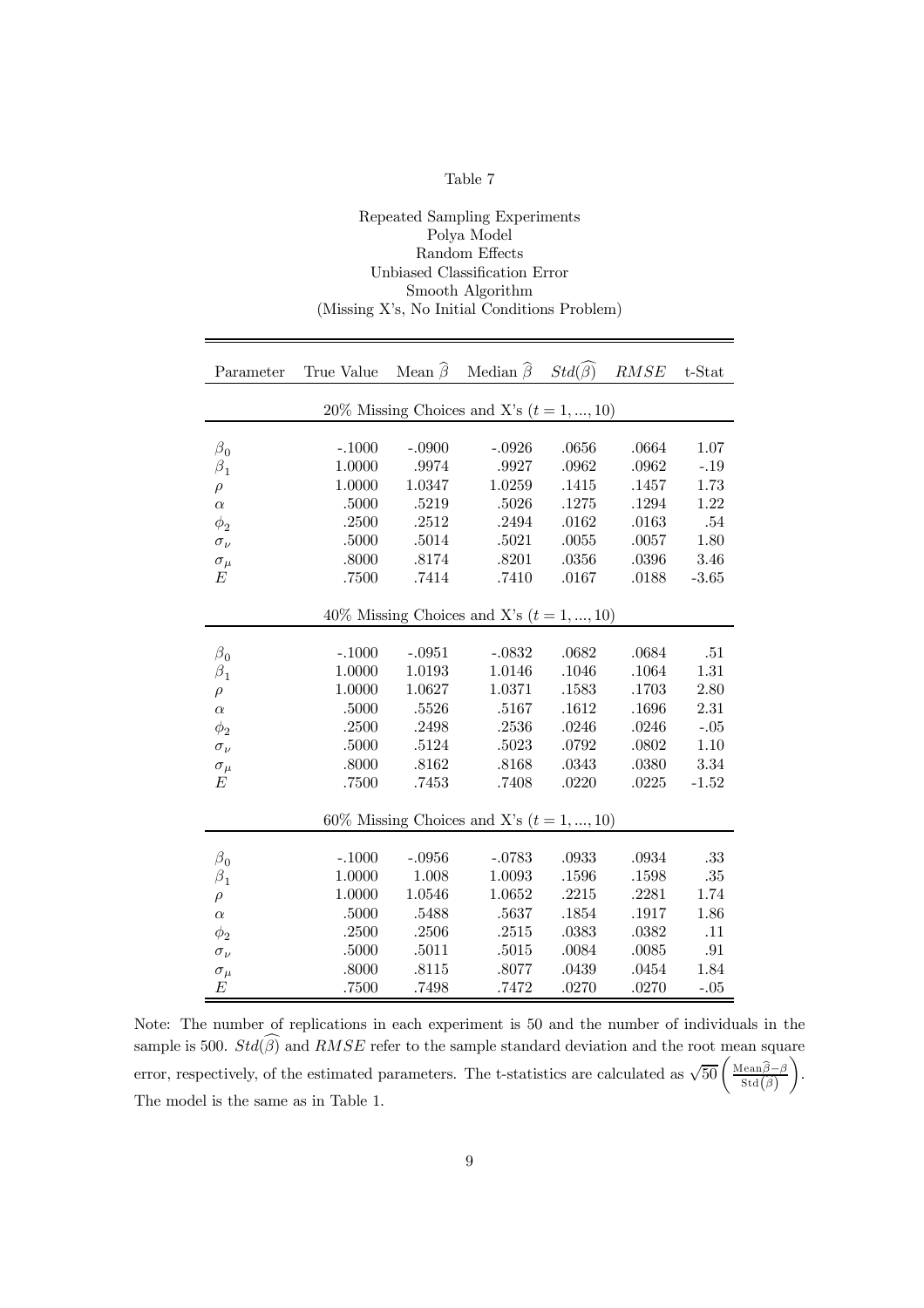|--|--|

Repeated Sampling Experiments

| Polya Model                                  |            |                        |                                             |                        |       |           |  |  |  |  |
|----------------------------------------------|------------|------------------------|---------------------------------------------|------------------------|-------|-----------|--|--|--|--|
| Random Effects                               |            |                        |                                             |                        |       |           |  |  |  |  |
| Unbiased Classification Error                |            |                        |                                             |                        |       |           |  |  |  |  |
| Smooth Algorithm                             |            |                        |                                             |                        |       |           |  |  |  |  |
| (Missing X's, No Initial Conditions Problem) |            |                        |                                             |                        |       |           |  |  |  |  |
|                                              |            |                        |                                             |                        |       |           |  |  |  |  |
|                                              |            |                        |                                             |                        |       |           |  |  |  |  |
| Parameter                                    | True Value | Mean $\widehat{\beta}$ | Median $\widehat{\beta}$                    | $Std(\widehat{\beta})$ | RMSE  | $t$ -Stat |  |  |  |  |
|                                              |            |                        | 20% Missing Choices and X's $(t = 1, , 10)$ |                        |       |           |  |  |  |  |
|                                              |            |                        |                                             |                        |       |           |  |  |  |  |
| $\beta_0$                                    | $-.1000$   | $-.0900$               | $-.0926$                                    | .0656                  | .0664 | 1.07      |  |  |  |  |
| $\beta_1$                                    | 1.0000     | .9974                  | .9927                                       | .0962                  | .0962 | $-.19$    |  |  |  |  |
| $\rho$                                       | 1.0000     | 1.0347                 | 1.0259                                      | .1415                  | .1457 | 1.73      |  |  |  |  |
| $\alpha$                                     | $.5000\,$  | .5219                  | .5026                                       | .1275                  | .1294 | 1.22      |  |  |  |  |
| $\phi_2$                                     | .2500      | .2512                  | .2494                                       | .0162                  | .0163 | .54       |  |  |  |  |
| $\sigma_\nu$                                 | .5000      | .5014                  | .5021                                       | .0055                  | .0057 | 1.80      |  |  |  |  |
| $\sigma_{\mu}$                               | .8000      | .8174                  | .8201                                       | .0356                  | .0396 | 3.46      |  |  |  |  |
| Е                                            | .7500      | .7414                  | .7410                                       | .0167                  | .0188 | $-3.65$   |  |  |  |  |
|                                              |            |                        |                                             |                        |       |           |  |  |  |  |
|                                              |            |                        | 40% Missing Choices and X's $(t = 1, , 10)$ |                        |       |           |  |  |  |  |
|                                              | $-.1000$   | $-.0951$               | $-.0832$                                    | .0682                  | .0684 | .51       |  |  |  |  |
| $\beta_0$                                    | 1.0000     | 1.0193                 | 1.0146                                      | .1046                  | .1064 | 1.31      |  |  |  |  |
| $\beta_1$<br>$\rho$                          | 1.0000     | 1.0627                 | 1.0371                                      | .1583                  | .1703 | 2.80      |  |  |  |  |
| $\alpha$                                     | $.5000\,$  | .5526                  | .5167                                       | .1612                  | .1696 | 2.31      |  |  |  |  |
| $\phi_2$                                     | $.2500\,$  | .2498                  | .2536                                       | .0246                  | .0246 | $-.05$    |  |  |  |  |
| $\sigma_\nu$                                 | $.5000\,$  | .5124                  | .5023                                       | .0792                  | .0802 | 1.10      |  |  |  |  |
| $\sigma_{\mu}$                               | .8000      | .8162                  | .8168                                       | .0343                  | .0380 | 3.34      |  |  |  |  |
| Е                                            | .7500      | .7453                  | .7408                                       | .0220                  | .0225 | $-1.52$   |  |  |  |  |
|                                              |            |                        |                                             |                        |       |           |  |  |  |  |
|                                              |            |                        | 60% Missing Choices and X's $(t = 1, , 10)$ |                        |       |           |  |  |  |  |
|                                              |            |                        |                                             |                        |       |           |  |  |  |  |
| $\beta_0$                                    | $-.1000$   | $-.0956$               | $-.0783$                                    | .0933                  | .0934 | .33       |  |  |  |  |
| $\beta_1$                                    | 1.0000     | 1.008                  | 1.0093                                      | .1596                  | .1598 | $.35\,$   |  |  |  |  |
| $\rho$                                       | 1.0000     | 1.0546                 | 1.0652                                      | .2215                  | .2281 | 1.74      |  |  |  |  |
| $\alpha$                                     | $.5000\,$  | .5488                  | .5637                                       | .1854                  | .1917 | 1.86      |  |  |  |  |
| $\phi_2$                                     | .2500      | .2506                  | .2515                                       | .0383                  | .0382 | .11       |  |  |  |  |
| $\sigma_{\nu}$                               | .5000      | .5011                  | .5015                                       | .0084                  | .0085 | .91       |  |  |  |  |
| $\sigma_\mu$                                 | .8000      | .8115                  | .8077                                       | .0439                  | .0454 | 1.84      |  |  |  |  |
| E                                            | .7500      | .7498                  | .7472                                       | .0270                  | .0270 | $-.05$    |  |  |  |  |

Note: The number of replications in each experiment is 50 and the number of individuals in the sample is 500.  $Std(\beta)$  and  $RMSE$  refer to the sample standard deviation and the root mean square error, respectively, of the estimated parameters. The t-statistics are calculated as  $\sqrt{50} \left( \frac{\text{Mean}\hat{\beta} - \beta}{\text{Std}(\hat{\beta})} \right)$  $\setminus$ . The model is the same as in Table 1.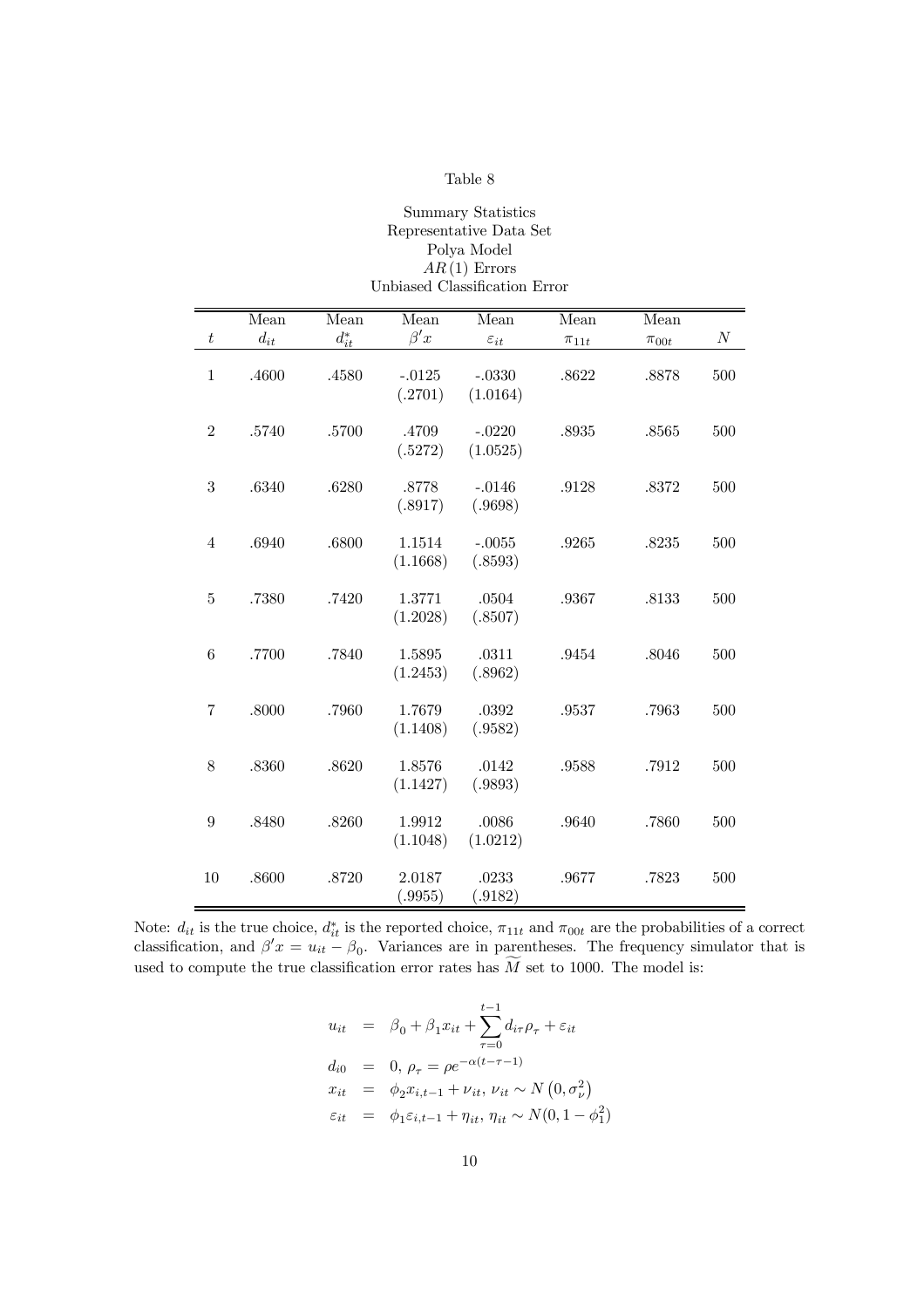| <b>Summary Statistics</b>     |
|-------------------------------|
| Representative Data Set       |
| Polya Model                   |
| $AR(1)$ Errors                |
| Unbiased Classification Error |
|                               |

|                  | Mean     | Mean            | Mean                | Mean                 | Mean        | Mean        |                  |
|------------------|----------|-----------------|---------------------|----------------------|-------------|-------------|------------------|
| $\boldsymbol{t}$ | $d_{it}$ | $d_{it}^{\ast}$ | $\beta' x$          | $\varepsilon_{it}$   | $\pi_{11t}$ | $\pi_{00t}$ | $\boldsymbol{N}$ |
| $\mathbf{1}$     | .4600    | .4580           | $-.0125$<br>(.2701) | $-.0330$<br>(1.0164) | .8622       | .8878       | 500              |
| $\boldsymbol{2}$ | .5740    | .5700           | .4709<br>(.5272)    | $-.0220$<br>(1.0525) | .8935       | .8565       | 500              |
| 3                | .6340    | .6280           | .8778<br>(.8917)    | $-.0146$<br>(.9698)  | .9128       | .8372       | 500              |
| 4                | .6940    | .6800           | 1.1514<br>(1.1668)  | $-.0055$<br>(.8593)  | .9265       | .8235       | 500              |
| 5                | .7380    | .7420           | 1.3771<br>(1.2028)  | .0504<br>(.8507)     | .9367       | .8133       | 500              |
| 6                | .7700    | .7840           | 1.5895<br>(1.2453)  | .0311<br>(.8962)     | .9454       | .8046       | 500              |
| 7                | .8000    | .7960           | 1.7679<br>(1.1408)  | .0392<br>(.9582)     | .9537       | .7963       | 500              |
| 8                | .8360    | .8620           | 1.8576<br>(1.1427)  | .0142<br>(.9893)     | .9588       | .7912       | 500              |
| 9                | .8480    | .8260           | 1.9912<br>(1.1048)  | .0086<br>(1.0212)    | .9640       | .7860       | 500              |
| 10               | .8600    | .8720           | 2.0187<br>(.9955)   | .0233<br>(.9182)     | .9677       | .7823       | 500              |

Note:  $d_{it}$  is the true choice,  $d_{it}^*$  is the reported choice,  $\pi_{11t}$  and  $\pi_{00t}$  are the probabilities of a correct classification, and  $\beta' x = u_{it} - \beta_0$ . Variances are in parentheses. The frequency simulator that is used to compute the true classification error rates has  $M$  set to 1000. The model is:

$$
u_{it} = \beta_0 + \beta_1 x_{it} + \sum_{\tau=0}^{t-1} d_{i\tau} \rho_{\tau} + \varepsilon_{it}
$$
  
\n
$$
d_{i0} = 0, \rho_{\tau} = \rho e^{-\alpha(t-\tau-1)}
$$
  
\n
$$
x_{it} = \phi_2 x_{i,t-1} + \nu_{it}, \nu_{it} \sim N(0, \sigma_{\nu}^2)
$$
  
\n
$$
\varepsilon_{it} = \phi_1 \varepsilon_{i,t-1} + \eta_{it}, \eta_{it} \sim N(0, 1 - \phi_1^2)
$$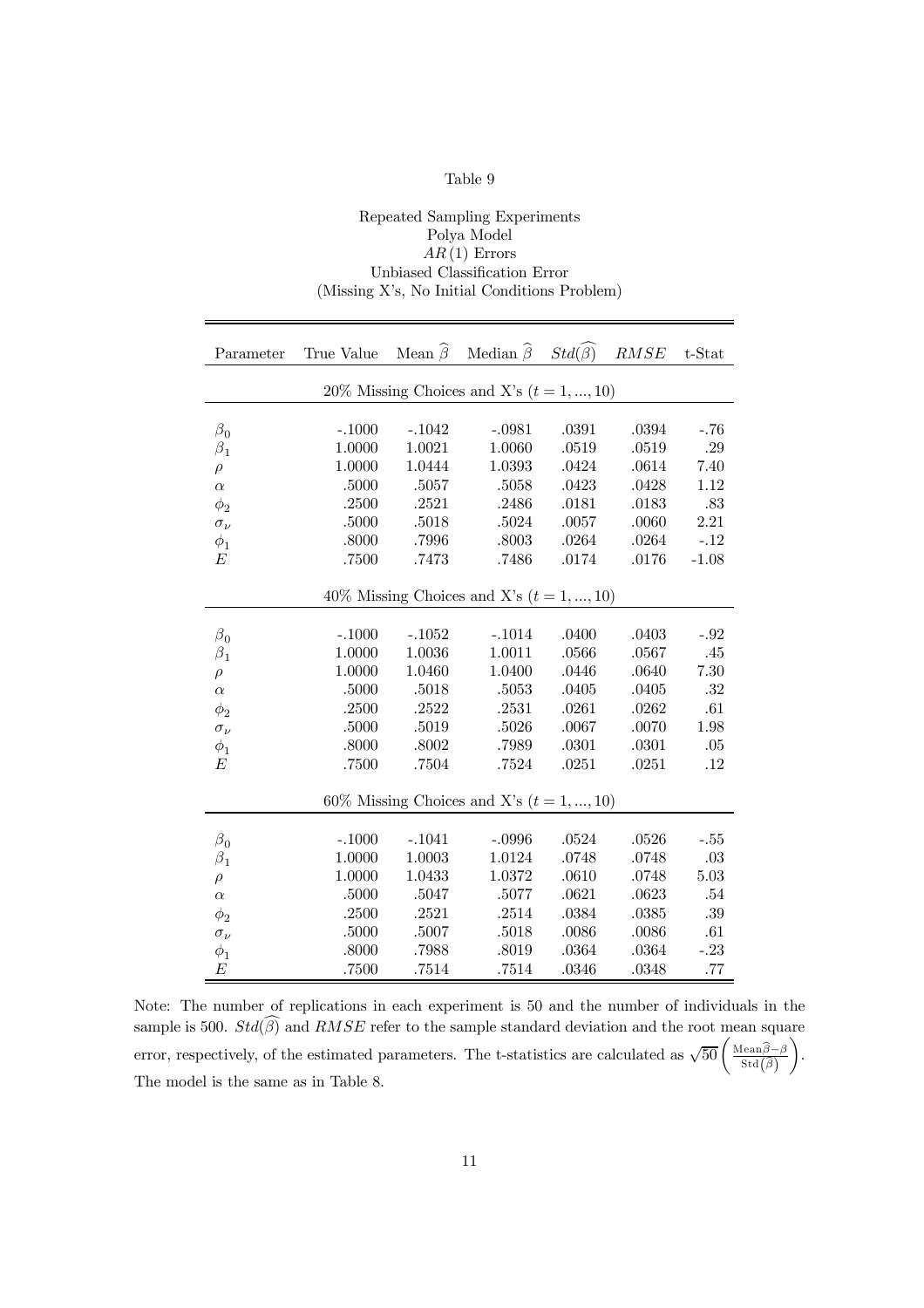#### Repeated Sampling Experiments Polya Model  $AR(1)$  Errors Unbiased Classification Error (Missing X's, No Initial Conditions Problem)

| Parameter      | True Value Mean $\widehat{\beta}$ Median $\widehat{\beta}$ Std $(\widehat{\beta})$ RMSE |           |                                             |           |           | t-Stat  |
|----------------|-----------------------------------------------------------------------------------------|-----------|---------------------------------------------|-----------|-----------|---------|
|                |                                                                                         |           | 20% Missing Choices and X's $(t = 1, , 10)$ |           |           |         |
|                |                                                                                         |           |                                             |           |           |         |
| $\beta_0$      | $-.1000$                                                                                | $-.1042$  | $-.0981$                                    | .0391     | .0394     | $-.76$  |
| $\beta_1$      | 1.0000                                                                                  | 1.0021    | 1.0060                                      | $.0519\,$ | $.0519\,$ | .29     |
| $\rho$         | 1.0000                                                                                  | 1.0444    | 1.0393                                      | .0424     | .0614     | 7.40    |
| $\alpha$       | .5000                                                                                   | .5057     | .5058                                       | .0423     | .0428     | 1.12    |
| $\phi_2$       | .2500                                                                                   | .2521     | .2486                                       | .0181     | .0183     | .83     |
| $\sigma_\nu$   | .5000                                                                                   | .5018     | .5024                                       | .0057     | .0060     | 2.21    |
| $\phi_1$       | .8000                                                                                   | .7996     | $.8003\,$                                   | .0264     | $.0264\,$ | $-.12$  |
| E              | .7500                                                                                   | .7473     | .7486                                       | .0174     | .0176     | $-1.08$ |
|                |                                                                                         |           |                                             |           |           |         |
|                |                                                                                         |           | $40\%$ Missing Choices and X's $(t=1,,10)$  |           |           |         |
|                |                                                                                         |           |                                             |           |           |         |
| $\beta_0$      | $-.1000$                                                                                | $-.1052$  | $-.1014$                                    | .0400     | .0403     | $-.92$  |
| $\beta_1$      | 1.0000                                                                                  | 1.0036    | 1.0011                                      | $.0566\,$ | .0567     | .45     |
| $\rho$         | 1.0000                                                                                  | 1.0460    | 1.0400                                      | .0446     | .0640     | 7.30    |
| $\alpha$       | .5000                                                                                   | .5018     | .5053                                       | .0405     | .0405     | .32     |
| $\phi_2$       | .2500                                                                                   | .2522     | .2531                                       | .0261     | .0262     | .61     |
| $\sigma_{\nu}$ | .5000                                                                                   | .5019     | $.5026\,$                                   | $.0067$   | .0070     | 1.98    |
| $\phi_1$       | .8000                                                                                   | .8002     | .7989                                       | .0301     | .0301     | .05     |
| E              | .7500                                                                                   | $.7504\,$ | .7524                                       | $.0251\,$ | .0251     | .12     |
|                |                                                                                         |           |                                             |           |           |         |
|                |                                                                                         |           | 60% Missing Choices and X's $(t = 1, , 10)$ |           |           |         |
|                |                                                                                         |           |                                             |           |           |         |
| $\beta_0$      | $-.1000$                                                                                | $-.1041$  | $-.0996$                                    | .0524     | .0526     | $-.55$  |
| $\beta_1$      | 1.0000                                                                                  | 1.0003    | 1.0124                                      | .0748     | .0748     | $.03\,$ |
| $\rho$         | 1.0000                                                                                  | 1.0433    | 1.0372                                      | .0610     | .0748     | 5.03    |
| $\alpha$       | .5000                                                                                   | .5047     | $.5077\,$                                   | .0621     | .0623     | .54     |
| $\phi_2$       | .2500                                                                                   | .2521     | .2514                                       | .0384     | .0385     | .39     |
| $\sigma_\nu$   | .5000                                                                                   | $.5007$   | .5018                                       | .0086     | .0086     | .61     |
| $\phi_1$       | .8000                                                                                   | .7988     | $.8019$                                     | .0364     | $.0364\,$ | $-.23$  |
| E              | .7500                                                                                   | .7514     | .7514                                       | .0346     | .0348     | .77     |

Note: The number of replications in each experiment is 50 and the number of individuals in the sample is 500.  $Std(\widehat{\beta})$  and  $RMSE$  refer to the sample standard deviation and the root mean square error, respectively, of the estimated parameters. The t-statistics are calculated as  $\sqrt{50} \left( \frac{\text{Mean}\hat{\beta} - \beta}{\text{Std}(\hat{\beta})} \right)$  $\setminus$ . The model is the same as in Table 8.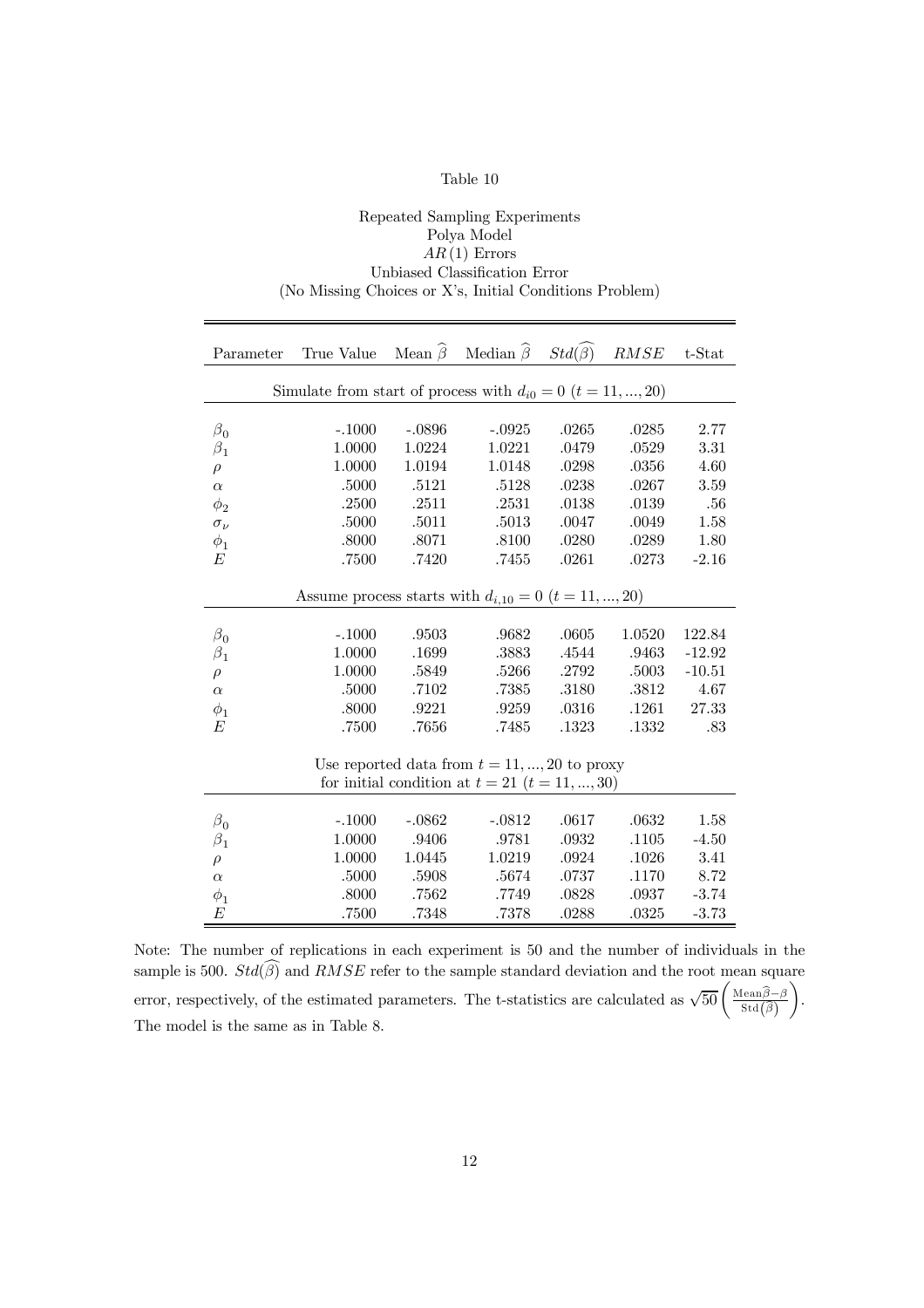#### Repeated Sampling Experiments Polya Model  $AR(1)$  Errors Unbiased Classification Error (No Missing Choices or X's, Initial Conditions Problem)

| Parameter      | True Value                                                        |          | Mean $\widehat{\beta}$ Median $\widehat{\beta}$ Std $(\widehat{\beta})$ |       | RMSE   | t-Stat   |
|----------------|-------------------------------------------------------------------|----------|-------------------------------------------------------------------------|-------|--------|----------|
|                | Simulate from start of process with $d_{i0} = 0$ $(t = 11, , 20)$ |          |                                                                         |       |        |          |
|                |                                                                   |          |                                                                         |       |        |          |
| $\beta_0$      | $-.1000$                                                          | $-.0896$ | $-.0925$                                                                | .0265 | .0285  | 2.77     |
| $\beta_1$      | 1.0000                                                            | 1.0224   | 1.0221                                                                  | .0479 | .0529  | 3.31     |
| $\rho$         | 1.0000                                                            | 1.0194   | 1.0148                                                                  | .0298 | .0356  | 4.60     |
| $\alpha$       | .5000                                                             | .5121    | .5128                                                                   | .0238 | .0267  | 3.59     |
| $\phi_2$       | .2500                                                             | .2511    | .2531                                                                   | .0138 | .0139  | .56      |
| $\sigma_{\nu}$ | .5000                                                             | .5011    | .5013                                                                   | .0047 | .0049  | 1.58     |
| $\phi_1$       | .8000                                                             | .8071    | .8100                                                                   | .0280 | .0289  | 1.80     |
| E              | .7500                                                             | .7420    | .7455                                                                   | .0261 | .0273  | $-2.16$  |
|                |                                                                   |          |                                                                         |       |        |          |
|                | Assume process starts with $d_{i,10} = 0$ $(t = 11, , 20)$        |          |                                                                         |       |        |          |
|                |                                                                   |          |                                                                         |       |        |          |
| $\beta_0$      | $-.1000$                                                          | .9503    | .9682                                                                   | .0605 | 1.0520 | 122.84   |
| $\beta_1$      | 1.0000                                                            | .1699    | .3883                                                                   | .4544 | .9463  | $-12.92$ |
| $\rho$         | 1.0000                                                            | .5849    | .5266                                                                   | .2792 | .5003  | $-10.51$ |
| $\alpha$       | .5000                                                             | .7102    | .7385                                                                   | .3180 | .3812  | 4.67     |
| $\phi_1$       | .8000                                                             | .9221    | .9259                                                                   | .0316 | .1261  | 27.33    |
| E              | .7500                                                             | .7656    | .7485                                                                   | .1323 | .1332  | .83      |
|                |                                                                   |          |                                                                         |       |        |          |
|                |                                                                   |          | Use reported data from $t = 11, , 20$ to proxy                          |       |        |          |
|                |                                                                   |          | for initial condition at $t = 21$ $(t = 11, , 30)$                      |       |        |          |
|                |                                                                   |          |                                                                         |       |        |          |
| $\beta_0$      | $-.1000$                                                          | $-.0862$ | $-.0812$                                                                | .0617 | .0632  | 1.58     |
| $\beta_1$      | 1.0000                                                            | .9406    | .9781                                                                   | .0932 | .1105  | $-4.50$  |
| $\rho$         | 1.0000                                                            | 1.0445   | 1.0219                                                                  | .0924 | .1026  | 3.41     |
| $\alpha$       | .5000                                                             | .5908    | .5674                                                                   | .0737 | .1170  | 8.72     |
| $\phi_1$       | .8000                                                             | .7562    | .7749                                                                   | .0828 | .0937  | $-3.74$  |
| E              | .7500                                                             | .7348    | .7378                                                                   | .0288 | .0325  | $-3.73$  |

Note: The number of replications in each experiment is 50 and the number of individuals in the sample is 500.  $Std(\widehat{\beta})$  and  $RMSE$  refer to the sample standard deviation and the root mean square error, respectively, of the estimated parameters. The t-statistics are calculated as  $\sqrt{50} \left( \frac{\text{Mean}\hat{\beta} - \beta}{\text{Std}(\hat{\beta})} \right)$  $\setminus$ . The model is the same as in Table 8.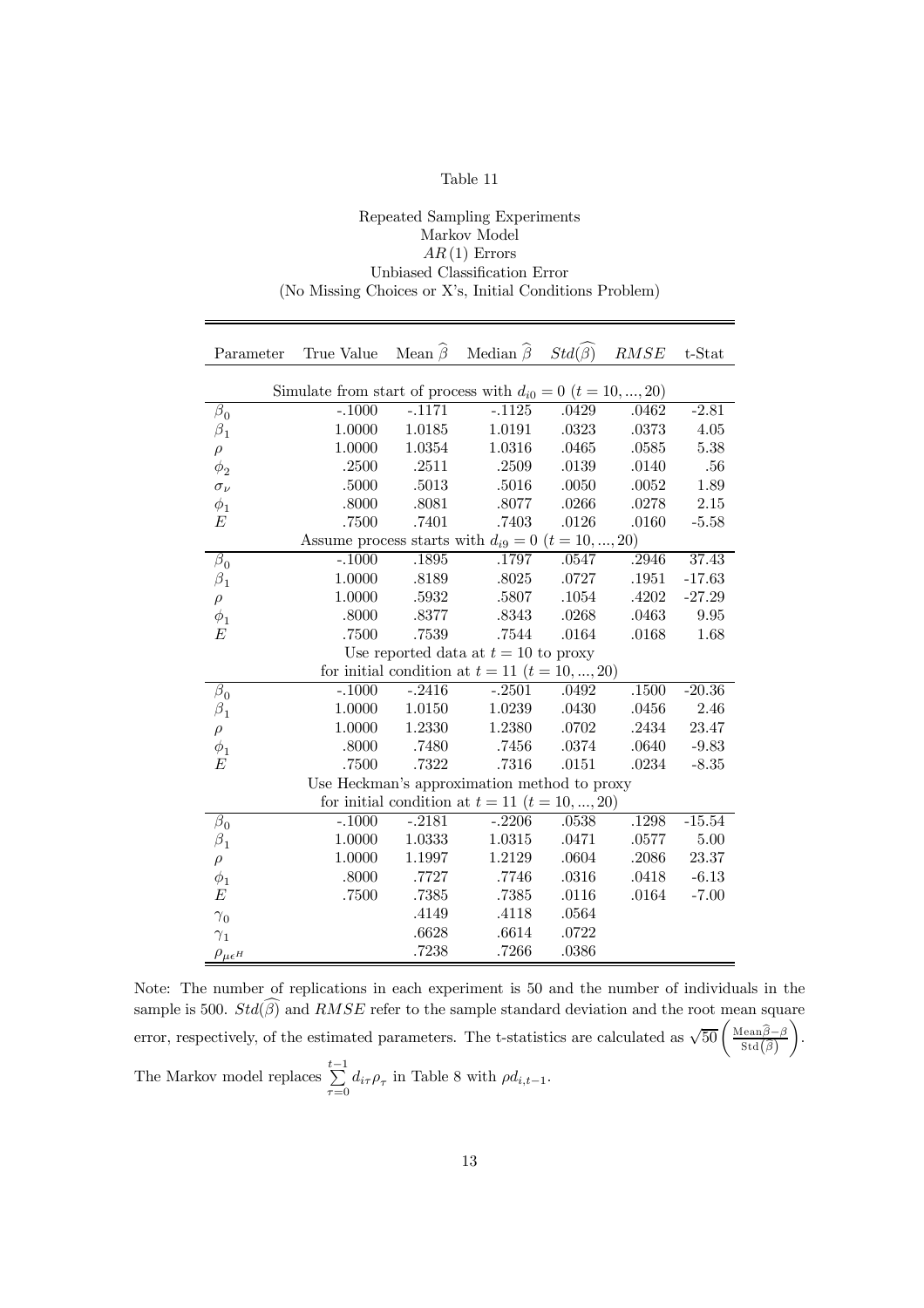#### Repeated Sampling Experiments Markov Model  $AR(1)$  Errors Unbiased Classification Error (No Missing Choices or X's, Initial Conditions Problem)

| Parameter                              | True Value                                                        |          | Mean $\widehat{\beta}$ Median $\widehat{\beta}$    | $Std(\widehat{\beta})$ | $RMSE$ | $t$ -Stat  |  |
|----------------------------------------|-------------------------------------------------------------------|----------|----------------------------------------------------|------------------------|--------|------------|--|
|                                        |                                                                   |          |                                                    |                        |        |            |  |
|                                        | Simulate from start of process with $d_{i0} = 0$ $(t = 10, , 20)$ |          |                                                    |                        |        |            |  |
| $\beta_0$                              | $-.1000$                                                          | $-.1171$ | $-.1125$                                           | .0429                  | .0462  | $-2.81$    |  |
| $\beta_1$                              | 1.0000                                                            | 1.0185   | 1.0191                                             | .0323                  | .0373  | 4.05       |  |
| $\rho$                                 | 1.0000                                                            | 1.0354   | 1.0316                                             | .0465                  | .0585  | 5.38       |  |
| $\phi_2$                               | .2500                                                             | .2511    | $.2509\,$                                          | $.0139\,$              | .0140  | .56        |  |
| $\sigma_{\nu}$                         | .5000                                                             | .5013    | .5016                                              | .0050                  | .0052  | 1.89       |  |
| $\phi_1$                               | $.8000$                                                           | .8081    | .8077                                              | .0266                  | .0278  | 2.15       |  |
| E                                      | .7500                                                             | .7401    | .7403                                              | .0126                  | .0160  | $-5.58$    |  |
|                                        | Assume process starts with $d_{i9} = 0$ $(t = 10, , 20)$          |          |                                                    |                        |        |            |  |
| $\beta_0$                              | $-.1000$                                                          | .1895    | .1797                                              | .0547                  | .2946  | 37.43      |  |
| $\beta_1$                              | 1.0000                                                            | .8189    | .8025                                              | .0727                  | .1951  | $-17.63$   |  |
| $\rho$                                 | 1.0000                                                            | .5932    | .5807                                              | .1054                  | .4202  | $-27.29$   |  |
| $\phi_1$                               | .8000                                                             | .8377    | .8343                                              | .0268                  | .0463  | $\,9.95\,$ |  |
| E                                      | .7500                                                             | .7539    | .7544                                              | .0164                  | .0168  | 1.68       |  |
| Use reported data at $t = 10$ to proxy |                                                                   |          |                                                    |                        |        |            |  |
|                                        |                                                                   |          | for initial condition at $t = 11$ $(t = 10, , 20)$ |                        |        |            |  |
| $\beta_0$                              | $-.1000$                                                          | $-.2416$ | $-.2501$                                           | .0492                  | .1500  | $-20.36$   |  |
| $\beta_1$                              | 1.0000                                                            | 1.0150   | 1.0239                                             | .0430                  | .0456  | 2.46       |  |
| $\rho$                                 | 1.0000                                                            | 1.2330   | 1.2380                                             | .0702                  | .2434  | 23.47      |  |
| $\phi_1$                               | .8000                                                             | .7480    | .7456                                              | .0374                  | .0640  | $-9.83$    |  |
| E                                      | .7500                                                             | .7322    | .7316                                              | .0151                  | .0234  | $-8.35$    |  |
|                                        |                                                                   |          | Use Heckman's approximation method to proxy        |                        |        |            |  |
|                                        |                                                                   |          | for initial condition at $t = 11$ $(t = 10, , 20)$ |                        |        |            |  |
| $\beta_0$                              | $-.1000$                                                          | $-2181$  | $-.2206$                                           | .0538                  | .1298  | $-15.54$   |  |
| $\beta_1$                              | 1.0000                                                            | 1.0333   | 1.0315                                             | .0471                  | .0577  | 5.00       |  |
| $\rho$                                 | 1.0000                                                            | 1.1997   | 1.2129                                             | $.0604\,$              | .2086  | 23.37      |  |
| $\phi_1$                               | .8000                                                             | .7727    | .7746                                              | .0316                  | .0418  | $-6.13$    |  |
| E                                      | .7500                                                             | .7385    | .7385                                              | .0116                  | .0164  | $-7.00$    |  |
| $\gamma_0$                             |                                                                   | .4149    | .4118                                              | .0564                  |        |            |  |
| $\gamma_1$                             |                                                                   | .6628    | .6614                                              | .0722                  |        |            |  |
| $\rho_{\mu\epsilon}$ H                 |                                                                   | .7238    | .7266                                              | .0386                  |        |            |  |

Note: The number of replications in each experiment is 50 and the number of individuals in the sample is 500.  $Std(\widehat{\beta})$  and  $RMSE$  refer to the sample standard deviation and the root mean square error, respectively, of the estimated parameters. The t-statistics are calculated as  $\sqrt{50} \left( \frac{\text{Mean}\hat{\beta} - \beta}{\text{Std}(\hat{\beta})} \right)$  $\setminus$ . The Markov model replaces  $\sum_{ }^{t-1}$  $\sum_{\tau=0} d_{i\tau} \rho_{\tau}$  in Table 8 with  $\rho d_{i,t-1}$ .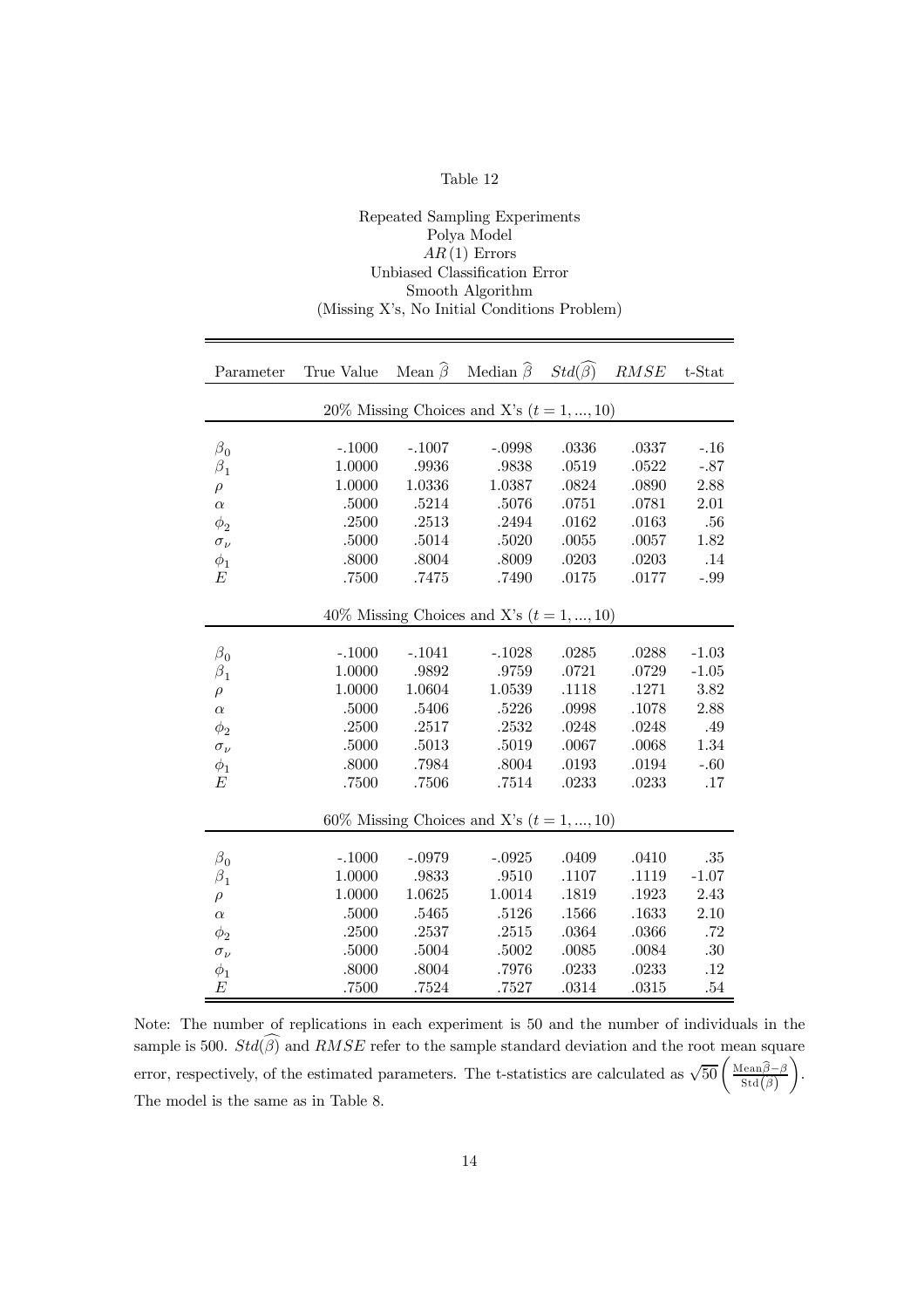| ade |  |
|-----|--|
|-----|--|

Repeated Sampling Experiments

| Polya Model                                  |            |                        |                                             |                        |        |         |
|----------------------------------------------|------------|------------------------|---------------------------------------------|------------------------|--------|---------|
| $AR(1)$ Errors                               |            |                        |                                             |                        |        |         |
| Unbiased Classification Error                |            |                        |                                             |                        |        |         |
|                                              |            |                        | Smooth Algorithm                            |                        |        |         |
| (Missing X's, No Initial Conditions Problem) |            |                        |                                             |                        |        |         |
|                                              |            |                        |                                             |                        |        |         |
|                                              |            |                        |                                             |                        |        |         |
| Parameter                                    | True Value | Mean $\widehat{\beta}$ | Median $\widehat{\beta}$                    | $Std(\widehat{\beta})$ | $RMSE$ | t-Stat  |
|                                              |            |                        | 20% Missing Choices and X's $(t = 1, , 10)$ |                        |        |         |
|                                              |            |                        |                                             |                        |        |         |
| $\beta_0$                                    | $-.1000$   | $-.1007$               | $-.0998$                                    | .0336                  | .0337  | $-.16$  |
| $\beta_1$                                    | 1.0000     | .9936                  | .9838                                       | .0519                  | .0522  | $-.87$  |
| $\rho$                                       | 1.0000     | 1.0336                 | 1.0387                                      | .0824                  | .0890  | 2.88    |
| $\alpha$                                     | .5000      | .5214                  | .5076                                       | .0751                  | .0781  | 2.01    |
| $\phi_2$                                     | .2500      | .2513                  | .2494                                       | .0162                  | .0163  | .56     |
| $\sigma_\nu$                                 | .5000      | .5014                  | .5020                                       | .0055                  | .0057  | 1.82    |
| $\phi_1$                                     | .8000      | .8004                  | .8009                                       | .0203                  | .0203  | .14     |
| Е                                            | .7500      | .7475                  | .7490                                       | .0175                  | .0177  | $-.99$  |
|                                              |            |                        |                                             |                        |        |         |
|                                              |            |                        | 40% Missing Choices and X's $(t = 1, , 10)$ |                        |        |         |
|                                              |            |                        |                                             |                        |        |         |
| $\beta_0$                                    | $-.1000$   | $-.1041$               | $-.1028$                                    | .0285                  | .0288  | $-1.03$ |
| $\beta_1$                                    | 1.0000     | .9892                  | .9759                                       | .0721                  | .0729  | $-1.05$ |
| $\rho$                                       | 1.0000     | 1.0604                 | 1.0539                                      | .1118                  | .1271  | 3.82    |
| $\alpha$                                     | .5000      | .5406                  | .5226                                       | .0998                  | .1078  | 2.88    |
| $\phi_2$                                     | .2500      | .2517                  | .2532                                       | .0248                  | .0248  | .49     |
| $\sigma_{\nu}$                               | .5000      | .5013                  | .5019                                       | .0067                  | .0068  | 1.34    |
| $\phi_1$                                     | .8000      | .7984                  | .8004                                       | .0193                  | .0194  | $-.60$  |
| Е                                            | .7500      | .7506                  | .7514                                       | .0233                  | .0233  | .17     |
|                                              |            |                        | 60% Missing Choices and X's $(t = 1, , 10)$ |                        |        |         |
|                                              |            |                        |                                             |                        |        |         |
| $\beta_0$                                    | $-.1000$   | $-.0979$               | $-.0925$                                    | .0409                  | .0410  | .35     |
| $\beta_1$                                    | 1.0000     | .9833                  | .9510                                       | .1107                  | .1119  | $-1.07$ |
| $\rho$                                       | 1.0000     | 1.0625                 | 1.0014                                      | .1819                  | .1923  | 2.43    |
| $\alpha$                                     | .5000      | .5465                  | .5126                                       | .1566                  | .1633  | 2.10    |
| $\phi_2$                                     | .2500      | .2537                  | .2515                                       | .0364                  | .0366  | $.72\,$ |
| $\sigma_{\nu}$                               | .5000      | .5004                  | .5002                                       | .0085                  | .0084  | .30     |
| $\phi_1$                                     | .8000      | .8004                  | .7976                                       | .0233                  | .0233  | $.12\,$ |
| E                                            | .7500      | .7524                  | .7527                                       | .0314                  | .0315  | .54     |

Note: The number of replications in each experiment is 50 and the number of individuals in the sample is 500.  $Std(\beta)$  and  $RMSE$  refer to the sample standard deviation and the root mean square error, respectively, of the estimated parameters. The t-statistics are calculated as  $\sqrt{50} \left( \frac{\text{Mean}\hat{\beta} - \beta}{\text{Std}(\hat{\beta})} \right)$  $\setminus$ . The model is the same as in Table 8.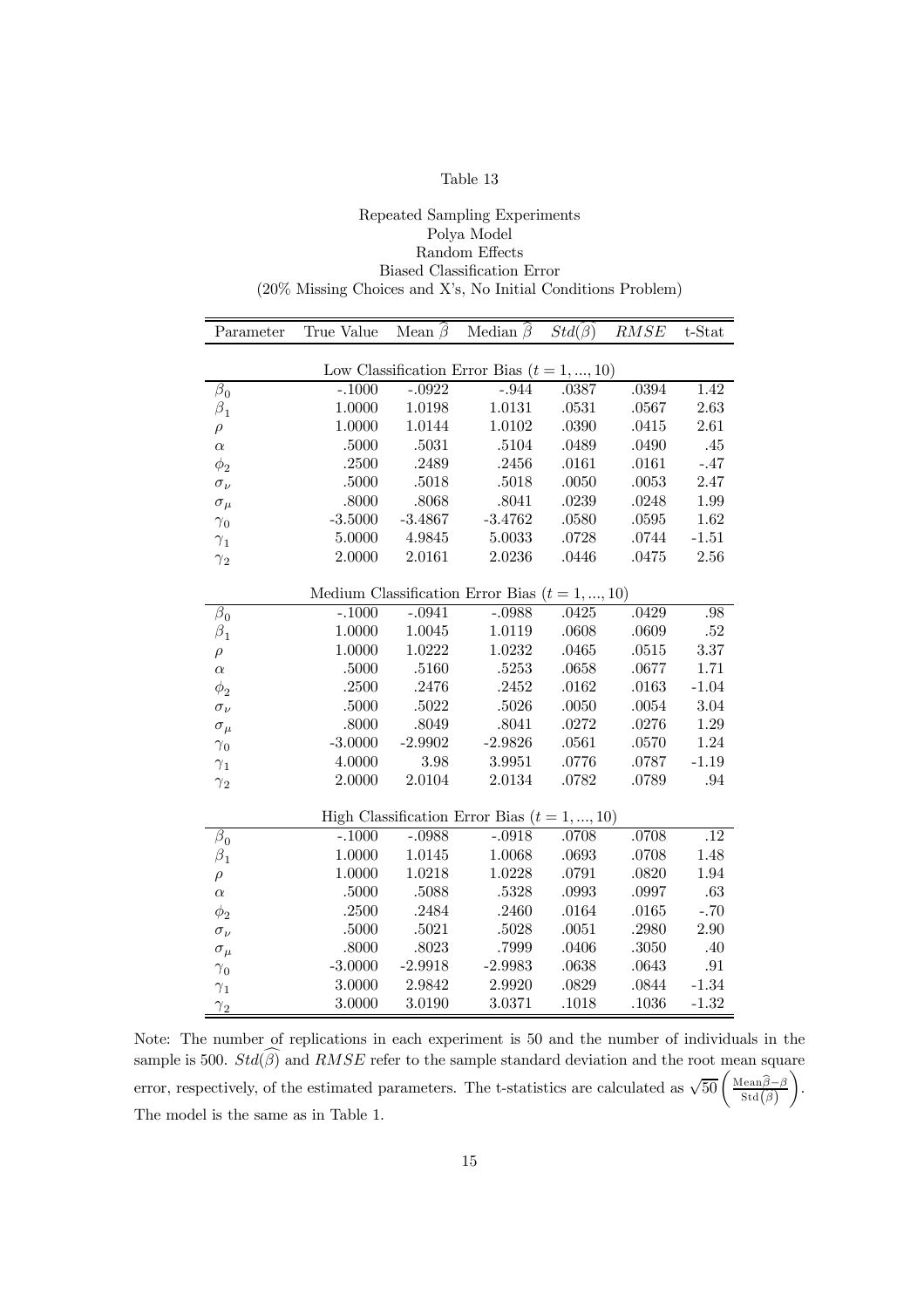#### Repeated Sampling Experiments Polya Model Random Effects Biased Classification Error (20% Missing Choices and Xís, No Initial Conditions Problem)

| Parameter                                        | True Value Mean $\widehat{\beta}$ |           | Median $\widehat{\beta}$ $Std(\widehat{\beta})$  |           | RMSE  | $t$ -Stat        |  |  |
|--------------------------------------------------|-----------------------------------|-----------|--------------------------------------------------|-----------|-------|------------------|--|--|
|                                                  |                                   |           | Low Classification Error Bias $(t = 1, , 10)$    |           |       |                  |  |  |
| $\overline{\beta}_0$                             | $-.1000$                          | $-0.0922$ | $-.944$                                          | .0387     | .0394 | 1.42             |  |  |
| $\beta_1$                                        | 1.0000                            | 1.0198    | 1.0131                                           | $.0531\,$ | .0567 | 2.63             |  |  |
| $\rho$                                           | 1.0000                            | 1.0144    | 1.0102                                           | .0390     | .0415 | 2.61             |  |  |
| $\alpha$                                         | .5000                             | .5031     | .5104                                            | .0489     | .0490 | .45              |  |  |
| $\phi_2$                                         | .2500                             | .2489     | .2456                                            | .0161     | .0161 | $-.47$           |  |  |
| $\sigma_\nu$                                     | $.5000\,$                         | .5018     | .5018                                            | .0050     | .0053 | 2.47             |  |  |
| $\sigma_\mu$                                     | .8000                             | .8068     | .8041                                            | .0239     | .0248 | 1.99             |  |  |
| $\gamma_0$                                       | $-3.5000$                         | $-3.4867$ | $-3.4762$                                        | .0580     | .0595 | 1.62             |  |  |
| $\gamma_1$                                       | 5.0000                            | 4.9845    | 5.0033                                           | .0728     | .0744 | $-1.51$          |  |  |
| $\gamma_2$                                       | 2.0000                            | 2.0161    | 2.0236                                           | .0446     | .0475 | 2.56             |  |  |
|                                                  |                                   |           |                                                  |           |       |                  |  |  |
| Medium Classification Error Bias $(t = 1, , 10)$ |                                   |           |                                                  |           |       |                  |  |  |
| $\beta_0$                                        | $-.1000$                          | $-.0941$  | $-.0988$                                         | .0425     | .0429 | .98              |  |  |
| $\beta_1$                                        | 1.0000                            | 1.0045    | 1.0119                                           | .0608     | .0609 | $.52\,$          |  |  |
| $\rho$                                           | 1.0000                            | 1.0222    | 1.0232                                           | .0465     | .0515 | 3.37             |  |  |
| $\alpha$                                         | $.5000\,$                         | .5160     | .5253                                            | .0658     | .0677 | 1.71             |  |  |
| $\phi_2$                                         | .2500                             | .2476     | .2452                                            | .0162     | .0163 | $-1.04$          |  |  |
| $\sigma_\nu$                                     | .5000                             | .5022     | $.5026\,$                                        | .0050     | .0054 | 3.04             |  |  |
| $\sigma_{\mu}$                                   | .8000                             | .8049     | .8041                                            | .0272     | .0276 | 1.29             |  |  |
| $\gamma_0$                                       | $-3.0000$                         | $-2.9902$ | $-2.9826$                                        | .0561     | .0570 | 1.24             |  |  |
| $\gamma_1$                                       | 4.0000                            | 3.98      | 3.9951                                           | .0776     | .0787 | $-1.19$          |  |  |
| $\gamma_2$                                       | 2.0000                            | 2.0104    | 2.0134                                           | .0782     | .0789 | .94              |  |  |
|                                                  |                                   |           | High Classification Error Bias ( $t = 1, , 10$ ) |           |       |                  |  |  |
| $\beta_0$                                        | $-.1000$                          | $-.0988$  | $-.0918$                                         | .0708     | .0708 | $\overline{.12}$ |  |  |
|                                                  | 1.0000                            | 1.0145    | 1.0068                                           | .0693     | .0708 | 1.48             |  |  |
| $\beta_1$                                        | 1.0000                            | 1.0218    | 1.0228                                           | .0791     | .0820 | 1.94             |  |  |
| $\rho$<br>$\alpha$                               | .5000                             | .5088     | .5328                                            | .0993     | .0997 | .63              |  |  |
| $\phi_2$                                         | .2500                             | .2484     | .2460                                            | .0164     | .0165 | $-.70$           |  |  |
| $\sigma_\nu$                                     | .5000                             | .5021     | .5028                                            | .0051     | .2980 | 2.90             |  |  |
|                                                  | .8000                             | .8023     | .7999                                            | .0406     | .3050 | .40              |  |  |
| $\sigma_\mu$                                     | $-3.0000$                         | $-2.9918$ | $-2.9983$                                        | .0638     | .0643 | .91              |  |  |
| $\gamma_0$                                       | 3.0000                            | 2.9842    | 2.9920                                           | .0829     | .0844 | $-1.34$          |  |  |
| $\gamma_1$                                       | 3.0000                            | 3.0190    | 3.0371                                           | .1018     | .1036 | $-1.32$          |  |  |
| $\gamma_2$                                       |                                   |           |                                                  |           |       |                  |  |  |

Note: The number of replications in each experiment is 50 and the number of individuals in the sample is 500.  $Std(\widehat{\beta})$  and  $RMSE$  refer to the sample standard deviation and the root mean square error, respectively, of the estimated parameters. The t-statistics are calculated as  $\sqrt{50} \left( \frac{\text{Mean}\hat{\beta} - \beta}{\text{Std}(\hat{\beta})} \right)$  $\setminus$ . The model is the same as in Table 1.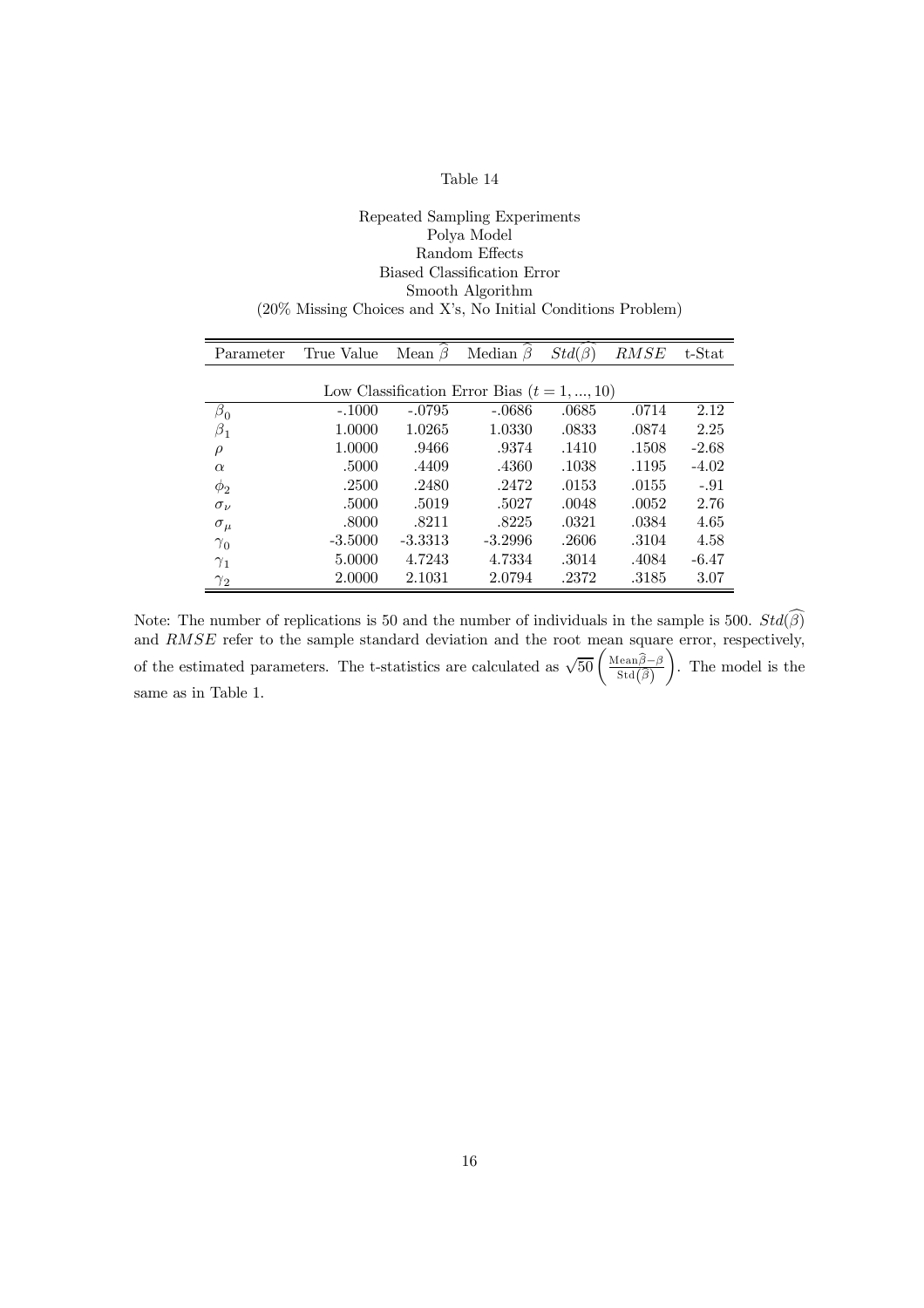#### Repeated Sampling Experiments Polya Model Random Effects Biased Classification Error Smooth Algorithm (20% Missing Choices and Xís, No Initial Conditions Problem)

| Parameter      | True Value | Mean $\beta$ | ≻<br>Median $\beta$                           | $Std(\beta)$ | RMSE  | t-Stat  |
|----------------|------------|--------------|-----------------------------------------------|--------------|-------|---------|
|                |            |              |                                               |              |       |         |
|                |            |              | Low Classification Error Bias $(t = 1, , 10)$ |              |       |         |
| $\beta_0$      | $-.1000$   | $-.0795$     | $-.0686$                                      | .0685        | .0714 | 2.12    |
| $\beta_1$      | 1.0000     | 1.0265       | 1.0330                                        | .0833        | .0874 | 2.25    |
| $\rho$         | 1.0000     | .9466        | .9374                                         | .1410        | .1508 | $-2.68$ |
| $\alpha$       | .5000      | .4409        | .4360                                         | .1038        | .1195 | $-4.02$ |
| $\phi_2$       | .2500      | .2480        | .2472                                         | .0153        | .0155 | $-.91$  |
| $\sigma_{\nu}$ | .5000      | .5019        | .5027                                         | .0048        | .0052 | 2.76    |
| $\sigma_{\mu}$ | .8000      | .8211        | .8225                                         | .0321        | .0384 | 4.65    |
| $\gamma_0$     | $-3.5000$  | $-3.3313$    | $-3.2996$                                     | .2606        | .3104 | 4.58    |
| $\gamma_1$     | 5.0000     | 4.7243       | 4.7334                                        | .3014        | .4084 | $-6.47$ |
| $\gamma_2$     | 2.0000     | 2.1031       | 2.0794                                        | .2372        | .3185 | 3.07    |

Note: The number of replications is 50 and the number of individuals in the sample is 500.  $Std(\beta)$ and RMSE refer to the sample standard deviation and the root mean square error, respectively, of the estimated parameters. The t-statistics are calculated as  $\sqrt{50} \left( \frac{\text{Mean} \hat{\beta} - \beta}{\text{Std}(\hat{\beta})} \right)$  $\setminus$ . The model is the same as in Table 1.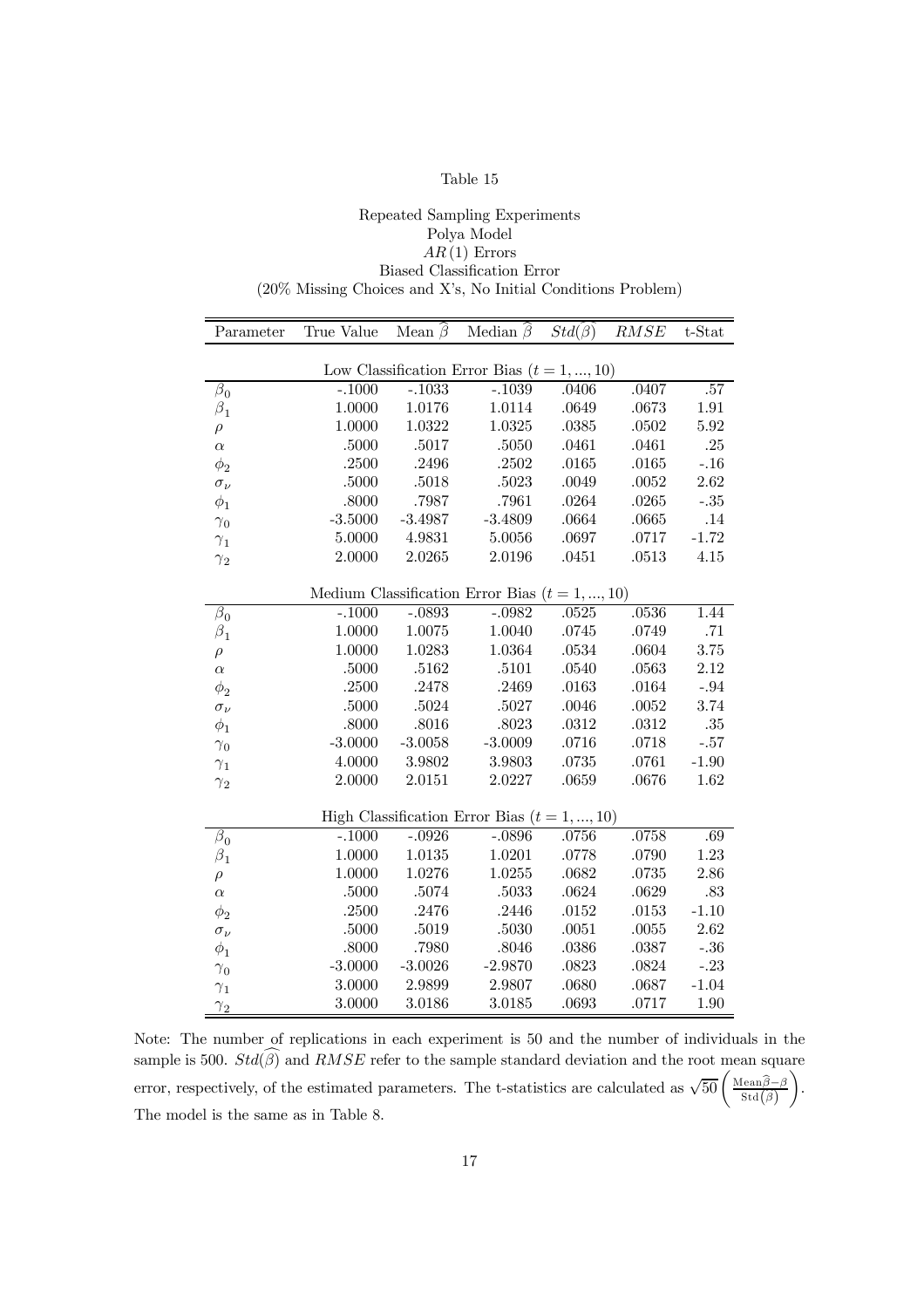#### Repeated Sampling Experiments Polya Model  $AR(1)$  Errors Biased Classification Error (20% Missing Choices and Xís, No Initial Conditions Problem)

| Parameter      | True Value | Mean $\widehat{\beta}$ | Median $\hat{\beta}$ $Std(\beta)$                |         | <b>RMSE</b> | t-Stat  |
|----------------|------------|------------------------|--------------------------------------------------|---------|-------------|---------|
|                |            |                        |                                                  |         |             |         |
|                |            |                        | Low Classification Error Bias $(t = 1, , 10)$    |         |             |         |
| $\beta_0$      | $-.1000$   | $-.1033$               | $-.1039$                                         | .0406   | .0407       | $.57\,$ |
| $\beta_1$      | 1.0000     | 1.0176                 | 1.0114                                           | .0649   | .0673       | 1.91    |
| $\rho$         | 1.0000     | 1.0322                 | 1.0325                                           | .0385   | .0502       | 5.92    |
| $\alpha$       | .5000      | .5017                  | .5050                                            | .0461   | .0461       | .25     |
| $\phi_2$       | .2500      | .2496                  | $.2502\,$                                        | .0165   | .0165       | $-.16$  |
| $\sigma_\nu$   | .5000      | .5018                  | .5023                                            | .0049   | .0052       | 2.62    |
| $\phi_1$       | .8000      | .7987                  | .7961                                            | .0264   | .0265       | $-.35$  |
| $\gamma_0$     | $-3.5000$  | $-3.4987$              | $-3.4809$                                        | .0664   | .0665       | .14     |
| $\gamma_1$     | 5.0000     | 4.9831                 | 5.0056                                           | .0697   | .0717       | $-1.72$ |
| $\gamma_2$     | 2.0000     | 2.0265                 | 2.0196                                           | .0451   | .0513       | 4.15    |
|                |            |                        |                                                  |         |             |         |
|                |            |                        | Medium Classification Error Bias $(t = 1, , 10)$ |         |             |         |
| $\beta_0$      | $-.1000$   | $-.0893$               | $-.0982$                                         | .0525   | .0536       | 1.44    |
| $\beta_{1}$    | 1.0000     | 1.0075                 | 1.0040                                           | .0745   | .0749       | .71     |
| $\rho$         | 1.0000     | 1.0283                 | 1.0364                                           | .0534   | .0604       | 3.75    |
| $\alpha$       | .5000      | .5162                  | $.5101\,$                                        | .0540   | .0563       | 2.12    |
| $\phi_2$       | .2500      | .2478                  | .2469                                            | .0163   | .0164       | $-.94$  |
| $\sigma_\nu$   | $.5000\,$  | .5024                  | $.5027\,$                                        | $.0046$ | .0052       | 3.74    |
| $\phi_1$       | .8000      | .8016                  | .8023                                            | .0312   | .0312       | $.35\,$ |
| $\gamma_0$     | $-3.0000$  | $-3.0058$              | $-3.0009$                                        | .0716   | .0718       | $-.57$  |
| $\gamma_1$     | 4.0000     | 3.9802                 | 3.9803                                           | .0735   | .0761       | $-1.90$ |
| $\gamma_2$     | 2.0000     | 2.0151                 | 2.0227                                           | .0659   | .0676       | 1.62    |
|                |            |                        |                                                  |         |             |         |
|                |            |                        | High Classification Error Bias $(t = 1, , 10)$   |         |             |         |
| $\beta_0$      | $-.1000$   | $-.0926$               | $-.0896$                                         | .0756   | .0758       | .69     |
| $\beta_1$      | 1.0000     | 1.0135                 | 1.0201                                           | .0778   | .0790       | 1.23    |
| $\rho$         | 1.0000     | 1.0276                 | 1.0255                                           | .0682   | .0735       | 2.86    |
| $\alpha$       | .5000      | .5074                  | .5033                                            | .0624   | .0629       | $.83\,$ |
| $\phi_2$       | .2500      | .2476                  | .2446                                            | .0152   | $.0153\,$   | $-1.10$ |
| $\sigma_{\nu}$ | .5000      | .5019                  | $.5030\,$                                        | .0051   | .0055       | 2.62    |
| $\phi_1$       | .8000      | .7980                  | .8046                                            | .0386   | .0387       | $-.36$  |
| $\gamma_0$     | $-3.0000$  | $-3.0026$              | $-2.9870$                                        | .0823   | .0824       | $-.23$  |
| $\gamma_1$     | 3.0000     | 2.9899                 | $2.9807\,$                                       | .0680   | .0687       | $-1.04$ |
| $\gamma_2$     | 3.0000     | 3.0186                 | 3.0185                                           | .0693   | .0717       | 1.90    |

Note: The number of replications in each experiment is 50 and the number of individuals in the sample is 500.  $Std(\widehat{\beta})$  and  $RMSE$  refer to the sample standard deviation and the root mean square error, respectively, of the estimated parameters. The t-statistics are calculated as  $\sqrt{50} \left( \frac{\text{Mean}\hat{\beta} - \beta}{\text{Std}(\hat{\beta})} \right)$  $\setminus$ . The model is the same as in Table 8.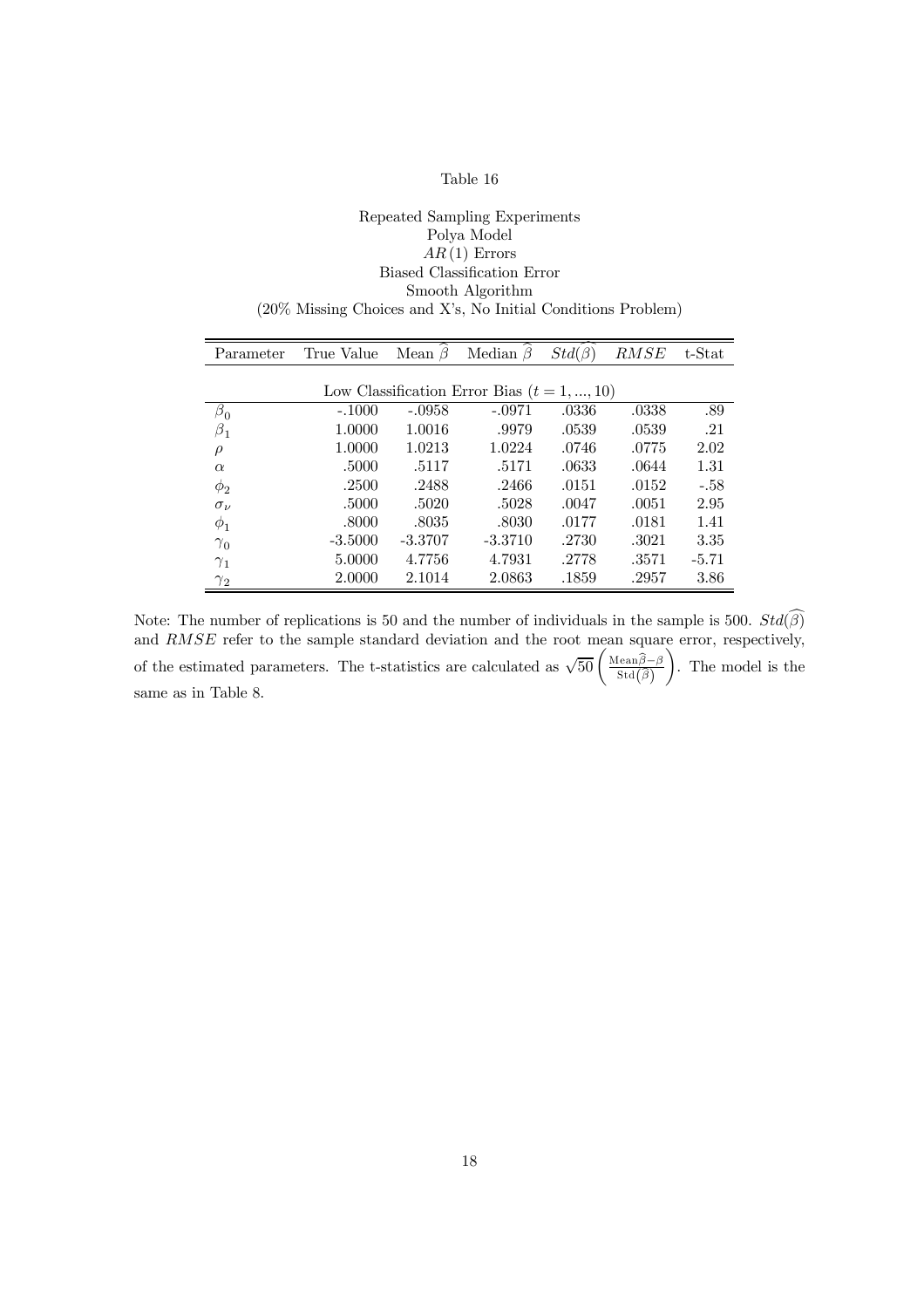#### Repeated Sampling Experiments Polya Model  $AR(1)$  Errors Biased Classification Error Smooth Algorithm (20% Missing Choices and Xís, No Initial Conditions Problem)

| Parameter      | True Value | Mean $\beta$ | Median $\beta$                                | $Std(\beta)$ | RMSE  | t-Stat  |
|----------------|------------|--------------|-----------------------------------------------|--------------|-------|---------|
|                |            |              |                                               |              |       |         |
|                |            |              | Low Classification Error Bias $(t = 1, , 10)$ |              |       |         |
| $\beta_{0}$    | $-.1000$   | $-.0958$     | -.0971                                        | .0336        | .0338 | .89     |
| $\beta_1$      | 1.0000     | 1.0016       | .9979                                         | .0539        | .0539 | .21     |
| $\rho$         | 1.0000     | 1.0213       | 1.0224                                        | .0746        | .0775 | 2.02    |
| $\alpha$       | .5000      | .5117        | .5171                                         | .0633        | .0644 | 1.31    |
| $\phi_2$       | .2500      | .2488        | .2466                                         | .0151        | .0152 | $-.58$  |
| $\sigma_{\nu}$ | .5000      | .5020        | .5028                                         | .0047        | .0051 | 2.95    |
| $\varphi_1$    | .8000      | .8035        | .8030                                         | .0177        | .0181 | 1.41    |
| $\gamma_0$     | $-3.5000$  | $-3.3707$    | $-3.3710$                                     | .2730        | .3021 | 3.35    |
| $\gamma_1$     | 5.0000     | 4.7756       | 4.7931                                        | .2778        | .3571 | $-5.71$ |
| $\gamma_2$     | 2.0000     | 2.1014       | 2.0863                                        | .1859        | .2957 | 3.86    |

Note: The number of replications is 50 and the number of individuals in the sample is 500.  $Std(\beta)$ and RMSE refer to the sample standard deviation and the root mean square error, respectively, of the estimated parameters. The t-statistics are calculated as  $\sqrt{50} \left( \frac{\text{Mean} \hat{\beta} - \beta}{\text{Std}(\hat{\beta})} \right)$  $\setminus$ . The model is the same as in Table 8.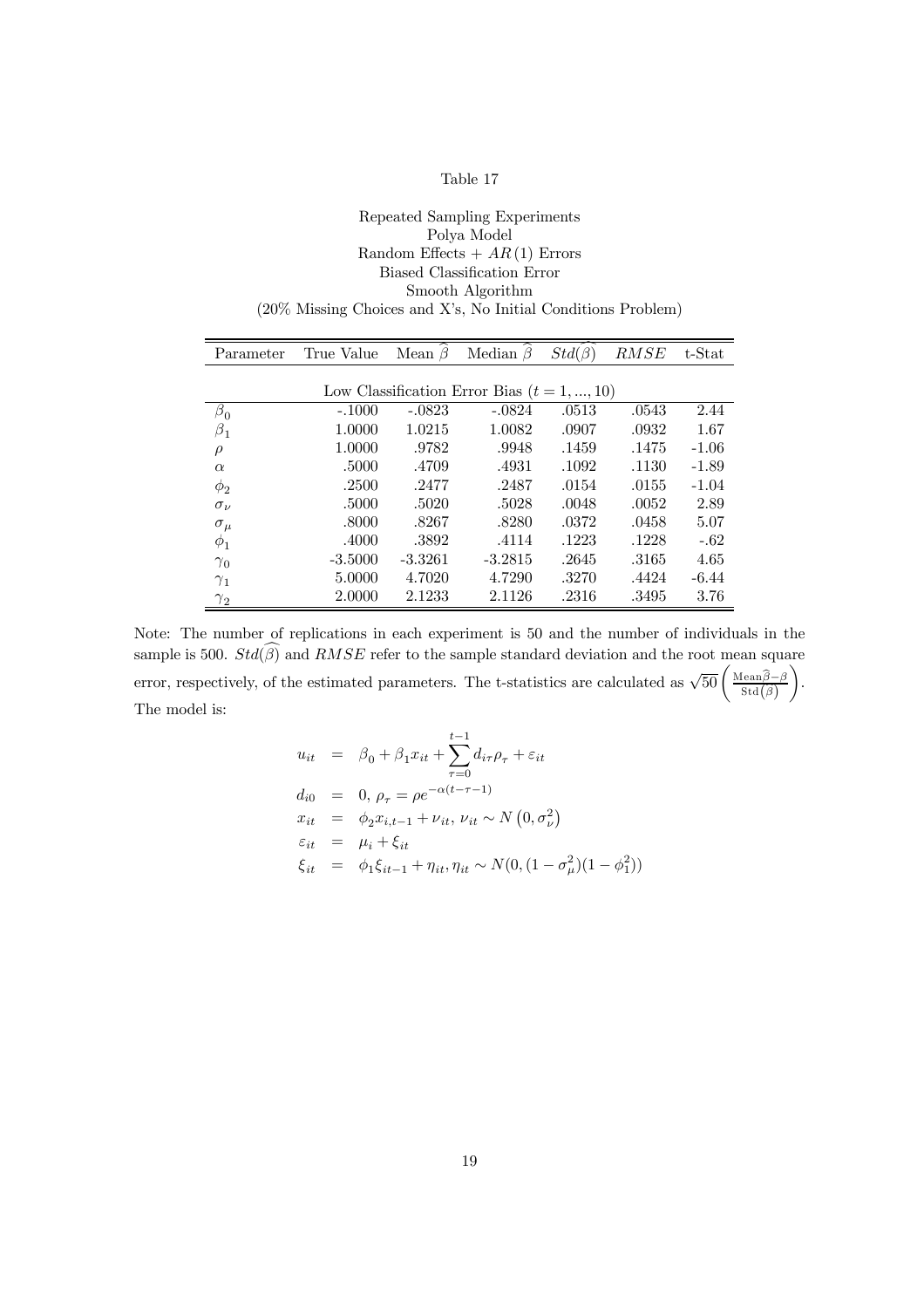| Parameter      | True Value Mean $\beta$ |           | Median $\beta$                                | $Std(\beta)$ | RMSE  | t-Stat  |
|----------------|-------------------------|-----------|-----------------------------------------------|--------------|-------|---------|
|                |                         |           |                                               |              |       |         |
|                |                         |           | Low Classification Error Bias $(t = 1, , 10)$ |              |       |         |
| $\beta_0$      | $-.1000$                | $-.0823$  | $-.0824$                                      | .0513        | .0543 | 2.44    |
| $\beta_1$      | 1.0000                  | 1.0215    | 1.0082                                        | .0907        | .0932 | 1.67    |
| $\rho$         | 1.0000                  | .9782     | .9948                                         | .1459        | .1475 | $-1.06$ |
| $\alpha$       | .5000                   | .4709     | .4931                                         | .1092        | .1130 | $-1.89$ |
| $\phi_2$       | .2500                   | .2477     | .2487                                         | .0154        | .0155 | $-1.04$ |
| $\sigma_{\nu}$ | .5000                   | .5020     | .5028                                         | .0048        | .0052 | 2.89    |
| $\sigma_{\mu}$ | .8000                   | .8267     | .8280                                         | .0372        | .0458 | 5.07    |
| $\phi_1$       | .4000                   | .3892     | .4114                                         | .1223        | .1228 | $-.62$  |
| $\gamma_0$     | $-3.5000$               | $-3.3261$ | $-3.2815$                                     | .2645        | .3165 | 4.65    |
| $\gamma_1$     | 5.0000                  | 4.7020    | 4.7290                                        | .3270        | .4424 | $-6.44$ |
| $\gamma_2$     | 2.0000                  | 2.1233    | 2.1126                                        | .2316        | .3495 | 3.76    |

Note: The number of replications in each experiment is 50 and the number of individuals in the sample is 500.  $Std(\widehat{\beta})$  and  $RMSE$  refer to the sample standard deviation and the root mean square error, respectively, of the estimated parameters. The t-statistics are calculated as  $\sqrt{50} \left( \frac{\text{Mean}\hat{\beta} - \beta}{\text{Std}(\hat{\beta})} \right)$  $\setminus$ . The model is:

$$
u_{it} = \beta_0 + \beta_1 x_{it} + \sum_{\tau=0}^{t-1} d_{i\tau} \rho_{\tau} + \varepsilon_{it}
$$
  
\n
$$
d_{i0} = 0, \rho_{\tau} = \rho e^{-\alpha(t-\tau-1)}
$$
  
\n
$$
x_{it} = \phi_2 x_{i,t-1} + \nu_{it}, \nu_{it} \sim N(0, \sigma_{\nu}^2)
$$
  
\n
$$
\varepsilon_{it} = \mu_i + \xi_{it}
$$
  
\n
$$
\xi_{it} = \phi_1 \xi_{it-1} + \eta_{it}, \eta_{it} \sim N(0, (1 - \sigma_{\mu}^2)(1 - \phi_1^2))
$$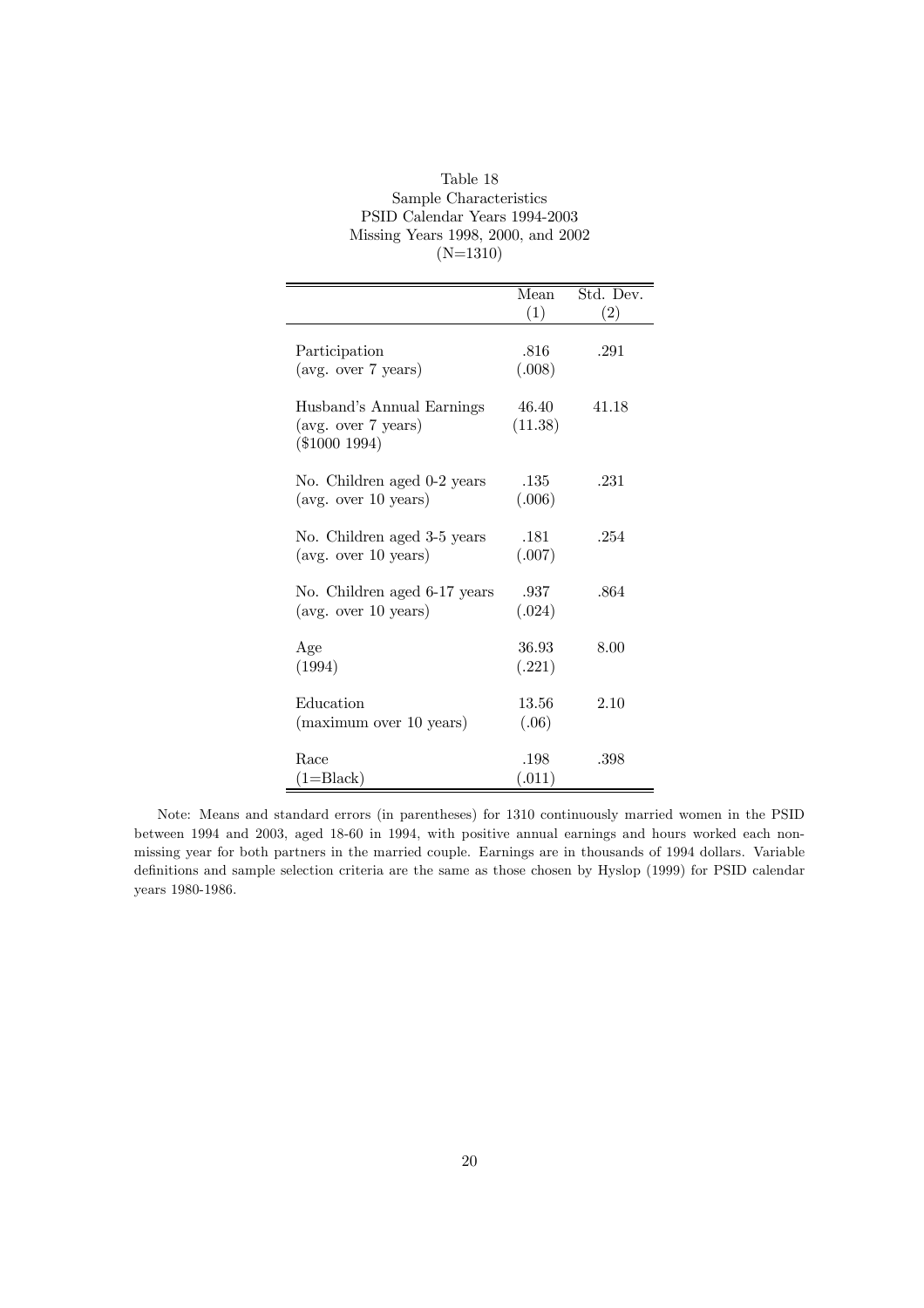| Table 18                           |
|------------------------------------|
| Sample Characteristics             |
| PSID Calendar Years 1994-2003      |
| Missing Years 1998, 2000, and 2002 |
| $(N=1310)$                         |

|                                                                        | Mean             | Std. Dev. |
|------------------------------------------------------------------------|------------------|-----------|
|                                                                        | (1)              | (2)       |
| Participation<br>(avg. over 7 years)                                   | .816<br>(.008)   | .291      |
| Husband's Annual Earnings<br>(avg. over 7 years)<br>$(\$1000 1994)$    | 46.40<br>(11.38) | 41.18     |
| No. Children aged 0-2 years<br>$(\text{avg. over } 10 \text{ years})$  | .135<br>(.006)   | .231      |
| No. Children aged 3-5 years<br>$(\text{avg. over } 10 \text{ years})$  | .181<br>(.007)   | .254      |
| No. Children aged 6-17 years<br>$(\text{avg. over } 10 \text{ years})$ | .937<br>(.024)   | .864      |
| Age<br>(1994)                                                          | 36.93<br>(.221)  | 8.00      |
| Education<br>(maximum over 10 years)                                   | 13.56<br>(.06)   | 2.10      |
| Race<br>(1=Black)                                                      | .198<br>(.011)   | .398      |

Note: Means and standard errors (in parentheses) for 1310 continuously married women in the PSID between 1994 and 2003, aged 18-60 in 1994, with positive annual earnings and hours worked each nonmissing year for both partners in the married couple. Earnings are in thousands of 1994 dollars. Variable definitions and sample selection criteria are the same as those chosen by Hyslop (1999) for PSID calendar years 1980-1986.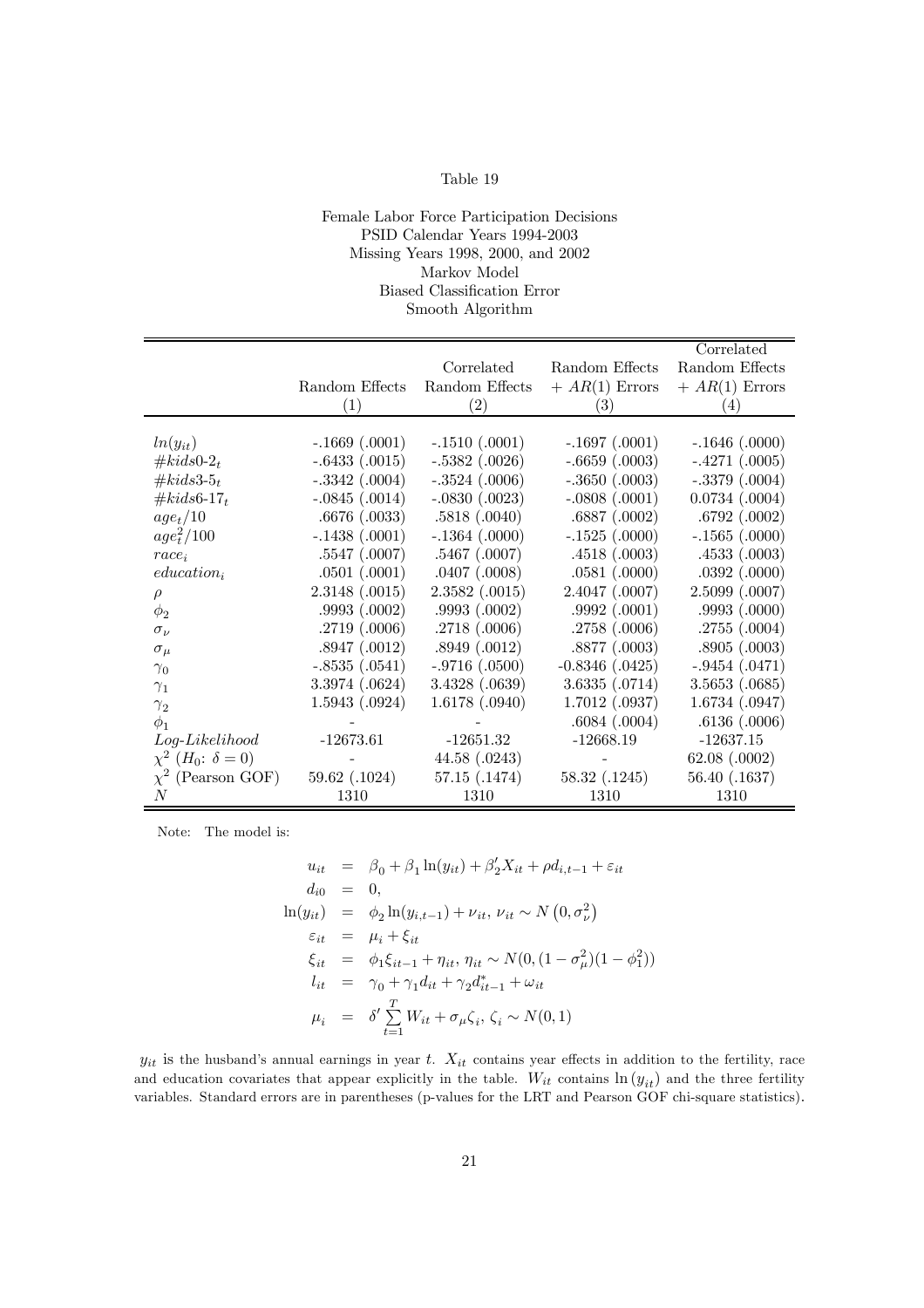#### Female Labor Force Participation Decisions PSID Calendar Years 1994-2003 Missing Years 1998, 2000, and 2002 Markov Model Biased Classification Error Smooth Algorithm

|                                                   |                    |                    |                     | Correlated         |
|---------------------------------------------------|--------------------|--------------------|---------------------|--------------------|
|                                                   |                    | Correlated         | Random Effects      | Random Effects     |
|                                                   | Random Effects     | Random Effects     | $+ AR(1)$ Errors    | $+ AR(1)$ Errors   |
|                                                   | (1)                | (2)                | $\left( 3\right)$   | (4)                |
|                                                   |                    |                    |                     |                    |
| $ln(y_{it})$                                      | $-.1669(.0001)$    | $-.1510(.0001)$    | $-.1697(.0001)$     | $-.1646(.0000)$    |
| $#kids0-2_t$                                      | $-.6433(.0015)$    | $-.5382$ $(.0026)$ | $-.6659(.0003)$     | $-.4271(.0005)$    |
| # $kids3-5_t$                                     | $-.3342$ $(.0004)$ | $-.3524$ $(.0006)$ | $-.3650(.0003)$     | $-.3379(.0004)$    |
| # $kids6-17_t$                                    | $-.0845(.0014)$    | $-.0830(.0023)$    | $-.0808(.0001)$     | $0.0734$ $(.0004)$ |
| $age_t/10$                                        | .6676(.0033)       | .5818(.0040)       | .6887(.0002)        | .6792(.0002)       |
| $age_t^2/100$                                     | $-.1438(.0001)$    | $-.1364(.0000)$    | $-.1525(.0000)$     | $-.1565(.0000)$    |
| $race_i$                                          | .5547(.0007)       | $.5467$ $(.0007)$  | .4518(.0003)        | .4533(.0003)       |
| $education_i$                                     | .0501(.0001)       | .0407(.0008)       | .0581(.0000)        | .0392(.0000)       |
| $\rho$                                            | 2.3148(.0015)      | 2.3582 (.0015)     | $2.4047$ $(.0007)$  | $2.5099$ $(.0007)$ |
| $\phi_2$                                          | .9993(.0002)       | .9993(.0002)       | .9992(.0001)        | .9993(.0000)       |
| $\sigma_{\nu}$                                    | .2719(.0006)       | .2718(.0006)       | .2758(.0006)        | .2755(.0004)       |
| $\sigma_{\mu}$                                    | .8947(.0012)       | .8949(.0012)       | .8877(.0003)        | .8905(.0003)       |
| $\gamma_0$                                        | $-.8535(.0541)$    | $-.9716(.0500)$    | $-0.8346$ $(.0425)$ | $-.9454(.0471)$    |
| $\gamma_1$                                        | 3.3974 (.0624)     | 3.4328(.0639)      | 3.6335(.0714)       | 3.5653(.0685)      |
| $\gamma_2$                                        | 1.5943(.0924)      | 1.6178(.0940)      | $1.7012$ $(.0937)$  | $1.6734$ $(.0947)$ |
| $\phi_1$                                          |                    |                    | .6084(.0004)        | .6136(.0006)       |
| $Log\text{-}Likelihood$                           | $-12673.61$        | $-12651.32$        | $-12668.19$         | $-12637.15$        |
| $\chi^2$ ( <i>H</i> <sub>0</sub> : $\delta = 0$ ) |                    | 44.58 (.0243)      |                     | 62.08 (.0002)      |
| $\chi^2$ (Pearson GOF)                            | 59.62 (.1024)      | 57.15 (.1474)      | 58.32 (.1245)       | 56.40 (.1637)      |
| N                                                 | 1310               | 1310               | 1310                | 1310               |

Note: The model is:

$$
u_{it} = \beta_0 + \beta_1 \ln(y_{it}) + \beta_2' X_{it} + \rho d_{i, t-1} + \varepsilon_{it}
$$
  
\n
$$
d_{i0} = 0,
$$
  
\n
$$
\ln(y_{it}) = \phi_2 \ln(y_{i, t-1}) + \nu_{it}, \nu_{it} \sim N(0, \sigma_{\nu}^2)
$$
  
\n
$$
\varepsilon_{it} = \mu_i + \xi_{it}
$$
  
\n
$$
\xi_{it} = \phi_1 \xi_{it-1} + \eta_{it}, \eta_{it} \sim N(0, (1 - \sigma_{\mu}^2)(1 - \phi_1^2))
$$
  
\n
$$
l_{it} = \gamma_0 + \gamma_1 d_{it} + \gamma_2 d_{it-1}^* + \omega_{it}
$$
  
\n
$$
\mu_i = \delta' \sum_{t=1}^T W_{it} + \sigma_{\mu} \zeta_i, \zeta_i \sim N(0, 1)
$$

 $y_{it}$  is the husband's annual earnings in year t.  $X_{it}$  contains year effects in addition to the fertility, race and education covariates that appear explicitly in the table.  $W_{it}$  contains  $\ln(y_{it})$  and the three fertility variables. Standard errors are in parentheses (p-values for the LRT and Pearson GOF chi-square statistics).